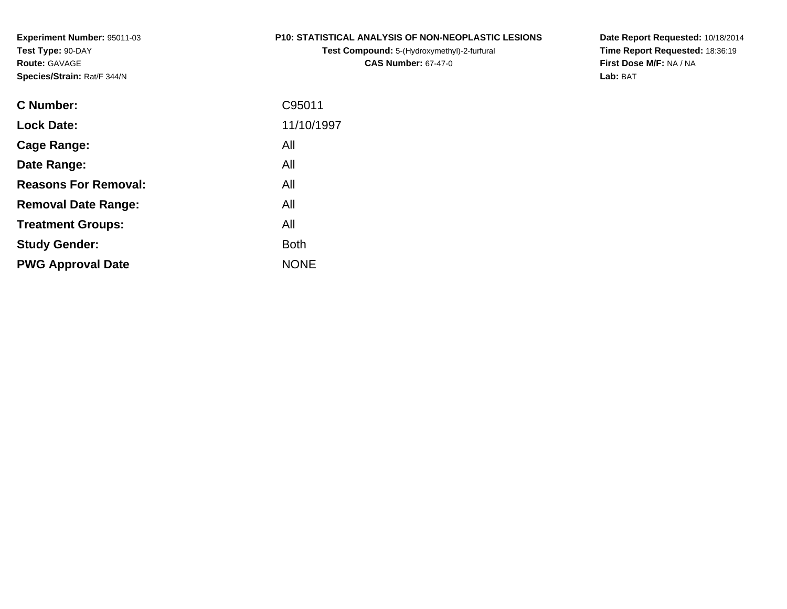**Experiment Number:** 95011-03**Test Type:** 90-DAY**Route:** GAVAGE**Species/Strain:** Rat/F 344/N

#### **P10: STATISTICAL ANALYSIS OF NON-NEOPLASTIC LESIONS**

**Test Compound:** 5-(Hydroxymethyl)-2-furfural **CAS Number:** 67-47-0

**Date Report Requested:** 10/18/2014 **Time Report Requested:** 18:36:19**First Dose M/F:** NA / NA**Lab:** BAT

| <b>C</b> Number:            | C95011      |
|-----------------------------|-------------|
| <b>Lock Date:</b>           | 11/10/1997  |
| Cage Range:                 | All         |
| Date Range:                 | All         |
| <b>Reasons For Removal:</b> | All         |
| <b>Removal Date Range:</b>  | All         |
| <b>Treatment Groups:</b>    | All         |
| <b>Study Gender:</b>        | <b>Both</b> |
| <b>PWG Approval Date</b>    | <b>NONE</b> |
|                             |             |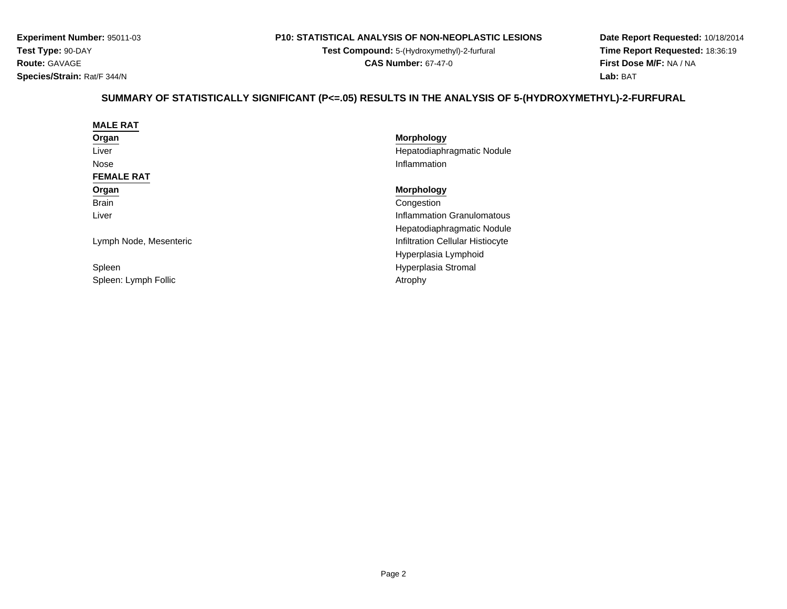**Experiment Number:** 95011-03**Test Type:** 90-DAY**Route:** GAVAGE**Species/Strain:** Rat/F 344/N

#### **P10: STATISTICAL ANALYSIS OF NON-NEOPLASTIC LESIONS**

**Test Compound:** 5-(Hydroxymethyl)-2-furfural **CAS Number:** 67-47-0

**Date Report Requested:** 10/18/2014**Time Report Requested:** 18:36:19**First Dose M/F:** NA / NA**Lab:** BAT

# **SUMMARY OF STATISTICALLY SIGNIFICANT (P<=.05) RESULTS IN THE ANALYSIS OF 5-(HYDROXYMETHYL)-2-FURFURAL**

| <b>MALE RAT</b>        |                                  |
|------------------------|----------------------------------|
| Organ                  | <b>Morphology</b>                |
| Liver                  | Hepatodiaphragmatic Nodule       |
| Nose                   | Inflammation                     |
| <b>FEMALE RAT</b>      |                                  |
| Organ                  | <b>Morphology</b>                |
| <b>Brain</b>           | Congestion                       |
| Liver                  | Inflammation Granulomatous       |
|                        | Hepatodiaphragmatic Nodule       |
| Lymph Node, Mesenteric | Infiltration Cellular Histiocyte |
|                        | Hyperplasia Lymphoid             |
| Spleen                 | Hyperplasia Stromal              |
| Spleen: Lymph Follic   | Atrophy                          |
|                        |                                  |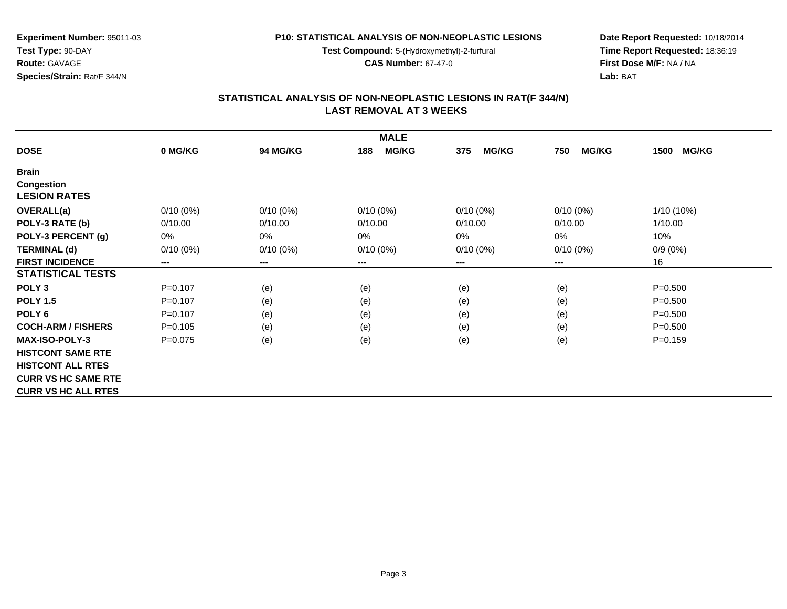**Test Compound:** 5-(Hydroxymethyl)-2-furfural

**CAS Number:** 67-47-0

**Date Report Requested:** 10/18/2014**Time Report Requested:** 18:36:19**First Dose M/F:** NA / NA**Lab:** BAT

#### **STATISTICAL ANALYSIS OF NON-NEOPLASTIC LESIONS IN RAT(F 344/N) LAST REMOVAL AT 3 WEEKS**

|                            |             |                 | <b>MALE</b>         |                     |                     |                      |
|----------------------------|-------------|-----------------|---------------------|---------------------|---------------------|----------------------|
| <b>DOSE</b>                | 0 MG/KG     | <b>94 MG/KG</b> | <b>MG/KG</b><br>188 | <b>MG/KG</b><br>375 | <b>MG/KG</b><br>750 | <b>MG/KG</b><br>1500 |
| <b>Brain</b>               |             |                 |                     |                     |                     |                      |
| <b>Congestion</b>          |             |                 |                     |                     |                     |                      |
| <b>LESION RATES</b>        |             |                 |                     |                     |                     |                      |
| <b>OVERALL(a)</b>          | $0/10(0\%)$ | $0/10(0\%)$     | $0/10(0\%)$         | $0/10(0\%)$         | $0/10(0\%)$         | $1/10(10\%)$         |
| POLY-3 RATE (b)            | 0/10.00     | 0/10.00         | 0/10.00             | 0/10.00             | 0/10.00             | 1/10.00              |
| POLY-3 PERCENT (g)         | 0%          | 0%              | $0\%$               | 0%                  | $0\%$               | 10%                  |
| <b>TERMINAL (d)</b>        | $0/10(0\%)$ | $0/10(0\%)$     | $0/10(0\%)$         | $0/10(0\%)$         | $0/10(0\%)$         | $0/9(0\%)$           |
| <b>FIRST INCIDENCE</b>     | $---$       | $---$           | ---                 | ---                 | ---                 | 16                   |
| <b>STATISTICAL TESTS</b>   |             |                 |                     |                     |                     |                      |
| POLY <sub>3</sub>          | $P = 0.107$ | (e)             | (e)                 | (e)                 | (e)                 | $P = 0.500$          |
| <b>POLY 1.5</b>            | $P=0.107$   | (e)             | (e)                 | (e)                 | (e)                 | $P = 0.500$          |
| POLY <sub>6</sub>          | $P=0.107$   | (e)             | (e)                 | (e)                 | (e)                 | $P = 0.500$          |
| <b>COCH-ARM / FISHERS</b>  | $P = 0.105$ | (e)             | (e)                 | (e)                 | (e)                 | $P = 0.500$          |
| <b>MAX-ISO-POLY-3</b>      | $P=0.075$   | (e)             | (e)                 | (e)                 | (e)                 | $P = 0.159$          |
| <b>HISTCONT SAME RTE</b>   |             |                 |                     |                     |                     |                      |
| <b>HISTCONT ALL RTES</b>   |             |                 |                     |                     |                     |                      |
| <b>CURR VS HC SAME RTE</b> |             |                 |                     |                     |                     |                      |
| <b>CURR VS HC ALL RTES</b> |             |                 |                     |                     |                     |                      |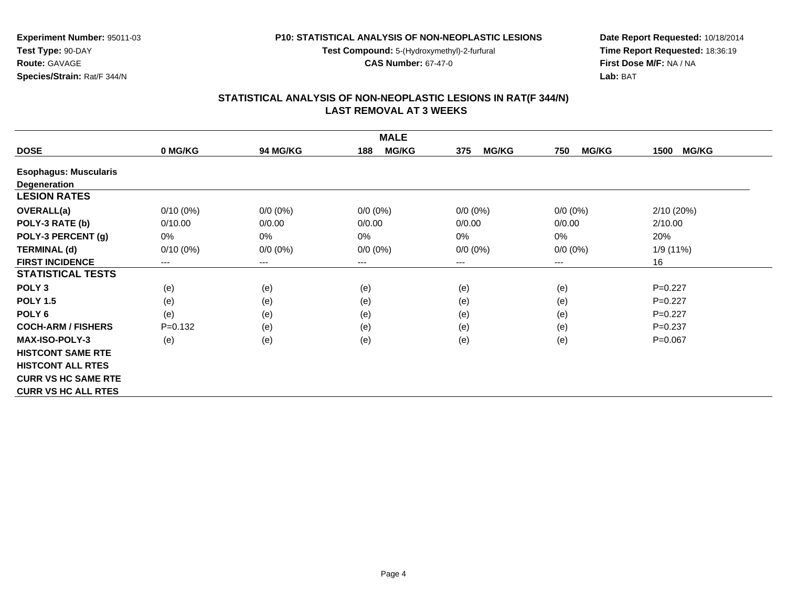**Test Compound:** 5-(Hydroxymethyl)-2-furfural

**CAS Number:** 67-47-0

**Date Report Requested:** 10/18/2014**Time Report Requested:** 18:36:19**First Dose M/F:** NA / NA**Lab:** BAT

## **STATISTICAL ANALYSIS OF NON-NEOPLASTIC LESIONS IN RAT(F 344/N) LAST REMOVAL AT 3 WEEKS**

|                              |                            |                        | <b>MALE</b>         |                     |                     |                      |
|------------------------------|----------------------------|------------------------|---------------------|---------------------|---------------------|----------------------|
| <b>DOSE</b>                  | 0 MG/KG                    | <b>94 MG/KG</b>        | <b>MG/KG</b><br>188 | <b>MG/KG</b><br>375 | <b>MG/KG</b><br>750 | <b>MG/KG</b><br>1500 |
| <b>Esophagus: Muscularis</b> |                            |                        |                     |                     |                     |                      |
| <b>Degeneration</b>          |                            |                        |                     |                     |                     |                      |
| <b>LESION RATES</b>          |                            |                        |                     |                     |                     |                      |
| <b>OVERALL(a)</b>            | $0/10(0\%)$                | $0/0 (0\%)$            | $0/0 (0\%)$         | $0/0 (0\%)$         | $0/0 (0\%)$         | 2/10(20%)            |
| POLY-3 RATE (b)              | 0/10.00                    | 0/0.00                 | 0/0.00              | 0/0.00              | 0/0.00              | 2/10.00              |
| POLY-3 PERCENT (g)           | 0%                         | 0%                     | 0%                  | 0%                  | 0%                  | 20%                  |
| <b>TERMINAL (d)</b>          | $0/10(0\%)$                | $0/0 (0\%)$            | $0/0 (0\%)$         | $0/0 (0\%)$         | $0/0 (0\%)$         | 1/9 (11%)            |
| <b>FIRST INCIDENCE</b>       | $\qquad \qquad - \qquad -$ | $\qquad \qquad \cdots$ | $---$               | ---                 | $---$               | 16                   |
| <b>STATISTICAL TESTS</b>     |                            |                        |                     |                     |                     |                      |
| POLY <sub>3</sub>            | (e)                        | (e)                    | (e)                 | (e)                 | (e)                 | $P=0.227$            |
| <b>POLY 1.5</b>              | (e)                        | (e)                    | (e)                 | (e)                 | (e)                 | $P=0.227$            |
| POLY <sub>6</sub>            | (e)                        | (e)                    | (e)                 | (e)                 | (e)                 | $P=0.227$            |
| <b>COCH-ARM / FISHERS</b>    | $P=0.132$                  | (e)                    | (e)                 | (e)                 | (e)                 | $P=0.237$            |
| <b>MAX-ISO-POLY-3</b>        | (e)                        | (e)                    | (e)                 | (e)                 | (e)                 | $P = 0.067$          |
| <b>HISTCONT SAME RTE</b>     |                            |                        |                     |                     |                     |                      |
| <b>HISTCONT ALL RTES</b>     |                            |                        |                     |                     |                     |                      |
| <b>CURR VS HC SAME RTE</b>   |                            |                        |                     |                     |                     |                      |
| <b>CURR VS HC ALL RTES</b>   |                            |                        |                     |                     |                     |                      |

**Species/Strain:** Rat/F 344/N

**Test Type:** 90-DAY**Route:** GAVAGE

**Experiment Number:** 95011-03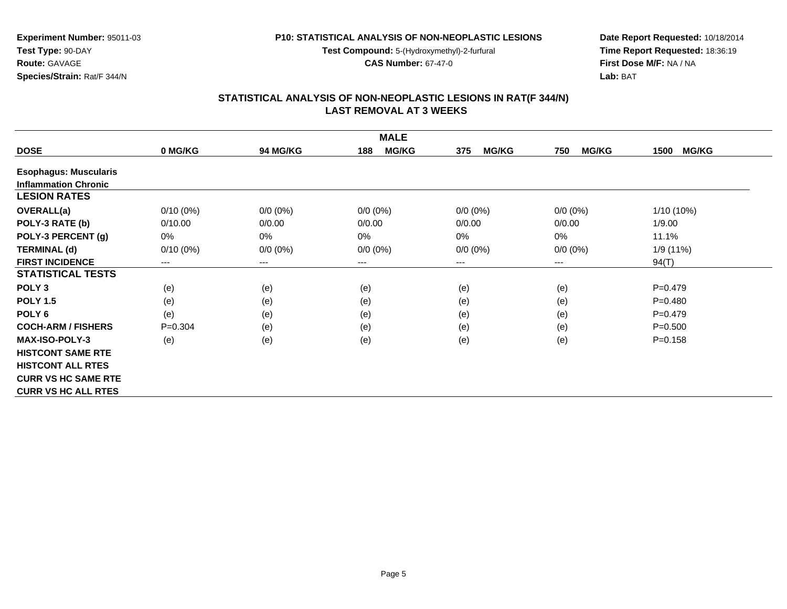**Test Compound:** 5-(Hydroxymethyl)-2-furfural

**CAS Number:** 67-47-0

**Date Report Requested:** 10/18/2014**Time Report Requested:** 18:36:19**First Dose M/F:** NA / NA**Lab:** BAT

#### **STATISTICAL ANALYSIS OF NON-NEOPLASTIC LESIONS IN RAT(F 344/N) LAST REMOVAL AT 3 WEEKS**

|                              |                            |                        | <b>MALE</b>         |                     |                     |                      |
|------------------------------|----------------------------|------------------------|---------------------|---------------------|---------------------|----------------------|
| <b>DOSE</b>                  | 0 MG/KG                    | <b>94 MG/KG</b>        | <b>MG/KG</b><br>188 | <b>MG/KG</b><br>375 | <b>MG/KG</b><br>750 | <b>MG/KG</b><br>1500 |
| <b>Esophagus: Muscularis</b> |                            |                        |                     |                     |                     |                      |
| <b>Inflammation Chronic</b>  |                            |                        |                     |                     |                     |                      |
| <b>LESION RATES</b>          |                            |                        |                     |                     |                     |                      |
| <b>OVERALL(a)</b>            | $0/10(0\%)$                | $0/0 (0\%)$            | $0/0 (0\%)$         | $0/0 (0\%)$         | $0/0 (0\%)$         | 1/10 (10%)           |
| POLY-3 RATE (b)              | 0/10.00                    | 0/0.00                 | 0/0.00              | 0/0.00              | 0/0.00              | 1/9.00               |
| POLY-3 PERCENT (g)           | 0%                         | 0%                     | 0%                  | 0%                  | 0%                  | 11.1%                |
| <b>TERMINAL (d)</b>          | $0/10(0\%)$                | $0/0 (0\%)$            | $0/0 (0\%)$         | $0/0 (0\%)$         | $0/0 (0\%)$         | 1/9 (11%)            |
| <b>FIRST INCIDENCE</b>       | $\qquad \qquad - \qquad -$ | $\qquad \qquad \cdots$ | $---$               | ---                 | $---$               | 94(T)                |
| <b>STATISTICAL TESTS</b>     |                            |                        |                     |                     |                     |                      |
| POLY <sub>3</sub>            | (e)                        | (e)                    | (e)                 | (e)                 | (e)                 | $P = 0.479$          |
| <b>POLY 1.5</b>              | (e)                        | (e)                    | (e)                 | (e)                 | (e)                 | $P=0.480$            |
| POLY <sub>6</sub>            | (e)                        | (e)                    | (e)                 | (e)                 | (e)                 | $P = 0.479$          |
| <b>COCH-ARM / FISHERS</b>    | $P=0.304$                  | (e)                    | (e)                 | (e)                 | (e)                 | $P = 0.500$          |
| <b>MAX-ISO-POLY-3</b>        | (e)                        | (e)                    | (e)                 | (e)                 | (e)                 | $P = 0.158$          |
| <b>HISTCONT SAME RTE</b>     |                            |                        |                     |                     |                     |                      |
| <b>HISTCONT ALL RTES</b>     |                            |                        |                     |                     |                     |                      |
| <b>CURR VS HC SAME RTE</b>   |                            |                        |                     |                     |                     |                      |
| <b>CURR VS HC ALL RTES</b>   |                            |                        |                     |                     |                     |                      |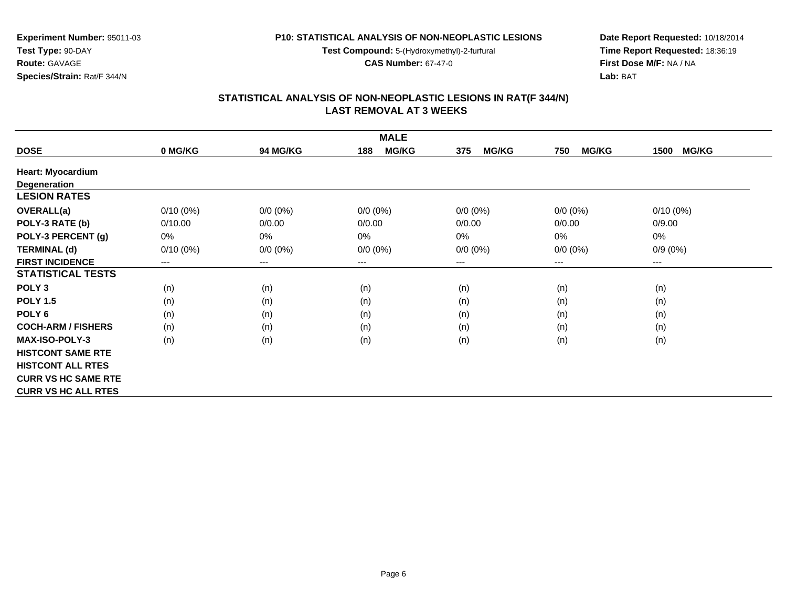**Test Compound:** 5-(Hydroxymethyl)-2-furfural

**CAS Number:** 67-47-0

**Date Report Requested:** 10/18/2014**Time Report Requested:** 18:36:19**First Dose M/F:** NA / NA**Lab:** BAT

|                            |             |                 | <b>MALE</b>         |                     |                     |                      |
|----------------------------|-------------|-----------------|---------------------|---------------------|---------------------|----------------------|
| <b>DOSE</b>                | 0 MG/KG     | <b>94 MG/KG</b> | <b>MG/KG</b><br>188 | <b>MG/KG</b><br>375 | <b>MG/KG</b><br>750 | <b>MG/KG</b><br>1500 |
| <b>Heart: Myocardium</b>   |             |                 |                     |                     |                     |                      |
| <b>Degeneration</b>        |             |                 |                     |                     |                     |                      |
| <b>LESION RATES</b>        |             |                 |                     |                     |                     |                      |
| <b>OVERALL(a)</b>          | $0/10(0\%)$ | $0/0 (0\%)$     | $0/0 (0\%)$         | $0/0 (0\%)$         | $0/0 (0\%)$         | $0/10(0\%)$          |
| POLY-3 RATE (b)            | 0/10.00     | 0/0.00          | 0/0.00              | 0/0.00              | 0/0.00              | 0/9.00               |
| POLY-3 PERCENT (g)         | 0%          | 0%              | 0%                  | 0%                  | 0%                  | 0%                   |
| <b>TERMINAL (d)</b>        | $0/10(0\%)$ | $0/0 (0\%)$     | $0/0 (0\%)$         | $0/0 (0\%)$         | $0/0 (0\%)$         | $0/9(0\%)$           |
| <b>FIRST INCIDENCE</b>     | $---$       | $---$           | $---$               | ---                 | $---$               | ---                  |
| <b>STATISTICAL TESTS</b>   |             |                 |                     |                     |                     |                      |
| POLY <sub>3</sub>          | (n)         | (n)             | (n)                 | (n)                 | (n)                 | (n)                  |
| <b>POLY 1.5</b>            | (n)         | (n)             | (n)                 | (n)                 | (n)                 | (n)                  |
| POLY <sub>6</sub>          | (n)         | (n)             | (n)                 | (n)                 | (n)                 | (n)                  |
| <b>COCH-ARM / FISHERS</b>  | (n)         | (n)             | (n)                 | (n)                 | (n)                 | (n)                  |
| <b>MAX-ISO-POLY-3</b>      | (n)         | (n)             | (n)                 | (n)                 | (n)                 | (n)                  |
| <b>HISTCONT SAME RTE</b>   |             |                 |                     |                     |                     |                      |
| <b>HISTCONT ALL RTES</b>   |             |                 |                     |                     |                     |                      |
| <b>CURR VS HC SAME RTE</b> |             |                 |                     |                     |                     |                      |
| <b>CURR VS HC ALL RTES</b> |             |                 |                     |                     |                     |                      |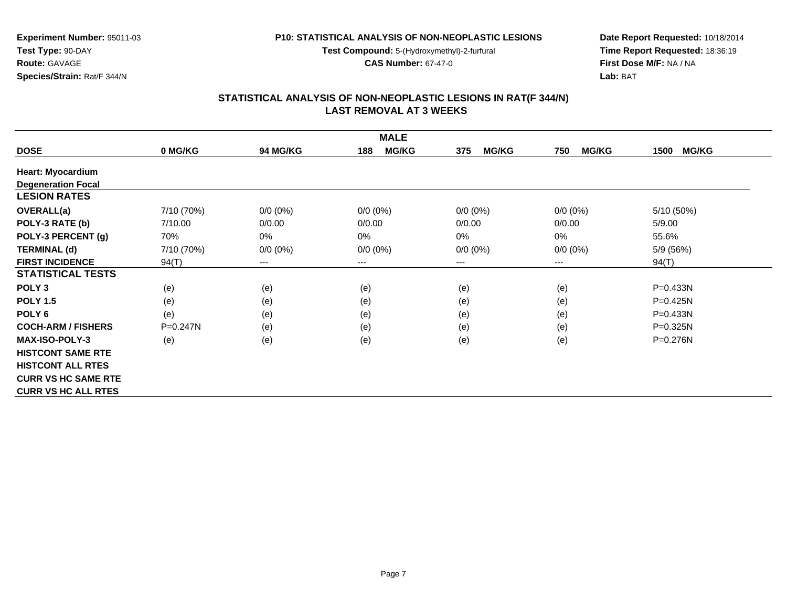**Test Compound:** 5-(Hydroxymethyl)-2-furfural

**CAS Number:** 67-47-0

**Date Report Requested:** 10/18/2014**Time Report Requested:** 18:36:19**First Dose M/F:** NA / NA**Lab:** BAT

#### **STATISTICAL ANALYSIS OF NON-NEOPLASTIC LESIONS IN RAT(F 344/N) LAST REMOVAL AT 3 WEEKS**

|                            |              |                        | <b>MALE</b>         |                     |                     |                      |
|----------------------------|--------------|------------------------|---------------------|---------------------|---------------------|----------------------|
| <b>DOSE</b>                | 0 MG/KG      | <b>94 MG/KG</b>        | <b>MG/KG</b><br>188 | <b>MG/KG</b><br>375 | <b>MG/KG</b><br>750 | <b>MG/KG</b><br>1500 |
| <b>Heart: Myocardium</b>   |              |                        |                     |                     |                     |                      |
| <b>Degeneration Focal</b>  |              |                        |                     |                     |                     |                      |
| <b>LESION RATES</b>        |              |                        |                     |                     |                     |                      |
| OVERALL(a)                 | 7/10 (70%)   | $0/0 (0\%)$            | $0/0 (0\%)$         | $0/0 (0\%)$         | $0/0 (0\%)$         | 5/10 (50%)           |
| POLY-3 RATE (b)            | 7/10.00      | 0/0.00                 | 0/0.00              | 0/0.00              | 0/0.00              | 5/9.00               |
| POLY-3 PERCENT (g)         | 70%          | 0%                     | $0\%$               | 0%                  | 0%                  | 55.6%                |
| <b>TERMINAL (d)</b>        | 7/10 (70%)   | $0/0 (0\%)$            | $0/0 (0\%)$         | $0/0 (0\%)$         | $0/0 (0\%)$         | 5/9 (56%)            |
| <b>FIRST INCIDENCE</b>     | 94(T)        | $\qquad \qquad \cdots$ | ---                 | ---                 | ---                 | 94(T)                |
| <b>STATISTICAL TESTS</b>   |              |                        |                     |                     |                     |                      |
| POLY <sub>3</sub>          | (e)          | (e)                    | (e)                 | (e)                 | (e)                 | P=0.433N             |
| <b>POLY 1.5</b>            | (e)          | (e)                    | (e)                 | (e)                 | (e)                 | P=0.425N             |
| POLY <sub>6</sub>          | (e)          | (e)                    | (e)                 | (e)                 | (e)                 | $P = 0.433N$         |
| <b>COCH-ARM / FISHERS</b>  | $P = 0.247N$ | (e)                    | (e)                 | (e)                 | (e)                 | P=0.325N             |
| <b>MAX-ISO-POLY-3</b>      | (e)          | (e)                    | (e)                 | (e)                 | (e)                 | P=0.276N             |
| <b>HISTCONT SAME RTE</b>   |              |                        |                     |                     |                     |                      |
| <b>HISTCONT ALL RTES</b>   |              |                        |                     |                     |                     |                      |
| <b>CURR VS HC SAME RTE</b> |              |                        |                     |                     |                     |                      |
| <b>CURR VS HC ALL RTES</b> |              |                        |                     |                     |                     |                      |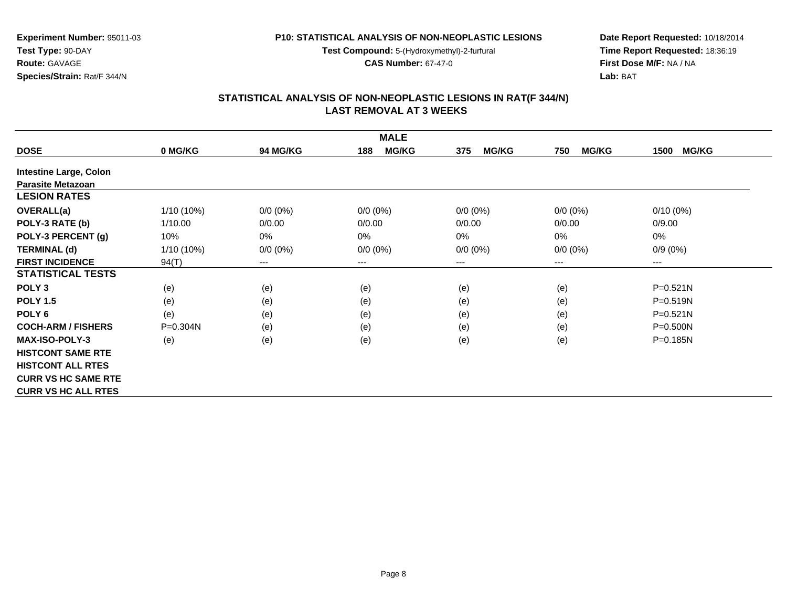**Test Compound:** 5-(Hydroxymethyl)-2-furfural

**CAS Number:** 67-47-0

**Date Report Requested:** 10/18/2014**Time Report Requested:** 18:36:19**First Dose M/F:** NA / NA**Lab:** BAT

#### **STATISTICAL ANALYSIS OF NON-NEOPLASTIC LESIONS IN RAT(F 344/N) LAST REMOVAL AT 3 WEEKS**

|                               |              |                 | <b>MALE</b>         |                     |                     |                      |
|-------------------------------|--------------|-----------------|---------------------|---------------------|---------------------|----------------------|
| <b>DOSE</b>                   | 0 MG/KG      | <b>94 MG/KG</b> | <b>MG/KG</b><br>188 | <b>MG/KG</b><br>375 | <b>MG/KG</b><br>750 | <b>MG/KG</b><br>1500 |
| <b>Intestine Large, Colon</b> |              |                 |                     |                     |                     |                      |
| <b>Parasite Metazoan</b>      |              |                 |                     |                     |                     |                      |
| <b>LESION RATES</b>           |              |                 |                     |                     |                     |                      |
| <b>OVERALL(a)</b>             | $1/10(10\%)$ | $0/0 (0\%)$     | $0/0 (0\%)$         | $0/0 (0\%)$         | $0/0 (0\%)$         | $0/10(0\%)$          |
| POLY-3 RATE (b)               | 1/10.00      | 0/0.00          | 0/0.00              | 0/0.00              | 0/0.00              | 0/9.00               |
| POLY-3 PERCENT (g)            | 10%          | 0%              | $0\%$               | 0%                  | $0\%$               | $0\%$                |
| <b>TERMINAL (d)</b>           | $1/10(10\%)$ | $0/0 (0\%)$     | $0/0 (0\%)$         | $0/0 (0\%)$         | $0/0 (0\%)$         | $0/9(0\%)$           |
| <b>FIRST INCIDENCE</b>        | 94(T)        | $---$           | $---$               | ---                 | $---$               | ---                  |
| <b>STATISTICAL TESTS</b>      |              |                 |                     |                     |                     |                      |
| POLY <sub>3</sub>             | (e)          | (e)             | (e)                 | (e)                 | (e)                 | $P = 0.521N$         |
| <b>POLY 1.5</b>               | (e)          | (e)             | (e)                 | (e)                 | (e)                 | P=0.519N             |
| POLY <sub>6</sub>             | (e)          | (e)             | (e)                 | (e)                 | (e)                 | $P = 0.521N$         |
| <b>COCH-ARM / FISHERS</b>     | $P = 0.304N$ | (e)             | (e)                 | (e)                 | (e)                 | $P = 0.500N$         |
| <b>MAX-ISO-POLY-3</b>         | (e)          | (e)             | (e)                 | (e)                 | (e)                 | P=0.185N             |
| <b>HISTCONT SAME RTE</b>      |              |                 |                     |                     |                     |                      |
| <b>HISTCONT ALL RTES</b>      |              |                 |                     |                     |                     |                      |
| <b>CURR VS HC SAME RTE</b>    |              |                 |                     |                     |                     |                      |
| <b>CURR VS HC ALL RTES</b>    |              |                 |                     |                     |                     |                      |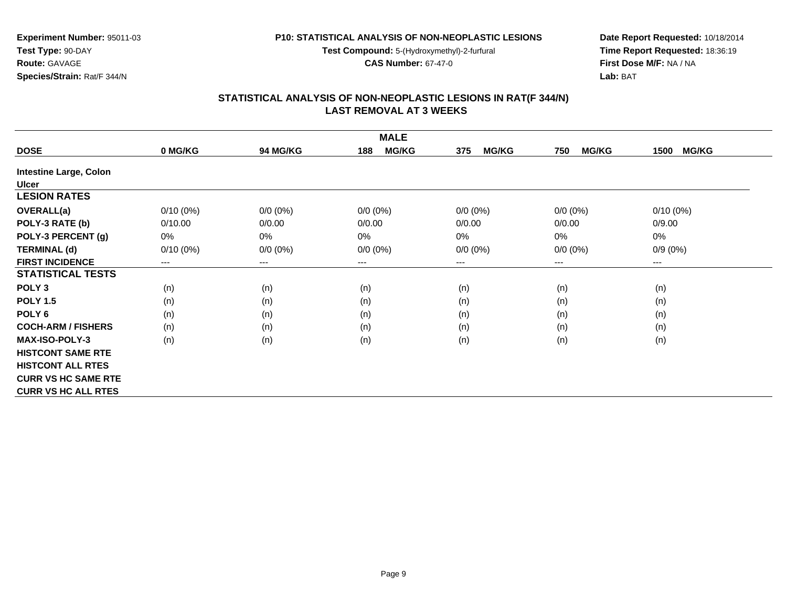**Test Compound:** 5-(Hydroxymethyl)-2-furfural

**CAS Number:** 67-47-0

**Date Report Requested:** 10/18/2014**Time Report Requested:** 18:36:19**First Dose M/F:** NA / NA**Lab:** BAT

#### **STATISTICAL ANALYSIS OF NON-NEOPLASTIC LESIONS IN RAT(F 344/N) LAST REMOVAL AT 3 WEEKS**

|                               |             |                 | <b>MALE</b>         |                     |                     |                      |
|-------------------------------|-------------|-----------------|---------------------|---------------------|---------------------|----------------------|
| <b>DOSE</b>                   | 0 MG/KG     | <b>94 MG/KG</b> | <b>MG/KG</b><br>188 | <b>MG/KG</b><br>375 | <b>MG/KG</b><br>750 | <b>MG/KG</b><br>1500 |
| <b>Intestine Large, Colon</b> |             |                 |                     |                     |                     |                      |
| <b>Ulcer</b>                  |             |                 |                     |                     |                     |                      |
| <b>LESION RATES</b>           |             |                 |                     |                     |                     |                      |
| <b>OVERALL(a)</b>             | $0/10(0\%)$ | $0/0 (0\%)$     | $0/0 (0\%)$         | $0/0 (0\%)$         | $0/0 (0\%)$         | $0/10(0\%)$          |
| POLY-3 RATE (b)               | 0/10.00     | 0/0.00          | 0/0.00              | 0/0.00              | 0/0.00              | 0/9.00               |
| POLY-3 PERCENT (g)            | 0%          | 0%              | $0\%$               | $0\%$               | 0%                  | 0%                   |
| <b>TERMINAL (d)</b>           | $0/10(0\%)$ | $0/0 (0\%)$     | $0/0 (0\%)$         | $0/0 (0\%)$         | $0/0 (0\%)$         | $0/9(0\%)$           |
| <b>FIRST INCIDENCE</b>        | $---$       | $\cdots$        | $---$               | ---                 | ---                 | ---                  |
| <b>STATISTICAL TESTS</b>      |             |                 |                     |                     |                     |                      |
| POLY <sub>3</sub>             | (n)         | (n)             | (n)                 | (n)                 | (n)                 | (n)                  |
| <b>POLY 1.5</b>               | (n)         | (n)             | (n)                 | (n)                 | (n)                 | (n)                  |
| POLY <sub>6</sub>             | (n)         | (n)             | (n)                 | (n)                 | (n)                 | (n)                  |
| <b>COCH-ARM / FISHERS</b>     | (n)         | (n)             | (n)                 | (n)                 | (n)                 | (n)                  |
| <b>MAX-ISO-POLY-3</b>         | (n)         | (n)             | (n)                 | (n)                 | (n)                 | (n)                  |
| <b>HISTCONT SAME RTE</b>      |             |                 |                     |                     |                     |                      |
| <b>HISTCONT ALL RTES</b>      |             |                 |                     |                     |                     |                      |
| <b>CURR VS HC SAME RTE</b>    |             |                 |                     |                     |                     |                      |
| <b>CURR VS HC ALL RTES</b>    |             |                 |                     |                     |                     |                      |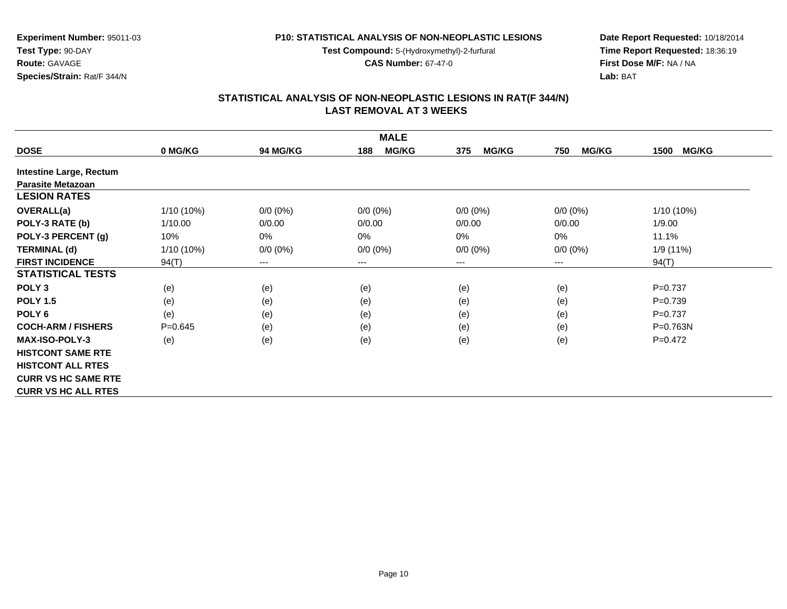**Test Compound:** 5-(Hydroxymethyl)-2-furfural

**CAS Number:** 67-47-0

**Date Report Requested:** 10/18/2014**Time Report Requested:** 18:36:19**First Dose M/F:** NA / NA**Lab:** BAT

## **STATISTICAL ANALYSIS OF NON-NEOPLASTIC LESIONS IN RAT(F 344/N) LAST REMOVAL AT 3 WEEKS**

|                                |              |                 | <b>MALE</b>         |                     |                     |                      |
|--------------------------------|--------------|-----------------|---------------------|---------------------|---------------------|----------------------|
| <b>DOSE</b>                    | 0 MG/KG      | <b>94 MG/KG</b> | <b>MG/KG</b><br>188 | <b>MG/KG</b><br>375 | <b>MG/KG</b><br>750 | <b>MG/KG</b><br>1500 |
| <b>Intestine Large, Rectum</b> |              |                 |                     |                     |                     |                      |
| <b>Parasite Metazoan</b>       |              |                 |                     |                     |                     |                      |
| <b>LESION RATES</b>            |              |                 |                     |                     |                     |                      |
| <b>OVERALL(a)</b>              | $1/10(10\%)$ | $0/0 (0\%)$     | $0/0 (0\%)$         | $0/0 (0\%)$         | $0/0 (0\%)$         | 1/10 (10%)           |
| POLY-3 RATE (b)                | 1/10.00      | 0/0.00          | 0/0.00              | 0/0.00              | 0/0.00              | 1/9.00               |
| POLY-3 PERCENT (g)             | 10%          | $0\%$           | 0%                  | 0%                  | $0\%$               | 11.1%                |
| <b>TERMINAL (d)</b>            | $1/10(10\%)$ | $0/0 (0\%)$     | $0/0 (0\%)$         | $0/0 (0\%)$         | $0/0 (0\%)$         | 1/9 (11%)            |
| <b>FIRST INCIDENCE</b>         | 94(T)        | $\cdots$        | ---                 | ---                 | ---                 | 94(T)                |
| <b>STATISTICAL TESTS</b>       |              |                 |                     |                     |                     |                      |
| POLY <sub>3</sub>              | (e)          | (e)             | (e)                 | (e)                 | (e)                 | $P = 0.737$          |
| <b>POLY 1.5</b>                | (e)          | (e)             | (e)                 | (e)                 | (e)                 | $P = 0.739$          |
| POLY <sub>6</sub>              | (e)          | (e)             | (e)                 | (e)                 | (e)                 | $P=0.737$            |
| <b>COCH-ARM / FISHERS</b>      | $P=0.645$    | (e)             | (e)                 | (e)                 | (e)                 | $P = 0.763N$         |
| <b>MAX-ISO-POLY-3</b>          | (e)          | (e)             | (e)                 | (e)                 | (e)                 | $P=0.472$            |
| <b>HISTCONT SAME RTE</b>       |              |                 |                     |                     |                     |                      |
| <b>HISTCONT ALL RTES</b>       |              |                 |                     |                     |                     |                      |
| <b>CURR VS HC SAME RTE</b>     |              |                 |                     |                     |                     |                      |
| <b>CURR VS HC ALL RTES</b>     |              |                 |                     |                     |                     |                      |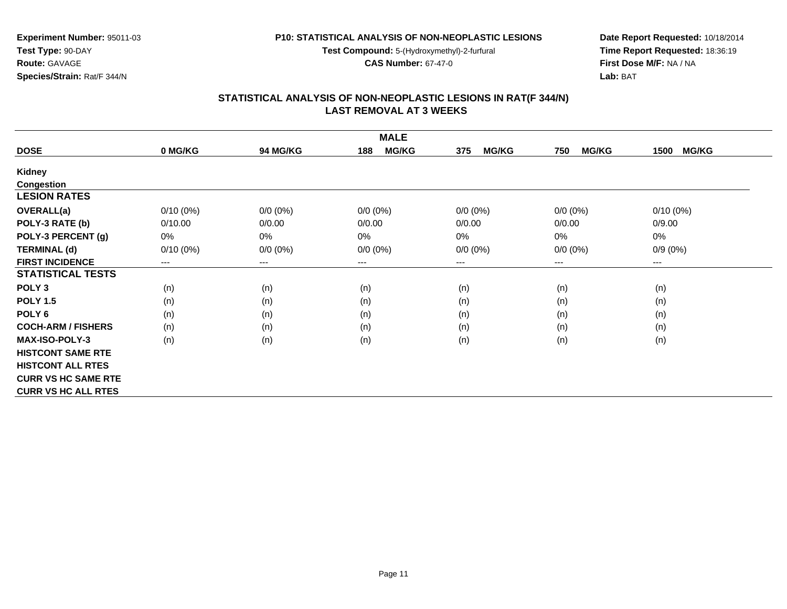**Test Compound:** 5-(Hydroxymethyl)-2-furfural

**CAS Number:** 67-47-0

**Date Report Requested:** 10/18/2014**Time Report Requested:** 18:36:19**First Dose M/F:** NA / NA**Lab:** BAT

#### **STATISTICAL ANALYSIS OF NON-NEOPLASTIC LESIONS IN RAT(F 344/N) LAST REMOVAL AT 3 WEEKS**

|                            |             |                        | <b>MALE</b>         |                     |                     |                      |
|----------------------------|-------------|------------------------|---------------------|---------------------|---------------------|----------------------|
| <b>DOSE</b>                | 0 MG/KG     | <b>94 MG/KG</b>        | <b>MG/KG</b><br>188 | <b>MG/KG</b><br>375 | <b>MG/KG</b><br>750 | <b>MG/KG</b><br>1500 |
| Kidney                     |             |                        |                     |                     |                     |                      |
| <b>Congestion</b>          |             |                        |                     |                     |                     |                      |
| <b>LESION RATES</b>        |             |                        |                     |                     |                     |                      |
| <b>OVERALL(a)</b>          | $0/10(0\%)$ | $0/0 (0\%)$            | $0/0 (0\%)$         | $0/0 (0\%)$         | $0/0 (0\%)$         | $0/10(0\%)$          |
| POLY-3 RATE (b)            | 0/10.00     | 0/0.00                 | 0/0.00              | 0/0.00              | 0/0.00              | 0/9.00               |
| POLY-3 PERCENT (g)         | 0%          | $0\%$                  | 0%                  | 0%                  | 0%                  | 0%                   |
| <b>TERMINAL (d)</b>        | $0/10(0\%)$ | $0/0 (0\%)$            | $0/0 (0\%)$         | $0/0 (0\%)$         | $0/0 (0\%)$         | $0/9(0\%)$           |
| <b>FIRST INCIDENCE</b>     | $--$        | $\qquad \qquad \cdots$ | ---                 | ---                 | $---$               | ---                  |
| <b>STATISTICAL TESTS</b>   |             |                        |                     |                     |                     |                      |
| POLY <sub>3</sub>          | (n)         | (n)                    | (n)                 | (n)                 | (n)                 | (n)                  |
| <b>POLY 1.5</b>            | (n)         | (n)                    | (n)                 | (n)                 | (n)                 | (n)                  |
| POLY <sub>6</sub>          | (n)         | (n)                    | (n)                 | (n)                 | (n)                 | (n)                  |
| <b>COCH-ARM / FISHERS</b>  | (n)         | (n)                    | (n)                 | (n)                 | (n)                 | (n)                  |
| <b>MAX-ISO-POLY-3</b>      | (n)         | (n)                    | (n)                 | (n)                 | (n)                 | (n)                  |
| <b>HISTCONT SAME RTE</b>   |             |                        |                     |                     |                     |                      |
| <b>HISTCONT ALL RTES</b>   |             |                        |                     |                     |                     |                      |
| <b>CURR VS HC SAME RTE</b> |             |                        |                     |                     |                     |                      |
| <b>CURR VS HC ALL RTES</b> |             |                        |                     |                     |                     |                      |

**Experiment Number:** 95011-03

**Species/Strain:** Rat/F 344/N

**Test Type:** 90-DAY**Route:** GAVAGE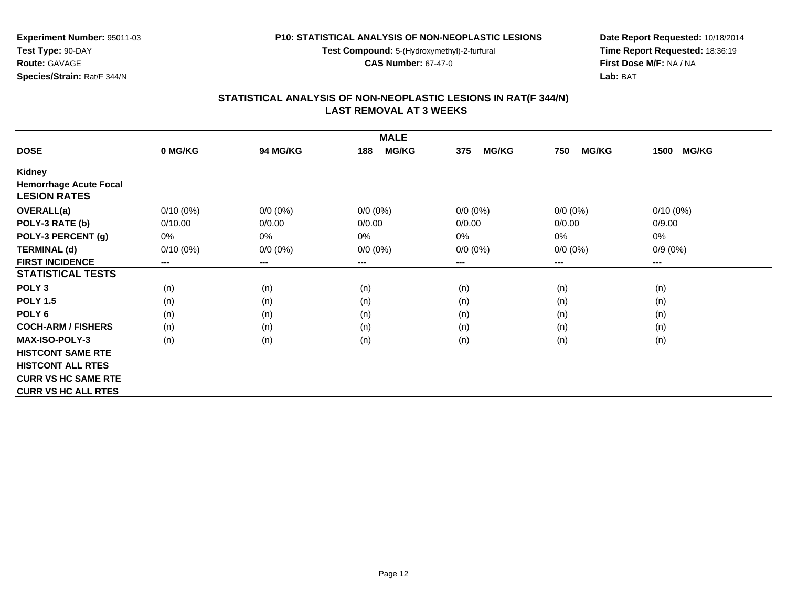**Test Compound:** 5-(Hydroxymethyl)-2-furfural

**CAS Number:** 67-47-0

**Date Report Requested:** 10/18/2014**Time Report Requested:** 18:36:19**First Dose M/F:** NA / NA**Lab:** BAT

| <b>MALE</b>                   |             |             |                     |                     |                     |                        |  |  |
|-------------------------------|-------------|-------------|---------------------|---------------------|---------------------|------------------------|--|--|
| <b>DOSE</b>                   | 0 MG/KG     | 94 MG/KG    | <b>MG/KG</b><br>188 | <b>MG/KG</b><br>375 | <b>MG/KG</b><br>750 | <b>MG/KG</b><br>1500   |  |  |
| Kidney                        |             |             |                     |                     |                     |                        |  |  |
| <b>Hemorrhage Acute Focal</b> |             |             |                     |                     |                     |                        |  |  |
| <b>LESION RATES</b>           |             |             |                     |                     |                     |                        |  |  |
| <b>OVERALL(a)</b>             | $0/10(0\%)$ | $0/0 (0\%)$ | $0/0 (0\%)$         | $0/0 (0\%)$         | $0/0 (0\%)$         | $0/10(0\%)$            |  |  |
| POLY-3 RATE (b)               | 0/10.00     | 0/0.00      | 0/0.00              | 0/0.00              | 0/0.00              | 0/9.00                 |  |  |
| POLY-3 PERCENT (g)            | 0%          | 0%          | $0\%$               | 0%                  | $0\%$               | 0%                     |  |  |
| <b>TERMINAL (d)</b>           | $0/10(0\%)$ | $0/0 (0\%)$ | $0/0 (0\%)$         | $0/0 (0\%)$         | $0/0 (0\%)$         | $0/9(0\%)$             |  |  |
| <b>FIRST INCIDENCE</b>        | $---$       | $---$       | ---                 | ---                 | ---                 | $\qquad \qquad \cdots$ |  |  |
| <b>STATISTICAL TESTS</b>      |             |             |                     |                     |                     |                        |  |  |
| POLY <sub>3</sub>             | (n)         | (n)         | (n)                 | (n)                 | (n)                 | (n)                    |  |  |
| <b>POLY 1.5</b>               | (n)         | (n)         | (n)                 | (n)                 | (n)                 | (n)                    |  |  |
| POLY <sub>6</sub>             | (n)         | (n)         | (n)                 | (n)                 | (n)                 | (n)                    |  |  |
| <b>COCH-ARM / FISHERS</b>     | (n)         | (n)         | (n)                 | (n)                 | (n)                 | (n)                    |  |  |
| <b>MAX-ISO-POLY-3</b>         | (n)         | (n)         | (n)                 | (n)                 | (n)                 | (n)                    |  |  |
| <b>HISTCONT SAME RTE</b>      |             |             |                     |                     |                     |                        |  |  |
| <b>HISTCONT ALL RTES</b>      |             |             |                     |                     |                     |                        |  |  |
| <b>CURR VS HC SAME RTE</b>    |             |             |                     |                     |                     |                        |  |  |
| <b>CURR VS HC ALL RTES</b>    |             |             |                     |                     |                     |                        |  |  |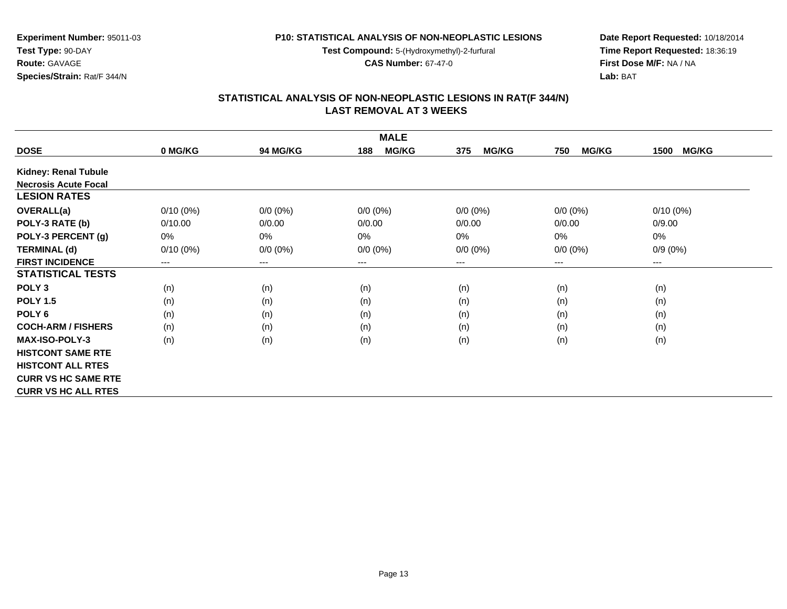**Test Compound:** 5-(Hydroxymethyl)-2-furfural

**CAS Number:** 67-47-0

**Date Report Requested:** 10/18/2014**Time Report Requested:** 18:36:19**First Dose M/F:** NA / NA**Lab:** BAT

| <b>MALE</b>                 |                        |             |                     |                     |                     |                        |  |  |
|-----------------------------|------------------------|-------------|---------------------|---------------------|---------------------|------------------------|--|--|
| <b>DOSE</b>                 | 0 MG/KG                | 94 MG/KG    | <b>MG/KG</b><br>188 | <b>MG/KG</b><br>375 | <b>MG/KG</b><br>750 | <b>MG/KG</b><br>1500   |  |  |
| <b>Kidney: Renal Tubule</b> |                        |             |                     |                     |                     |                        |  |  |
| <b>Necrosis Acute Focal</b> |                        |             |                     |                     |                     |                        |  |  |
| <b>LESION RATES</b>         |                        |             |                     |                     |                     |                        |  |  |
| <b>OVERALL(a)</b>           | $0/10(0\%)$            | $0/0 (0\%)$ | $0/0 (0\%)$         | $0/0 (0\%)$         | $0/0 (0\%)$         | $0/10(0\%)$            |  |  |
| POLY-3 RATE (b)             | 0/10.00                | 0/0.00      | 0/0.00              | 0/0.00              | 0/0.00              | 0/9.00                 |  |  |
| POLY-3 PERCENT (g)          | 0%                     | $0\%$       | 0%                  | 0%                  | $0\%$               | $0\%$                  |  |  |
| <b>TERMINAL (d)</b>         | $0/10(0\%)$            | $0/0 (0\%)$ | $0/0 (0\%)$         | $0/0 (0\%)$         | $0/0 (0\%)$         | $0/9(0\%)$             |  |  |
| <b>FIRST INCIDENCE</b>      | $\qquad \qquad \cdots$ | $\cdots$    | ---                 | ---                 | $---$               | $\qquad \qquad \cdots$ |  |  |
| <b>STATISTICAL TESTS</b>    |                        |             |                     |                     |                     |                        |  |  |
| POLY <sub>3</sub>           | (n)                    | (n)         | (n)                 | (n)                 | (n)                 | (n)                    |  |  |
| <b>POLY 1.5</b>             | (n)                    | (n)         | (n)                 | (n)                 | (n)                 | (n)                    |  |  |
| POLY <sub>6</sub>           | (n)                    | (n)         | (n)                 | (n)                 | (n)                 | (n)                    |  |  |
| <b>COCH-ARM / FISHERS</b>   | (n)                    | (n)         | (n)                 | (n)                 | (n)                 | (n)                    |  |  |
| <b>MAX-ISO-POLY-3</b>       | (n)                    | (n)         | (n)                 | (n)                 | (n)                 | (n)                    |  |  |
| <b>HISTCONT SAME RTE</b>    |                        |             |                     |                     |                     |                        |  |  |
| <b>HISTCONT ALL RTES</b>    |                        |             |                     |                     |                     |                        |  |  |
| <b>CURR VS HC SAME RTE</b>  |                        |             |                     |                     |                     |                        |  |  |
| <b>CURR VS HC ALL RTES</b>  |                        |             |                     |                     |                     |                        |  |  |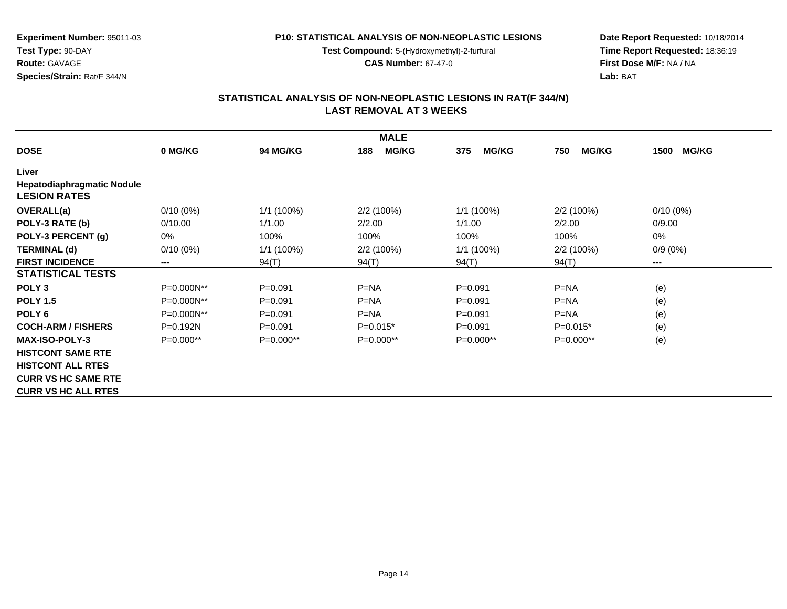**Test Compound:** 5-(Hydroxymethyl)-2-furfural

**CAS Number:** 67-47-0

**Date Report Requested:** 10/18/2014**Time Report Requested:** 18:36:19**First Dose M/F:** NA / NA**Lab:** BAT

#### **STATISTICAL ANALYSIS OF NON-NEOPLASTIC LESIONS IN RAT(F 344/N) LAST REMOVAL AT 3 WEEKS**

| <b>MALE</b>                |             |                 |                     |                     |                     |                      |  |  |
|----------------------------|-------------|-----------------|---------------------|---------------------|---------------------|----------------------|--|--|
| <b>DOSE</b>                | 0 MG/KG     | <b>94 MG/KG</b> | <b>MG/KG</b><br>188 | <b>MG/KG</b><br>375 | <b>MG/KG</b><br>750 | <b>MG/KG</b><br>1500 |  |  |
| Liver                      |             |                 |                     |                     |                     |                      |  |  |
| Hepatodiaphragmatic Nodule |             |                 |                     |                     |                     |                      |  |  |
| <b>LESION RATES</b>        |             |                 |                     |                     |                     |                      |  |  |
| <b>OVERALL(a)</b>          | $0/10(0\%)$ | $1/1$ (100%)    | 2/2(100%)           | $1/1$ (100%)        | 2/2 (100%)          | $0/10(0\%)$          |  |  |
| POLY-3 RATE (b)            | 0/10.00     | 1/1.00          | 2/2.00              | 1/1.00              | 2/2.00              | 0/9.00               |  |  |
| POLY-3 PERCENT (g)         | 0%          | 100%            | 100%                | 100%                | 100%                | 0%                   |  |  |
| <b>TERMINAL (d)</b>        | $0/10(0\%)$ | 1/1 (100%)      | 2/2 (100%)          | $1/1$ (100%)        | 2/2(100%)           | $0/9(0\%)$           |  |  |
| <b>FIRST INCIDENCE</b>     | ---         | 94(T)           | 94(T)               | 94(T)               | 94(T)               | $\cdots$             |  |  |
| <b>STATISTICAL TESTS</b>   |             |                 |                     |                     |                     |                      |  |  |
| POLY <sub>3</sub>          | P=0.000N**  | $P = 0.091$     | $P=NA$              | $P = 0.091$         | $P=NA$              | (e)                  |  |  |
| <b>POLY 1.5</b>            | P=0.000N**  | $P = 0.091$     | $P=NA$              | $P = 0.091$         | $P=NA$              | (e)                  |  |  |
| POLY <sub>6</sub>          | P=0.000N**  | $P = 0.091$     | $P=NA$              | $P = 0.091$         | $P=NA$              | (e)                  |  |  |
| <b>COCH-ARM / FISHERS</b>  | $P=0.192N$  | $P = 0.091$     | $P=0.015*$          | $P = 0.091$         | $P=0.015*$          | (e)                  |  |  |
| <b>MAX-ISO-POLY-3</b>      | $P=0.000**$ | $P=0.000**$     | $P=0.000**$         | $P=0.000**$         | $P=0.000**$         | (e)                  |  |  |
| <b>HISTCONT SAME RTE</b>   |             |                 |                     |                     |                     |                      |  |  |
| <b>HISTCONT ALL RTES</b>   |             |                 |                     |                     |                     |                      |  |  |
| <b>CURR VS HC SAME RTE</b> |             |                 |                     |                     |                     |                      |  |  |
| <b>CURR VS HC ALL RTES</b> |             |                 |                     |                     |                     |                      |  |  |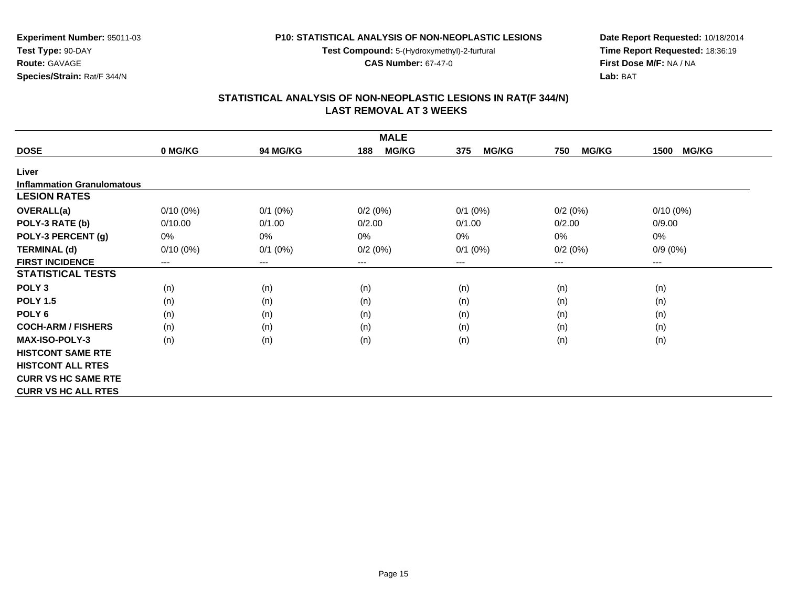**Test Compound:** 5-(Hydroxymethyl)-2-furfural

**CAS Number:** 67-47-0

**Date Report Requested:** 10/18/2014**Time Report Requested:** 18:36:19**First Dose M/F:** NA / NA**Lab:** BAT

#### **STATISTICAL ANALYSIS OF NON-NEOPLASTIC LESIONS IN RAT(F 344/N) LAST REMOVAL AT 3 WEEKS**

| <b>MALE</b>                       |             |            |                     |                     |                     |                        |  |  |
|-----------------------------------|-------------|------------|---------------------|---------------------|---------------------|------------------------|--|--|
| <b>DOSE</b>                       | 0 MG/KG     | 94 MG/KG   | <b>MG/KG</b><br>188 | <b>MG/KG</b><br>375 | <b>MG/KG</b><br>750 | <b>MG/KG</b><br>1500   |  |  |
| Liver                             |             |            |                     |                     |                     |                        |  |  |
| <b>Inflammation Granulomatous</b> |             |            |                     |                     |                     |                        |  |  |
| <b>LESION RATES</b>               |             |            |                     |                     |                     |                        |  |  |
| <b>OVERALL(a)</b>                 | $0/10(0\%)$ | $0/1$ (0%) | 0/2(0%)             | $0/1$ (0%)          | 0/2(0%)             | $0/10(0\%)$            |  |  |
| POLY-3 RATE (b)                   | 0/10.00     | 0/1.00     | 0/2.00              | 0/1.00              | 0/2.00              | 0/9.00                 |  |  |
| POLY-3 PERCENT (g)                | 0%          | 0%         | $0\%$               | 0%                  | $0\%$               | $0\%$                  |  |  |
| <b>TERMINAL (d)</b>               | $0/10(0\%)$ | $0/1$ (0%) | 0/2(0%)             | $0/1$ $(0%)$        | 0/2(0%)             | $0/9(0\%)$             |  |  |
| <b>FIRST INCIDENCE</b>            | $---$       | $---$      | ---                 | ---                 | ---                 | $\qquad \qquad \cdots$ |  |  |
| <b>STATISTICAL TESTS</b>          |             |            |                     |                     |                     |                        |  |  |
| POLY <sub>3</sub>                 | (n)         | (n)        | (n)                 | (n)                 | (n)                 | (n)                    |  |  |
| <b>POLY 1.5</b>                   | (n)         | (n)        | (n)                 | (n)                 | (n)                 | (n)                    |  |  |
| POLY <sub>6</sub>                 | (n)         | (n)        | (n)                 | (n)                 | (n)                 | (n)                    |  |  |
| <b>COCH-ARM / FISHERS</b>         | (n)         | (n)        | (n)                 | (n)                 | (n)                 | (n)                    |  |  |
| <b>MAX-ISO-POLY-3</b>             | (n)         | (n)        | (n)                 | (n)                 | (n)                 | (n)                    |  |  |
| <b>HISTCONT SAME RTE</b>          |             |            |                     |                     |                     |                        |  |  |
| <b>HISTCONT ALL RTES</b>          |             |            |                     |                     |                     |                        |  |  |
| <b>CURR VS HC SAME RTE</b>        |             |            |                     |                     |                     |                        |  |  |
| <b>CURR VS HC ALL RTES</b>        |             |            |                     |                     |                     |                        |  |  |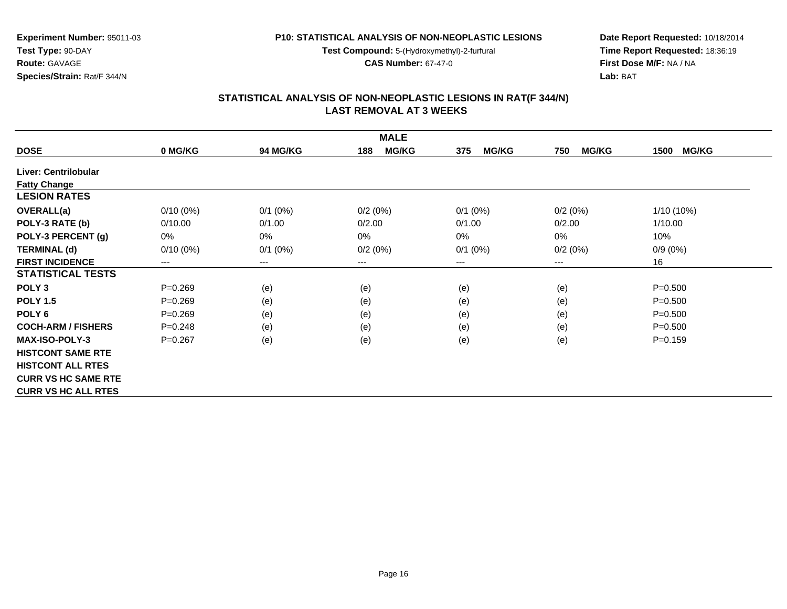**Test Compound:** 5-(Hydroxymethyl)-2-furfural

**CAS Number:** 67-47-0

**Date Report Requested:** 10/18/2014**Time Report Requested:** 18:36:19**First Dose M/F:** NA / NA**Lab:** BAT

## **STATISTICAL ANALYSIS OF NON-NEOPLASTIC LESIONS IN RAT(F 344/N) LAST REMOVAL AT 3 WEEKS**

| <b>MALE</b>                |             |                 |                     |                     |                     |                      |  |  |
|----------------------------|-------------|-----------------|---------------------|---------------------|---------------------|----------------------|--|--|
| <b>DOSE</b>                | 0 MG/KG     | <b>94 MG/KG</b> | <b>MG/KG</b><br>188 | <b>MG/KG</b><br>375 | <b>MG/KG</b><br>750 | <b>MG/KG</b><br>1500 |  |  |
| Liver: Centrilobular       |             |                 |                     |                     |                     |                      |  |  |
| <b>Fatty Change</b>        |             |                 |                     |                     |                     |                      |  |  |
| <b>LESION RATES</b>        |             |                 |                     |                     |                     |                      |  |  |
| <b>OVERALL(a)</b>          | $0/10(0\%)$ | $0/1$ (0%)      | 0/2(0%)             | $0/1$ $(0%)$        | 0/2(0%)             | $1/10(10\%)$         |  |  |
| POLY-3 RATE (b)            | 0/10.00     | 0/1.00          | 0/2.00              | 0/1.00              | 0/2.00              | 1/10.00              |  |  |
| POLY-3 PERCENT (g)         | 0%          | $0\%$           | 0%                  | 0%                  | 0%                  | 10%                  |  |  |
| <b>TERMINAL (d)</b>        | $0/10(0\%)$ | $0/1$ (0%)      | 0/2(0%)             | $0/1$ (0%)          | 0/2(0%)             | $0/9(0\%)$           |  |  |
| <b>FIRST INCIDENCE</b>     | $--$        | $---$           | $---$               | ---                 | ---                 | 16                   |  |  |
| <b>STATISTICAL TESTS</b>   |             |                 |                     |                     |                     |                      |  |  |
| POLY <sub>3</sub>          | $P = 0.269$ | (e)             | (e)                 | (e)                 | (e)                 | $P = 0.500$          |  |  |
| <b>POLY 1.5</b>            | $P = 0.269$ | (e)             | (e)                 | (e)                 | (e)                 | $P = 0.500$          |  |  |
| POLY <sub>6</sub>          | $P = 0.269$ | (e)             | (e)                 | (e)                 | (e)                 | $P = 0.500$          |  |  |
| <b>COCH-ARM / FISHERS</b>  | $P = 0.248$ | (e)             | (e)                 | (e)                 | (e)                 | $P = 0.500$          |  |  |
| <b>MAX-ISO-POLY-3</b>      | $P=0.267$   | (e)             | (e)                 | (e)                 | (e)                 | $P = 0.159$          |  |  |
| <b>HISTCONT SAME RTE</b>   |             |                 |                     |                     |                     |                      |  |  |
| <b>HISTCONT ALL RTES</b>   |             |                 |                     |                     |                     |                      |  |  |
| <b>CURR VS HC SAME RTE</b> |             |                 |                     |                     |                     |                      |  |  |
| <b>CURR VS HC ALL RTES</b> |             |                 |                     |                     |                     |                      |  |  |

**Experiment Number:** 95011-03

**Species/Strain:** Rat/F 344/N

**Test Type:** 90-DAY**Route:** GAVAGE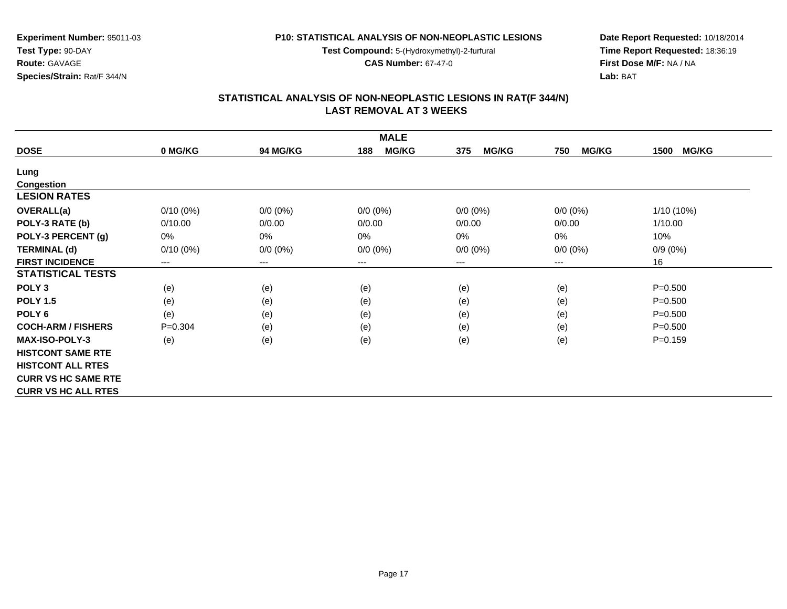**Test Compound:** 5-(Hydroxymethyl)-2-furfural

**CAS Number:** 67-47-0

**Date Report Requested:** 10/18/2014**Time Report Requested:** 18:36:19**First Dose M/F:** NA / NA**Lab:** BAT

#### **STATISTICAL ANALYSIS OF NON-NEOPLASTIC LESIONS IN RAT(F 344/N) LAST REMOVAL AT 3 WEEKS**

| <b>MALE</b>                |                        |                        |                     |                     |                        |                      |  |  |
|----------------------------|------------------------|------------------------|---------------------|---------------------|------------------------|----------------------|--|--|
| <b>DOSE</b>                | 0 MG/KG                | <b>94 MG/KG</b>        | <b>MG/KG</b><br>188 | <b>MG/KG</b><br>375 | <b>MG/KG</b><br>750    | <b>MG/KG</b><br>1500 |  |  |
| Lung                       |                        |                        |                     |                     |                        |                      |  |  |
| <b>Congestion</b>          |                        |                        |                     |                     |                        |                      |  |  |
| <b>LESION RATES</b>        |                        |                        |                     |                     |                        |                      |  |  |
| <b>OVERALL(a)</b>          | $0/10(0\%)$            | $0/0 (0\%)$            | $0/0 (0\%)$         | $0/0 (0\%)$         | $0/0 (0\%)$            | $1/10(10\%)$         |  |  |
| POLY-3 RATE (b)            | 0/10.00                | 0/0.00                 | 0/0.00              | 0/0.00              | 0/0.00                 | 1/10.00              |  |  |
| POLY-3 PERCENT (g)         | 0%                     | 0%                     | 0%                  | 0%                  | 0%                     | 10%                  |  |  |
| <b>TERMINAL (d)</b>        | $0/10(0\%)$            | $0/0 (0\%)$            | $0/0 (0\%)$         | $0/0 (0\%)$         | $0/0 (0\%)$            | $0/9(0\%)$           |  |  |
| <b>FIRST INCIDENCE</b>     | $\qquad \qquad \cdots$ | $\qquad \qquad \cdots$ | ---                 | ---                 | $\qquad \qquad \cdots$ | 16                   |  |  |
| <b>STATISTICAL TESTS</b>   |                        |                        |                     |                     |                        |                      |  |  |
| POLY <sub>3</sub>          | (e)                    | (e)                    | (e)                 | (e)                 | (e)                    | $P = 0.500$          |  |  |
| <b>POLY 1.5</b>            | (e)                    | (e)                    | (e)                 | (e)                 | (e)                    | $P = 0.500$          |  |  |
| POLY <sub>6</sub>          | (e)                    | (e)                    | (e)                 | (e)                 | (e)                    | $P = 0.500$          |  |  |
| <b>COCH-ARM / FISHERS</b>  | $P=0.304$              | (e)                    | (e)                 | (e)                 | (e)                    | $P = 0.500$          |  |  |
| <b>MAX-ISO-POLY-3</b>      | (e)                    | (e)                    | (e)                 | (e)                 | (e)                    | $P = 0.159$          |  |  |
| <b>HISTCONT SAME RTE</b>   |                        |                        |                     |                     |                        |                      |  |  |
| <b>HISTCONT ALL RTES</b>   |                        |                        |                     |                     |                        |                      |  |  |
| <b>CURR VS HC SAME RTE</b> |                        |                        |                     |                     |                        |                      |  |  |
| <b>CURR VS HC ALL RTES</b> |                        |                        |                     |                     |                        |                      |  |  |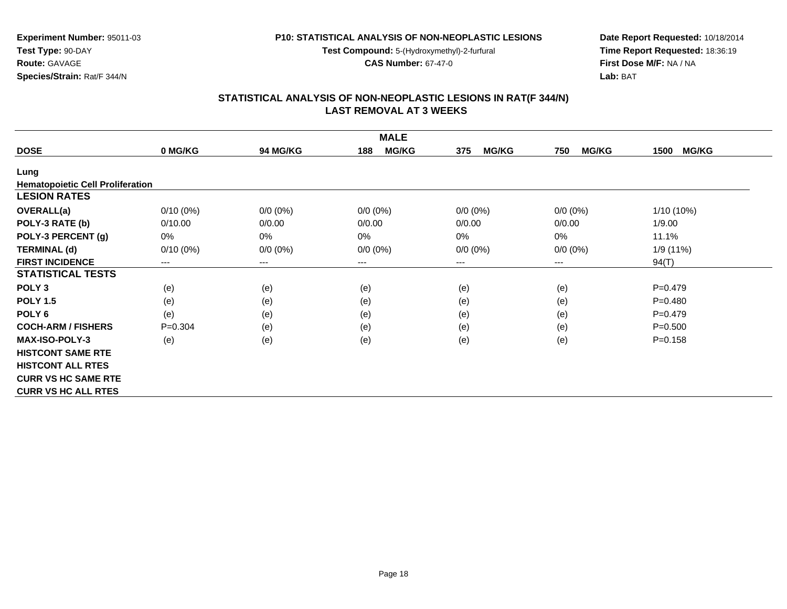**Test Compound:** 5-(Hydroxymethyl)-2-furfural

**CAS Number:** 67-47-0

**Date Report Requested:** 10/18/2014**Time Report Requested:** 18:36:19**First Dose M/F:** NA / NA**Lab:** BAT

# **STATISTICAL ANALYSIS OF NON-NEOPLASTIC LESIONS IN RAT(F 344/N) LAST REMOVAL AT 3 WEEKS**

| <b>MALE</b>                             |             |                 |                     |                     |                     |                      |  |  |
|-----------------------------------------|-------------|-----------------|---------------------|---------------------|---------------------|----------------------|--|--|
| <b>DOSE</b>                             | 0 MG/KG     | <b>94 MG/KG</b> | <b>MG/KG</b><br>188 | <b>MG/KG</b><br>375 | <b>MG/KG</b><br>750 | <b>MG/KG</b><br>1500 |  |  |
| Lung                                    |             |                 |                     |                     |                     |                      |  |  |
| <b>Hematopoietic Cell Proliferation</b> |             |                 |                     |                     |                     |                      |  |  |
| <b>LESION RATES</b>                     |             |                 |                     |                     |                     |                      |  |  |
| <b>OVERALL(a)</b>                       | $0/10(0\%)$ | $0/0 (0\%)$     | $0/0 (0\%)$         | $0/0 (0\%)$         | $0/0(0\%)$          | 1/10 (10%)           |  |  |
| POLY-3 RATE (b)                         | 0/10.00     | 0/0.00          | 0/0.00              | 0/0.00              | 0/0.00              | 1/9.00               |  |  |
| POLY-3 PERCENT (g)                      | 0%          | 0%              | 0%                  | 0%                  | 0%                  | 11.1%                |  |  |
| <b>TERMINAL (d)</b>                     | $0/10(0\%)$ | $0/0 (0\%)$     | $0/0 (0\%)$         | $0/0 (0\%)$         | $0/0 (0\%)$         | 1/9(11%)             |  |  |
| <b>FIRST INCIDENCE</b>                  | $---$       | $---$           | ---                 | $---$               | ---                 | 94(T)                |  |  |
| <b>STATISTICAL TESTS</b>                |             |                 |                     |                     |                     |                      |  |  |
| POLY <sub>3</sub>                       | (e)         | (e)             | (e)                 | (e)                 | (e)                 | $P=0.479$            |  |  |
| <b>POLY 1.5</b>                         | (e)         | (e)             | (e)                 | (e)                 | (e)                 | $P=0.480$            |  |  |
| POLY <sub>6</sub>                       | (e)         | (e)             | (e)                 | (e)                 | (e)                 | $P=0.479$            |  |  |
| <b>COCH-ARM / FISHERS</b>               | $P = 0.304$ | (e)             | (e)                 | (e)                 | (e)                 | $P = 0.500$          |  |  |
| <b>MAX-ISO-POLY-3</b>                   | (e)         | (e)             | (e)                 | (e)                 | (e)                 | $P = 0.158$          |  |  |
| <b>HISTCONT SAME RTE</b>                |             |                 |                     |                     |                     |                      |  |  |
| <b>HISTCONT ALL RTES</b>                |             |                 |                     |                     |                     |                      |  |  |
| <b>CURR VS HC SAME RTE</b>              |             |                 |                     |                     |                     |                      |  |  |
| <b>CURR VS HC ALL RTES</b>              |             |                 |                     |                     |                     |                      |  |  |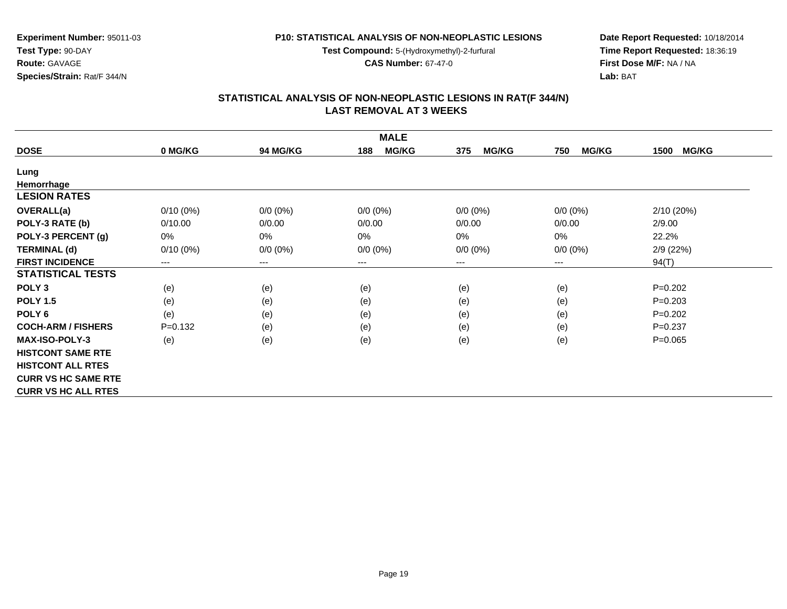**Test Compound:** 5-(Hydroxymethyl)-2-furfural

**CAS Number:** 67-47-0

**Date Report Requested:** 10/18/2014**Time Report Requested:** 18:36:19**First Dose M/F:** NA / NA**Lab:** BAT

#### **STATISTICAL ANALYSIS OF NON-NEOPLASTIC LESIONS IN RAT(F 344/N) LAST REMOVAL AT 3 WEEKS**

| <b>MALE</b>                |                        |             |                     |                     |                     |                      |  |  |
|----------------------------|------------------------|-------------|---------------------|---------------------|---------------------|----------------------|--|--|
| <b>DOSE</b>                | 0 MG/KG                | 94 MG/KG    | <b>MG/KG</b><br>188 | <b>MG/KG</b><br>375 | <b>MG/KG</b><br>750 | <b>MG/KG</b><br>1500 |  |  |
| Lung                       |                        |             |                     |                     |                     |                      |  |  |
| Hemorrhage                 |                        |             |                     |                     |                     |                      |  |  |
| <b>LESION RATES</b>        |                        |             |                     |                     |                     |                      |  |  |
| <b>OVERALL(a)</b>          | $0/10(0\%)$            | $0/0 (0\%)$ | $0/0 (0\%)$         | $0/0 (0\%)$         | $0/0 (0\%)$         | 2/10(20%)            |  |  |
| POLY-3 RATE (b)            | 0/10.00                | 0/0.00      | 0/0.00              | 0/0.00              | 0/0.00              | 2/9.00               |  |  |
| POLY-3 PERCENT (g)         | 0%                     | $0\%$       | 0%                  | $0\%$               | 0%                  | 22.2%                |  |  |
| <b>TERMINAL (d)</b>        | $0/10(0\%)$            | $0/0 (0\%)$ | $0/0 (0\%)$         | $0/0 (0\%)$         | $0/0 (0\%)$         | 2/9(22%)             |  |  |
| <b>FIRST INCIDENCE</b>     | $\qquad \qquad \cdots$ | $---$       | ---                 | ---                 | $--$                | 94(T)                |  |  |
| <b>STATISTICAL TESTS</b>   |                        |             |                     |                     |                     |                      |  |  |
| POLY <sub>3</sub>          | (e)                    | (e)         | (e)                 | (e)                 | (e)                 | $P=0.202$            |  |  |
| <b>POLY 1.5</b>            | (e)                    | (e)         | (e)                 | (e)                 | (e)                 | $P=0.203$            |  |  |
| POLY <sub>6</sub>          | (e)                    | (e)         | (e)                 | (e)                 | (e)                 | $P=0.202$            |  |  |
| <b>COCH-ARM / FISHERS</b>  | $P = 0.132$            | (e)         | (e)                 | (e)                 | (e)                 | $P=0.237$            |  |  |
| <b>MAX-ISO-POLY-3</b>      | (e)                    | (e)         | (e)                 | (e)                 | (e)                 | $P = 0.065$          |  |  |
| <b>HISTCONT SAME RTE</b>   |                        |             |                     |                     |                     |                      |  |  |
| <b>HISTCONT ALL RTES</b>   |                        |             |                     |                     |                     |                      |  |  |
| <b>CURR VS HC SAME RTE</b> |                        |             |                     |                     |                     |                      |  |  |
| <b>CURR VS HC ALL RTES</b> |                        |             |                     |                     |                     |                      |  |  |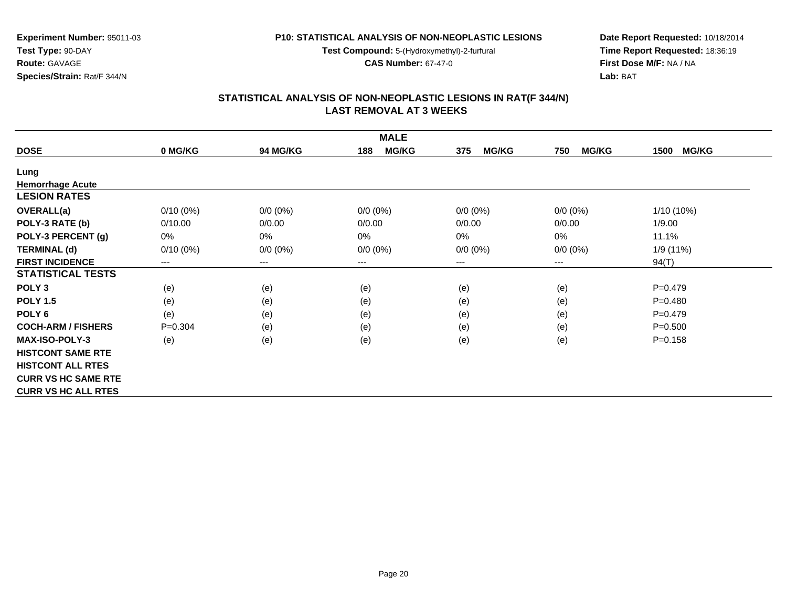**Test Compound:** 5-(Hydroxymethyl)-2-furfural

**CAS Number:** 67-47-0

**Date Report Requested:** 10/18/2014**Time Report Requested:** 18:36:19**First Dose M/F:** NA / NA**Lab:** BAT

#### **STATISTICAL ANALYSIS OF NON-NEOPLASTIC LESIONS IN RAT(F 344/N) LAST REMOVAL AT 3 WEEKS**

| <b>MALE</b>                |             |                        |                     |                     |                     |                      |  |  |
|----------------------------|-------------|------------------------|---------------------|---------------------|---------------------|----------------------|--|--|
| <b>DOSE</b>                | 0 MG/KG     | 94 MG/KG               | <b>MG/KG</b><br>188 | <b>MG/KG</b><br>375 | <b>MG/KG</b><br>750 | <b>MG/KG</b><br>1500 |  |  |
| Lung                       |             |                        |                     |                     |                     |                      |  |  |
| <b>Hemorrhage Acute</b>    |             |                        |                     |                     |                     |                      |  |  |
| <b>LESION RATES</b>        |             |                        |                     |                     |                     |                      |  |  |
| <b>OVERALL(a)</b>          | $0/10(0\%)$ | $0/0 (0\%)$            | $0/0 (0\%)$         | $0/0 (0\%)$         | $0/0 (0\%)$         | 1/10 (10%)           |  |  |
| POLY-3 RATE (b)            | 0/10.00     | 0/0.00                 | 0/0.00              | 0/0.00              | 0/0.00              | 1/9.00               |  |  |
| POLY-3 PERCENT (g)         | 0%          | $0\%$                  | 0%                  | 0%                  | 0%                  | 11.1%                |  |  |
| <b>TERMINAL (d)</b>        | $0/10(0\%)$ | $0/0 (0\%)$            | $0/0 (0\%)$         | $0/0 (0\%)$         | $0/0 (0\%)$         | 1/9 (11%)            |  |  |
| <b>FIRST INCIDENCE</b>     | $--$        | $\qquad \qquad \cdots$ | ---                 | ---                 | $---$               | 94(T)                |  |  |
| <b>STATISTICAL TESTS</b>   |             |                        |                     |                     |                     |                      |  |  |
| POLY <sub>3</sub>          | (e)         | (e)                    | (e)                 | (e)                 | (e)                 | $P=0.479$            |  |  |
| <b>POLY 1.5</b>            | (e)         | (e)                    | (e)                 | (e)                 | (e)                 | $P = 0.480$          |  |  |
| POLY <sub>6</sub>          | (e)         | (e)                    | (e)                 | (e)                 | (e)                 | $P=0.479$            |  |  |
| <b>COCH-ARM / FISHERS</b>  | $P = 0.304$ | (e)                    | (e)                 | (e)                 | (e)                 | $P = 0.500$          |  |  |
| <b>MAX-ISO-POLY-3</b>      | (e)         | (e)                    | (e)                 | (e)                 | (e)                 | $P = 0.158$          |  |  |
| <b>HISTCONT SAME RTE</b>   |             |                        |                     |                     |                     |                      |  |  |
| <b>HISTCONT ALL RTES</b>   |             |                        |                     |                     |                     |                      |  |  |
| <b>CURR VS HC SAME RTE</b> |             |                        |                     |                     |                     |                      |  |  |
| <b>CURR VS HC ALL RTES</b> |             |                        |                     |                     |                     |                      |  |  |

**Experiment Number:** 95011-03

**Test Type:** 90-DAY**Route:** GAVAGE

**Species/Strain:** Rat/F 344/N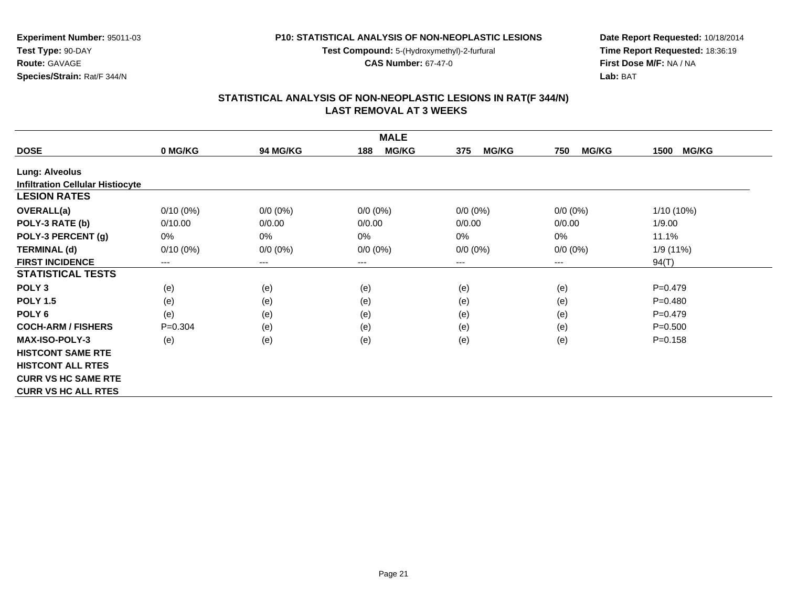**Test Compound:** 5-(Hydroxymethyl)-2-furfural

**CAS Number:** 67-47-0

**Date Report Requested:** 10/18/2014**Time Report Requested:** 18:36:19**First Dose M/F:** NA / NA**Lab:** BAT

| <b>MALE</b>                             |                        |                        |                     |                     |                     |                      |  |  |
|-----------------------------------------|------------------------|------------------------|---------------------|---------------------|---------------------|----------------------|--|--|
| <b>DOSE</b>                             | 0 MG/KG                | <b>94 MG/KG</b>        | <b>MG/KG</b><br>188 | <b>MG/KG</b><br>375 | <b>MG/KG</b><br>750 | <b>MG/KG</b><br>1500 |  |  |
| <b>Lung: Alveolus</b>                   |                        |                        |                     |                     |                     |                      |  |  |
| <b>Infiltration Cellular Histiocyte</b> |                        |                        |                     |                     |                     |                      |  |  |
| <b>LESION RATES</b>                     |                        |                        |                     |                     |                     |                      |  |  |
| <b>OVERALL(a)</b>                       | $0/10(0\%)$            | $0/0 (0\%)$            | $0/0 (0\%)$         | $0/0 (0\%)$         | $0/0 (0\%)$         | $1/10(10\%)$         |  |  |
| POLY-3 RATE (b)                         | 0/10.00                | 0/0.00                 | 0/0.00              | 0/0.00              | 0/0.00              | 1/9.00               |  |  |
| POLY-3 PERCENT (g)                      | 0%                     | 0%                     | 0%                  | 0%                  | 0%                  | 11.1%                |  |  |
| <b>TERMINAL (d)</b>                     | $0/10(0\%)$            | $0/0 (0\%)$            | $0/0 (0\%)$         | $0/0 (0\%)$         | $0/0 (0\%)$         | 1/9(11%)             |  |  |
| <b>FIRST INCIDENCE</b>                  | $\qquad \qquad \cdots$ | $\qquad \qquad \cdots$ | $---$               | ---                 | $---$               | 94(T)                |  |  |
| <b>STATISTICAL TESTS</b>                |                        |                        |                     |                     |                     |                      |  |  |
| POLY <sub>3</sub>                       | (e)                    | (e)                    | (e)                 | (e)                 | (e)                 | $P=0.479$            |  |  |
| <b>POLY 1.5</b>                         | (e)                    | (e)                    | (e)                 | (e)                 | (e)                 | $P=0.480$            |  |  |
| POLY <sub>6</sub>                       | (e)                    | (e)                    | (e)                 | (e)                 | (e)                 | $P=0.479$            |  |  |
| <b>COCH-ARM / FISHERS</b>               | $P=0.304$              | (e)                    | (e)                 | (e)                 | (e)                 | $P = 0.500$          |  |  |
| <b>MAX-ISO-POLY-3</b>                   | (e)                    | (e)                    | (e)                 | (e)                 | (e)                 | $P = 0.158$          |  |  |
| <b>HISTCONT SAME RTE</b>                |                        |                        |                     |                     |                     |                      |  |  |
| <b>HISTCONT ALL RTES</b>                |                        |                        |                     |                     |                     |                      |  |  |
| <b>CURR VS HC SAME RTE</b>              |                        |                        |                     |                     |                     |                      |  |  |
| <b>CURR VS HC ALL RTES</b>              |                        |                        |                     |                     |                     |                      |  |  |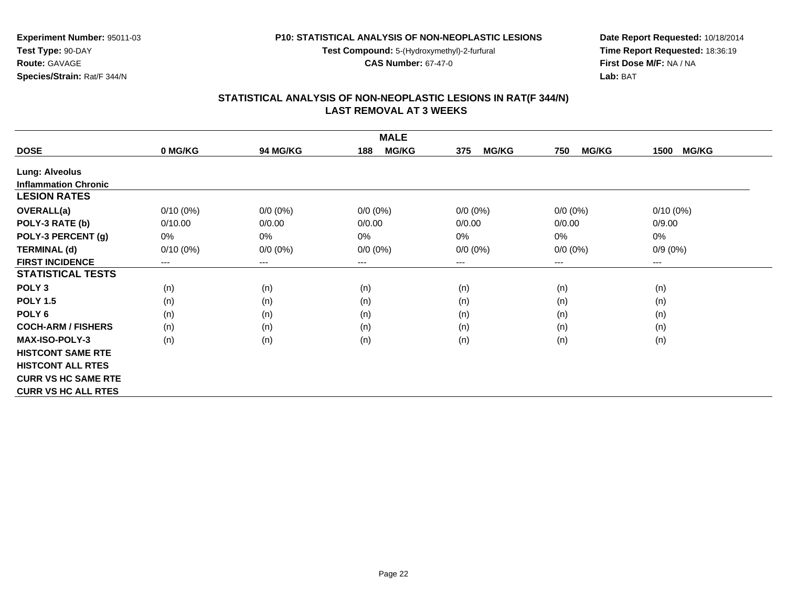**Test Compound:** 5-(Hydroxymethyl)-2-furfural

**CAS Number:** 67-47-0

**Date Report Requested:** 10/18/2014**Time Report Requested:** 18:36:19**First Dose M/F:** NA / NA**Lab:** BAT

| <b>MALE</b>                 |             |                 |                     |                     |                     |                      |  |  |
|-----------------------------|-------------|-----------------|---------------------|---------------------|---------------------|----------------------|--|--|
| <b>DOSE</b>                 | 0 MG/KG     | <b>94 MG/KG</b> | <b>MG/KG</b><br>188 | <b>MG/KG</b><br>375 | <b>MG/KG</b><br>750 | <b>MG/KG</b><br>1500 |  |  |
| <b>Lung: Alveolus</b>       |             |                 |                     |                     |                     |                      |  |  |
| <b>Inflammation Chronic</b> |             |                 |                     |                     |                     |                      |  |  |
| <b>LESION RATES</b>         |             |                 |                     |                     |                     |                      |  |  |
| <b>OVERALL(a)</b>           | $0/10(0\%)$ | $0/0 (0\%)$     | $0/0 (0\%)$         | $0/0 (0\%)$         | $0/0 (0\%)$         | $0/10(0\%)$          |  |  |
| POLY-3 RATE (b)             | 0/10.00     | 0/0.00          | 0/0.00              | 0/0.00              | 0/0.00              | 0/9.00               |  |  |
| POLY-3 PERCENT (g)          | 0%          | $0\%$           | 0%                  | 0%                  | $0\%$               | 0%                   |  |  |
| <b>TERMINAL (d)</b>         | $0/10(0\%)$ | $0/0 (0\%)$     | $0/0 (0\%)$         | $0/0 (0\%)$         | $0/0 (0\%)$         | $0/9(0\%)$           |  |  |
| <b>FIRST INCIDENCE</b>      | $---$       | $---$           | ---                 | ---                 | $---$               | $---$                |  |  |
| <b>STATISTICAL TESTS</b>    |             |                 |                     |                     |                     |                      |  |  |
| POLY <sub>3</sub>           | (n)         | (n)             | (n)                 | (n)                 | (n)                 | (n)                  |  |  |
| <b>POLY 1.5</b>             | (n)         | (n)             | (n)                 | (n)                 | (n)                 | (n)                  |  |  |
| POLY <sub>6</sub>           | (n)         | (n)             | (n)                 | (n)                 | (n)                 | (n)                  |  |  |
| <b>COCH-ARM / FISHERS</b>   | (n)         | (n)             | (n)                 | (n)                 | (n)                 | (n)                  |  |  |
| <b>MAX-ISO-POLY-3</b>       | (n)         | (n)             | (n)                 | (n)                 | (n)                 | (n)                  |  |  |
| <b>HISTCONT SAME RTE</b>    |             |                 |                     |                     |                     |                      |  |  |
| <b>HISTCONT ALL RTES</b>    |             |                 |                     |                     |                     |                      |  |  |
| <b>CURR VS HC SAME RTE</b>  |             |                 |                     |                     |                     |                      |  |  |
| <b>CURR VS HC ALL RTES</b>  |             |                 |                     |                     |                     |                      |  |  |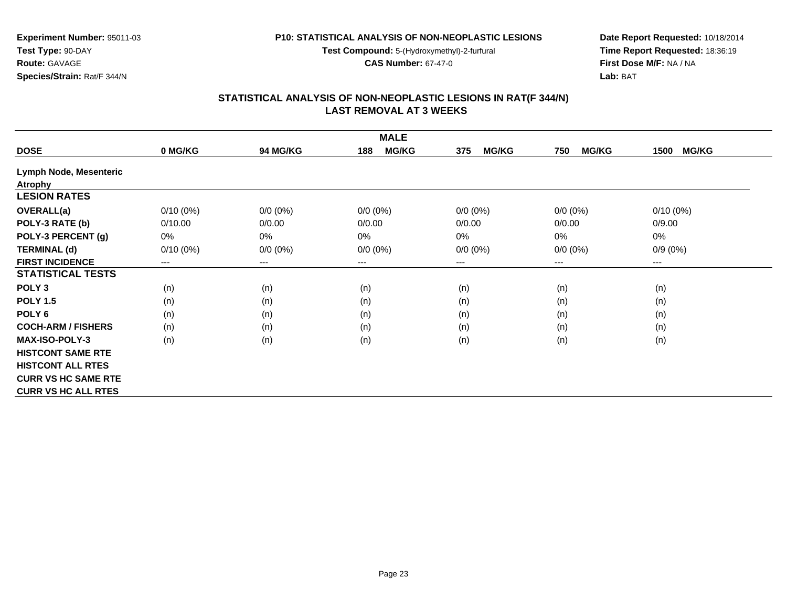**Test Compound:** 5-(Hydroxymethyl)-2-furfural

**CAS Number:** 67-47-0

**Date Report Requested:** 10/18/2014**Time Report Requested:** 18:36:19**First Dose M/F:** NA / NA**Lab:** BAT

## **STATISTICAL ANALYSIS OF NON-NEOPLASTIC LESIONS IN RAT(F 344/N) LAST REMOVAL AT 3 WEEKS**

| <b>MALE</b>                   |             |             |                     |                     |                     |                        |  |  |
|-------------------------------|-------------|-------------|---------------------|---------------------|---------------------|------------------------|--|--|
| <b>DOSE</b>                   | 0 MG/KG     | 94 MG/KG    | <b>MG/KG</b><br>188 | <b>MG/KG</b><br>375 | <b>MG/KG</b><br>750 | <b>MG/KG</b><br>1500   |  |  |
| <b>Lymph Node, Mesenteric</b> |             |             |                     |                     |                     |                        |  |  |
| <b>Atrophy</b>                |             |             |                     |                     |                     |                        |  |  |
| <b>LESION RATES</b>           |             |             |                     |                     |                     |                        |  |  |
| <b>OVERALL(a)</b>             | $0/10(0\%)$ | $0/0 (0\%)$ | $0/0 (0\%)$         | $0/0 (0\%)$         | $0/0 (0\%)$         | $0/10(0\%)$            |  |  |
| POLY-3 RATE (b)               | 0/10.00     | 0/0.00      | 0/0.00              | 0/0.00              | 0/0.00              | 0/9.00                 |  |  |
| POLY-3 PERCENT (g)            | 0%          | 0%          | $0\%$               | 0%                  | $0\%$               | $0\%$                  |  |  |
| <b>TERMINAL (d)</b>           | $0/10(0\%)$ | $0/0 (0\%)$ | $0/0 (0\%)$         | $0/0 (0\%)$         | $0/0 (0\%)$         | $0/9(0\%)$             |  |  |
| <b>FIRST INCIDENCE</b>        | $---$       | $---$       | ---                 | ---                 | ---                 | $\qquad \qquad \cdots$ |  |  |
| <b>STATISTICAL TESTS</b>      |             |             |                     |                     |                     |                        |  |  |
| POLY <sub>3</sub>             | (n)         | (n)         | (n)                 | (n)                 | (n)                 | (n)                    |  |  |
| <b>POLY 1.5</b>               | (n)         | (n)         | (n)                 | (n)                 | (n)                 | (n)                    |  |  |
| POLY <sub>6</sub>             | (n)         | (n)         | (n)                 | (n)                 | (n)                 | (n)                    |  |  |
| <b>COCH-ARM / FISHERS</b>     | (n)         | (n)         | (n)                 | (n)                 | (n)                 | (n)                    |  |  |
| <b>MAX-ISO-POLY-3</b>         | (n)         | (n)         | (n)                 | (n)                 | (n)                 | (n)                    |  |  |
| <b>HISTCONT SAME RTE</b>      |             |             |                     |                     |                     |                        |  |  |
| <b>HISTCONT ALL RTES</b>      |             |             |                     |                     |                     |                        |  |  |
| <b>CURR VS HC SAME RTE</b>    |             |             |                     |                     |                     |                        |  |  |
| <b>CURR VS HC ALL RTES</b>    |             |             |                     |                     |                     |                        |  |  |

**Experiment Number:** 95011-03

**Species/Strain:** Rat/F 344/N

**Test Type:** 90-DAY**Route:** GAVAGE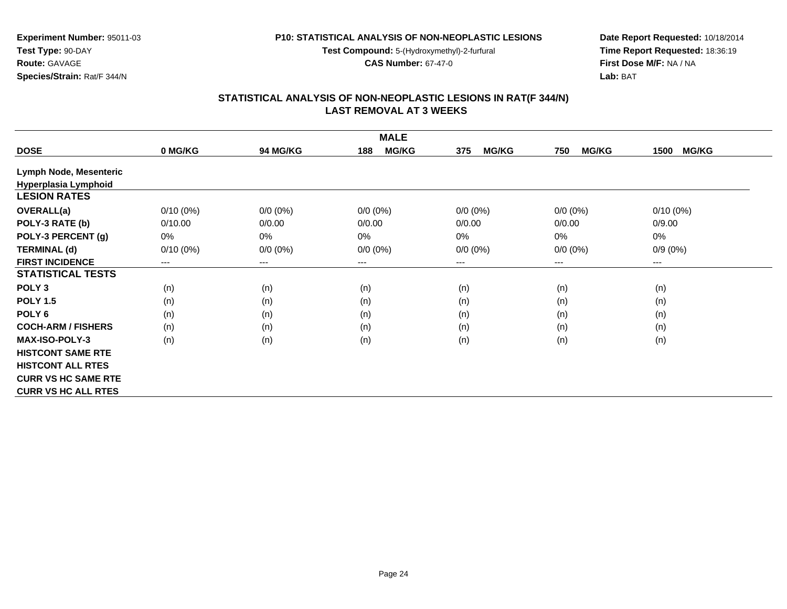**Test Compound:** 5-(Hydroxymethyl)-2-furfural

**CAS Number:** 67-47-0

**Date Report Requested:** 10/18/2014**Time Report Requested:** 18:36:19**First Dose M/F:** NA / NA**Lab:** BAT

## **STATISTICAL ANALYSIS OF NON-NEOPLASTIC LESIONS IN RAT(F 344/N) LAST REMOVAL AT 3 WEEKS**

| <b>MALE</b>                   |                        |                        |                     |                     |                     |                      |  |  |
|-------------------------------|------------------------|------------------------|---------------------|---------------------|---------------------|----------------------|--|--|
| <b>DOSE</b>                   | 0 MG/KG                | <b>94 MG/KG</b>        | <b>MG/KG</b><br>188 | <b>MG/KG</b><br>375 | <b>MG/KG</b><br>750 | <b>MG/KG</b><br>1500 |  |  |
| <b>Lymph Node, Mesenteric</b> |                        |                        |                     |                     |                     |                      |  |  |
| Hyperplasia Lymphoid          |                        |                        |                     |                     |                     |                      |  |  |
| <b>LESION RATES</b>           |                        |                        |                     |                     |                     |                      |  |  |
| <b>OVERALL(a)</b>             | $0/10(0\%)$            | $0/0 (0\%)$            | $0/0 (0\%)$         | $0/0$ $(0%)$        | $0/0 (0\%)$         | $0/10(0\%)$          |  |  |
| POLY-3 RATE (b)               | 0/10.00                | 0/0.00                 | 0/0.00              | 0/0.00              | 0/0.00              | 0/9.00               |  |  |
| POLY-3 PERCENT (g)            | 0%                     | $0\%$                  | 0%                  | 0%                  | $0\%$               | 0%                   |  |  |
| <b>TERMINAL (d)</b>           | $0/10(0\%)$            | $0/0 (0\%)$            | $0/0 (0\%)$         | $0/0 (0\%)$         | $0/0 (0\%)$         | $0/9(0\%)$           |  |  |
| <b>FIRST INCIDENCE</b>        | $\qquad \qquad \cdots$ | $\qquad \qquad \cdots$ | $---$               | $---$               | ---                 | ---                  |  |  |
| <b>STATISTICAL TESTS</b>      |                        |                        |                     |                     |                     |                      |  |  |
| POLY <sub>3</sub>             | (n)                    | (n)                    | (n)                 | (n)                 | (n)                 | (n)                  |  |  |
| <b>POLY 1.5</b>               | (n)                    | (n)                    | (n)                 | (n)                 | (n)                 | (n)                  |  |  |
| POLY <sub>6</sub>             | (n)                    | (n)                    | (n)                 | (n)                 | (n)                 | (n)                  |  |  |
| <b>COCH-ARM / FISHERS</b>     | (n)                    | (n)                    | (n)                 | (n)                 | (n)                 | (n)                  |  |  |
| <b>MAX-ISO-POLY-3</b>         | (n)                    | (n)                    | (n)                 | (n)                 | (n)                 | (n)                  |  |  |
| <b>HISTCONT SAME RTE</b>      |                        |                        |                     |                     |                     |                      |  |  |
| <b>HISTCONT ALL RTES</b>      |                        |                        |                     |                     |                     |                      |  |  |
| <b>CURR VS HC SAME RTE</b>    |                        |                        |                     |                     |                     |                      |  |  |
| <b>CURR VS HC ALL RTES</b>    |                        |                        |                     |                     |                     |                      |  |  |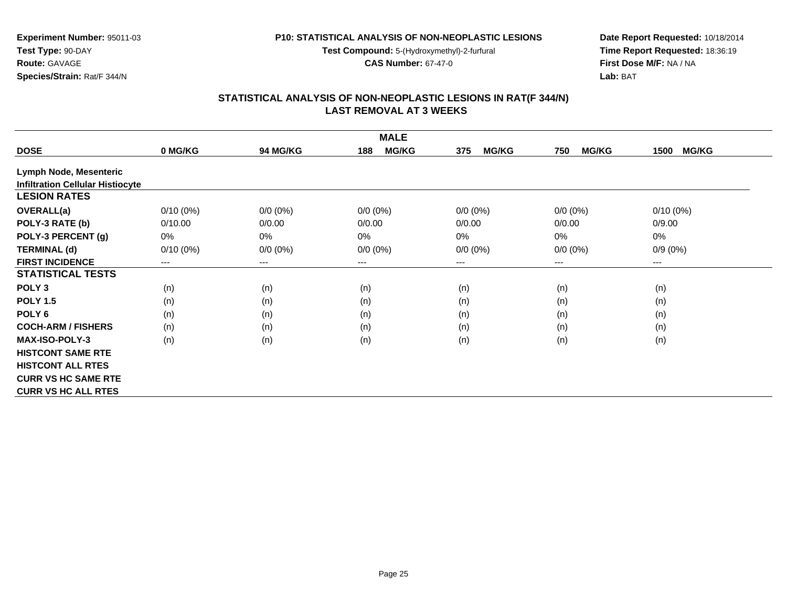**Test Compound:** 5-(Hydroxymethyl)-2-furfural

**CAS Number:** 67-47-0

**Date Report Requested:** 10/18/2014**Time Report Requested:** 18:36:19**First Dose M/F:** NA / NA**Lab:** BAT

#### **STATISTICAL ANALYSIS OF NON-NEOPLASTIC LESIONS IN RAT(F 344/N) LAST REMOVAL AT 3 WEEKS**

| <b>MALE</b>                             |             |                        |                     |                     |                     |                      |  |  |
|-----------------------------------------|-------------|------------------------|---------------------|---------------------|---------------------|----------------------|--|--|
| <b>DOSE</b>                             | 0 MG/KG     | <b>94 MG/KG</b>        | <b>MG/KG</b><br>188 | <b>MG/KG</b><br>375 | <b>MG/KG</b><br>750 | <b>MG/KG</b><br>1500 |  |  |
| <b>Lymph Node, Mesenteric</b>           |             |                        |                     |                     |                     |                      |  |  |
| <b>Infiltration Cellular Histiocyte</b> |             |                        |                     |                     |                     |                      |  |  |
| <b>LESION RATES</b>                     |             |                        |                     |                     |                     |                      |  |  |
| <b>OVERALL(a)</b>                       | $0/10(0\%)$ | $0/0 (0\%)$            | $0/0 (0\%)$         | $0/0 (0\%)$         | $0/0 (0\%)$         | $0/10(0\%)$          |  |  |
| POLY-3 RATE (b)                         | 0/10.00     | 0/0.00                 | 0/0.00              | 0/0.00              | 0/0.00              | 0/9.00               |  |  |
| POLY-3 PERCENT (g)                      | 0%          | 0%                     | $0\%$               | 0%                  | 0%                  | 0%                   |  |  |
| <b>TERMINAL (d)</b>                     | $0/10(0\%)$ | $0/0 (0\%)$            | $0/0 (0\%)$         | $0/0 (0\%)$         | $0/0 (0\%)$         | $0/9(0\%)$           |  |  |
| <b>FIRST INCIDENCE</b>                  | $---$       | $\qquad \qquad \cdots$ | ---                 | ---                 | ---                 | ---                  |  |  |
| <b>STATISTICAL TESTS</b>                |             |                        |                     |                     |                     |                      |  |  |
| POLY <sub>3</sub>                       | (n)         | (n)                    | (n)                 | (n)                 | (n)                 | (n)                  |  |  |
| <b>POLY 1.5</b>                         | (n)         | (n)                    | (n)                 | (n)                 | (n)                 | (n)                  |  |  |
| POLY <sub>6</sub>                       | (n)         | (n)                    | (n)                 | (n)                 | (n)                 | (n)                  |  |  |
| <b>COCH-ARM / FISHERS</b>               | (n)         | (n)                    | (n)                 | (n)                 | (n)                 | (n)                  |  |  |
| <b>MAX-ISO-POLY-3</b>                   | (n)         | (n)                    | (n)                 | (n)                 | (n)                 | (n)                  |  |  |
| <b>HISTCONT SAME RTE</b>                |             |                        |                     |                     |                     |                      |  |  |
| <b>HISTCONT ALL RTES</b>                |             |                        |                     |                     |                     |                      |  |  |
| <b>CURR VS HC SAME RTE</b>              |             |                        |                     |                     |                     |                      |  |  |
| <b>CURR VS HC ALL RTES</b>              |             |                        |                     |                     |                     |                      |  |  |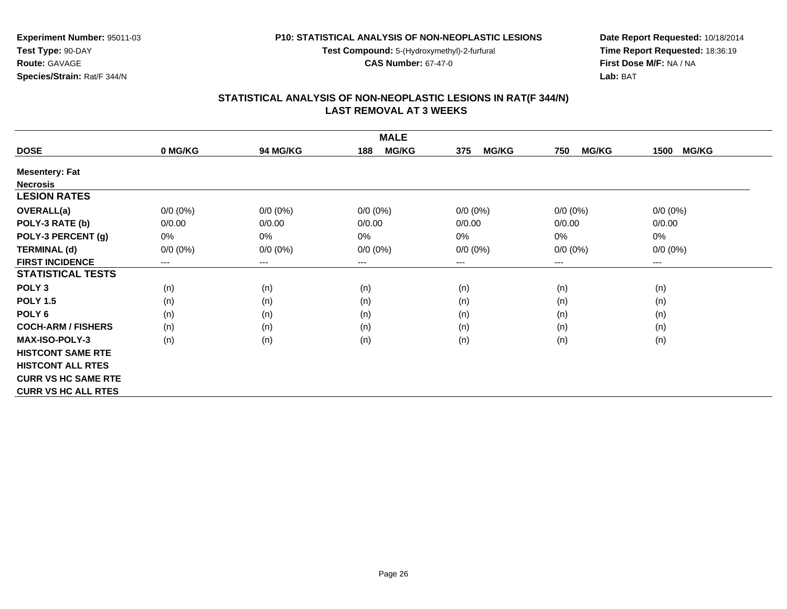**Test Compound:** 5-(Hydroxymethyl)-2-furfural

**CAS Number:** 67-47-0

**Date Report Requested:** 10/18/2014**Time Report Requested:** 18:36:19**First Dose M/F:** NA / NA**Lab:** BAT

| <b>MALE</b>                |             |                        |                     |                     |                     |                      |  |  |
|----------------------------|-------------|------------------------|---------------------|---------------------|---------------------|----------------------|--|--|
| <b>DOSE</b>                | 0 MG/KG     | <b>94 MG/KG</b>        | <b>MG/KG</b><br>188 | <b>MG/KG</b><br>375 | <b>MG/KG</b><br>750 | <b>MG/KG</b><br>1500 |  |  |
| <b>Mesentery: Fat</b>      |             |                        |                     |                     |                     |                      |  |  |
| <b>Necrosis</b>            |             |                        |                     |                     |                     |                      |  |  |
| <b>LESION RATES</b>        |             |                        |                     |                     |                     |                      |  |  |
| <b>OVERALL(a)</b>          | $0/0 (0\%)$ | $0/0 (0\%)$            | $0/0 (0\%)$         | $0/0 (0\%)$         | $0/0 (0\%)$         | $0/0 (0\%)$          |  |  |
| POLY-3 RATE (b)            | 0/0.00      | 0/0.00                 | 0/0.00              | 0/0.00              | 0/0.00              | 0/0.00               |  |  |
| POLY-3 PERCENT (g)         | 0%          | 0%                     | 0%                  | 0%                  | 0%                  | $0\%$                |  |  |
| <b>TERMINAL (d)</b>        | $0/0 (0\%)$ | $0/0 (0\%)$            | $0/0 (0\%)$         | $0/0 (0\%)$         | $0/0 (0\%)$         | $0/0 (0\%)$          |  |  |
| <b>FIRST INCIDENCE</b>     | ---         | $\qquad \qquad \cdots$ | $---$               | ---                 | $---$               | ---                  |  |  |
| <b>STATISTICAL TESTS</b>   |             |                        |                     |                     |                     |                      |  |  |
| POLY <sub>3</sub>          | (n)         | (n)                    | (n)                 | (n)                 | (n)                 | (n)                  |  |  |
| <b>POLY 1.5</b>            | (n)         | (n)                    | (n)                 | (n)                 | (n)                 | (n)                  |  |  |
| POLY <sub>6</sub>          | (n)         | (n)                    | (n)                 | (n)                 | (n)                 | (n)                  |  |  |
| <b>COCH-ARM / FISHERS</b>  | (n)         | (n)                    | (n)                 | (n)                 | (n)                 | (n)                  |  |  |
| <b>MAX-ISO-POLY-3</b>      | (n)         | (n)                    | (n)                 | (n)                 | (n)                 | (n)                  |  |  |
| <b>HISTCONT SAME RTE</b>   |             |                        |                     |                     |                     |                      |  |  |
| <b>HISTCONT ALL RTES</b>   |             |                        |                     |                     |                     |                      |  |  |
| <b>CURR VS HC SAME RTE</b> |             |                        |                     |                     |                     |                      |  |  |
| <b>CURR VS HC ALL RTES</b> |             |                        |                     |                     |                     |                      |  |  |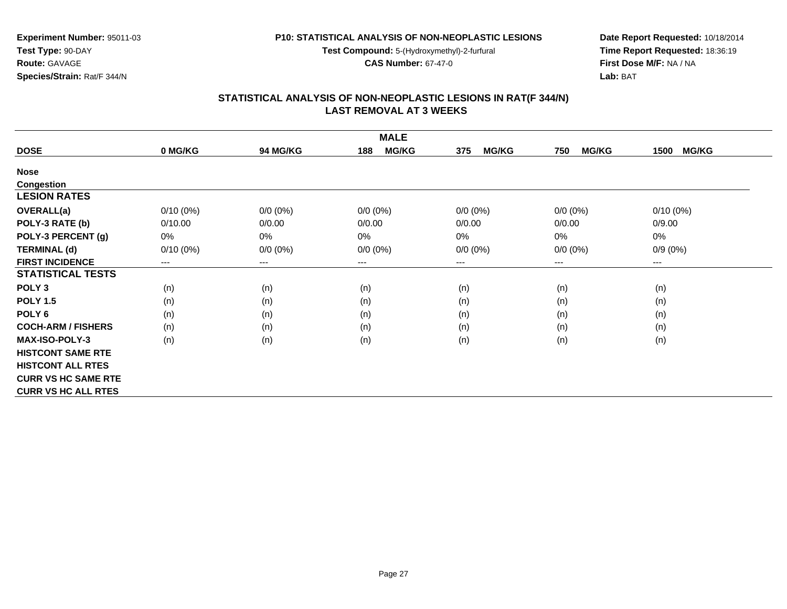**Test Compound:** 5-(Hydroxymethyl)-2-furfural

**CAS Number:** 67-47-0

**Date Report Requested:** 10/18/2014**Time Report Requested:** 18:36:19**First Dose M/F:** NA / NA**Lab:** BAT

#### **STATISTICAL ANALYSIS OF NON-NEOPLASTIC LESIONS IN RAT(F 344/N) LAST REMOVAL AT 3 WEEKS**

| <b>MALE</b>                |             |                 |                     |                     |                     |                      |  |  |
|----------------------------|-------------|-----------------|---------------------|---------------------|---------------------|----------------------|--|--|
| <b>DOSE</b>                | 0 MG/KG     | <b>94 MG/KG</b> | <b>MG/KG</b><br>188 | <b>MG/KG</b><br>375 | <b>MG/KG</b><br>750 | <b>MG/KG</b><br>1500 |  |  |
| <b>Nose</b>                |             |                 |                     |                     |                     |                      |  |  |
| <b>Congestion</b>          |             |                 |                     |                     |                     |                      |  |  |
| <b>LESION RATES</b>        |             |                 |                     |                     |                     |                      |  |  |
| <b>OVERALL(a)</b>          | $0/10(0\%)$ | $0/0 (0\%)$     | $0/0 (0\%)$         | $0/0 (0\%)$         | $0/0 (0\%)$         | $0/10(0\%)$          |  |  |
| POLY-3 RATE (b)            | 0/10.00     | 0/0.00          | 0/0.00              | 0/0.00              | 0/0.00              | 0/9.00               |  |  |
| POLY-3 PERCENT (g)         | 0%          | 0%              | 0%                  | $0\%$               | 0%                  | 0%                   |  |  |
| <b>TERMINAL (d)</b>        | $0/10(0\%)$ | $0/0 (0\%)$     | $0/0 (0\%)$         | $0/0 (0\%)$         | $0/0 (0\%)$         | $0/9(0\%)$           |  |  |
| <b>FIRST INCIDENCE</b>     | $---$       | $\cdots$        | ---                 | ---                 | ---                 | ---                  |  |  |
| <b>STATISTICAL TESTS</b>   |             |                 |                     |                     |                     |                      |  |  |
| POLY <sub>3</sub>          | (n)         | (n)             | (n)                 | (n)                 | (n)                 | (n)                  |  |  |
| <b>POLY 1.5</b>            | (n)         | (n)             | (n)                 | (n)                 | (n)                 | (n)                  |  |  |
| POLY <sub>6</sub>          | (n)         | (n)             | (n)                 | (n)                 | (n)                 | (n)                  |  |  |
| <b>COCH-ARM / FISHERS</b>  | (n)         | (n)             | (n)                 | (n)                 | (n)                 | (n)                  |  |  |
| <b>MAX-ISO-POLY-3</b>      | (n)         | (n)             | (n)                 | (n)                 | (n)                 | (n)                  |  |  |
| <b>HISTCONT SAME RTE</b>   |             |                 |                     |                     |                     |                      |  |  |
| <b>HISTCONT ALL RTES</b>   |             |                 |                     |                     |                     |                      |  |  |
| <b>CURR VS HC SAME RTE</b> |             |                 |                     |                     |                     |                      |  |  |
| <b>CURR VS HC ALL RTES</b> |             |                 |                     |                     |                     |                      |  |  |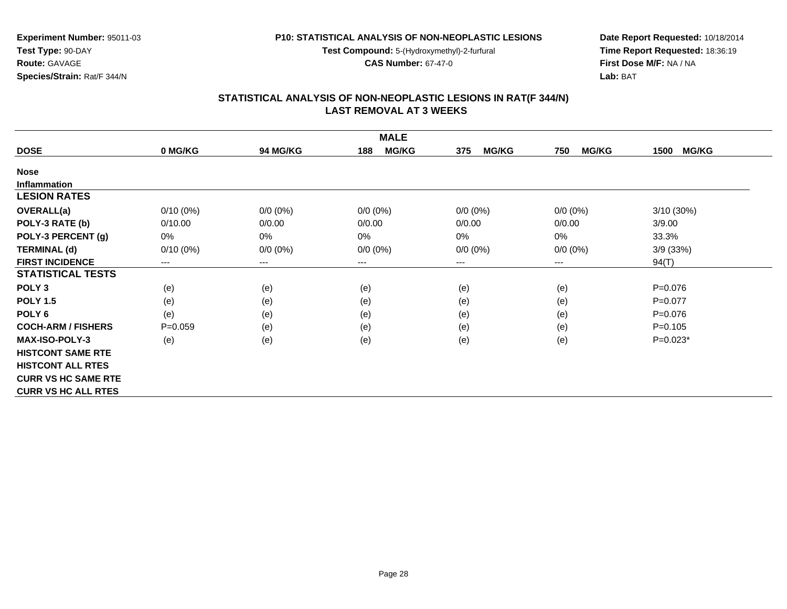**Test Compound:** 5-(Hydroxymethyl)-2-furfural

**CAS Number:** 67-47-0

**Date Report Requested:** 10/18/2014**Time Report Requested:** 18:36:19**First Dose M/F:** NA / NA**Lab:** BAT

#### **STATISTICAL ANALYSIS OF NON-NEOPLASTIC LESIONS IN RAT(F 344/N) LAST REMOVAL AT 3 WEEKS**

| <b>MALE</b>                |             |                        |                     |                     |                     |                      |  |  |
|----------------------------|-------------|------------------------|---------------------|---------------------|---------------------|----------------------|--|--|
| <b>DOSE</b>                | 0 MG/KG     | <b>94 MG/KG</b>        | <b>MG/KG</b><br>188 | <b>MG/KG</b><br>375 | <b>MG/KG</b><br>750 | <b>MG/KG</b><br>1500 |  |  |
| <b>Nose</b>                |             |                        |                     |                     |                     |                      |  |  |
| <b>Inflammation</b>        |             |                        |                     |                     |                     |                      |  |  |
| <b>LESION RATES</b>        |             |                        |                     |                     |                     |                      |  |  |
| <b>OVERALL(a)</b>          | $0/10(0\%)$ | $0/0 (0\%)$            | $0/0 (0\%)$         | $0/0 (0\%)$         | $0/0 (0\%)$         | 3/10 (30%)           |  |  |
| POLY-3 RATE (b)            | 0/10.00     | 0/0.00                 | 0/0.00              | 0/0.00              | 0/0.00              | 3/9.00               |  |  |
| POLY-3 PERCENT (g)         | 0%          | 0%                     | 0%                  | 0%                  | $0\%$               | 33.3%                |  |  |
| <b>TERMINAL (d)</b>        | $0/10(0\%)$ | $0/0 (0\%)$            | $0/0 (0\%)$         | $0/0 (0\%)$         | $0/0 (0\%)$         | 3/9 (33%)            |  |  |
| <b>FIRST INCIDENCE</b>     | $---$       | $\qquad \qquad \cdots$ | $---$               | ---                 | ---                 | 94(T)                |  |  |
| <b>STATISTICAL TESTS</b>   |             |                        |                     |                     |                     |                      |  |  |
| POLY <sub>3</sub>          | (e)         | (e)                    | (e)                 | (e)                 | (e)                 | $P=0.076$            |  |  |
| <b>POLY 1.5</b>            | (e)         | (e)                    | (e)                 | (e)                 | (e)                 | $P=0.077$            |  |  |
| POLY <sub>6</sub>          | (e)         | (e)                    | (e)                 | (e)                 | (e)                 | $P=0.076$            |  |  |
| <b>COCH-ARM / FISHERS</b>  | $P=0.059$   | (e)                    | (e)                 | (e)                 | (e)                 | $P=0.105$            |  |  |
| <b>MAX-ISO-POLY-3</b>      | (e)         | (e)                    | (e)                 | (e)                 | (e)                 | $P=0.023*$           |  |  |
| <b>HISTCONT SAME RTE</b>   |             |                        |                     |                     |                     |                      |  |  |
| <b>HISTCONT ALL RTES</b>   |             |                        |                     |                     |                     |                      |  |  |
| <b>CURR VS HC SAME RTE</b> |             |                        |                     |                     |                     |                      |  |  |
| <b>CURR VS HC ALL RTES</b> |             |                        |                     |                     |                     |                      |  |  |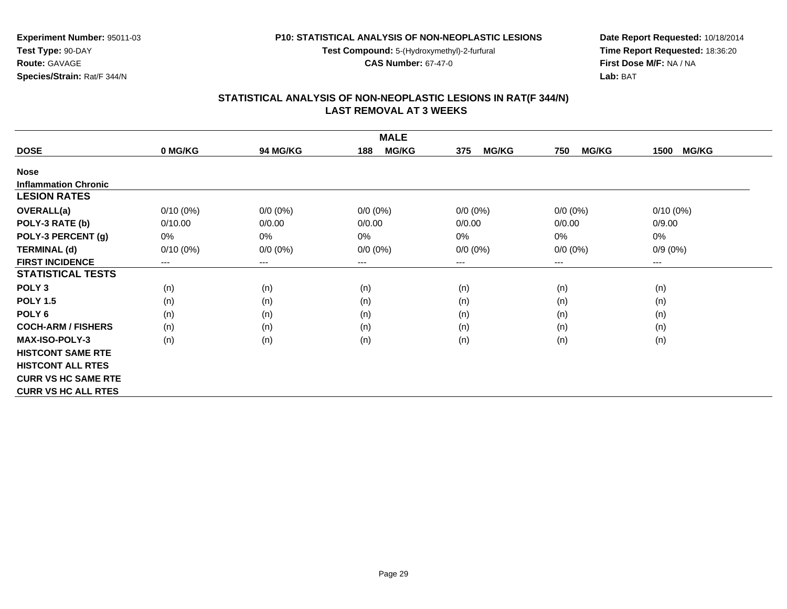**Test Compound:** 5-(Hydroxymethyl)-2-furfural

**CAS Number:** 67-47-0

**Date Report Requested:** 10/18/2014 **Time Report Requested:** 18:36:20**First Dose M/F:** NA / NA**Lab:** BAT

| <b>MALE</b>                 |             |                 |                     |                     |                     |                      |  |  |
|-----------------------------|-------------|-----------------|---------------------|---------------------|---------------------|----------------------|--|--|
| <b>DOSE</b>                 | 0 MG/KG     | <b>94 MG/KG</b> | <b>MG/KG</b><br>188 | <b>MG/KG</b><br>375 | <b>MG/KG</b><br>750 | <b>MG/KG</b><br>1500 |  |  |
| <b>Nose</b>                 |             |                 |                     |                     |                     |                      |  |  |
| <b>Inflammation Chronic</b> |             |                 |                     |                     |                     |                      |  |  |
| <b>LESION RATES</b>         |             |                 |                     |                     |                     |                      |  |  |
| <b>OVERALL(a)</b>           | $0/10(0\%)$ | $0/0 (0\%)$     | $0/0 (0\%)$         | $0/0 (0\%)$         | $0/0 (0\%)$         | $0/10(0\%)$          |  |  |
| POLY-3 RATE (b)             | 0/10.00     | 0/0.00          | 0/0.00              | 0/0.00              | 0/0.00              | 0/9.00               |  |  |
| POLY-3 PERCENT (g)          | 0%          | 0%              | $0\%$               | 0%                  | 0%                  | $0\%$                |  |  |
| <b>TERMINAL (d)</b>         | $0/10(0\%)$ | $0/0 (0\%)$     | $0/0 (0\%)$         | $0/0 (0\%)$         | $0/0 (0\%)$         | $0/9(0\%)$           |  |  |
| <b>FIRST INCIDENCE</b>      | $---$       | $---$           | ---                 | ---                 | ---                 | $---$                |  |  |
| <b>STATISTICAL TESTS</b>    |             |                 |                     |                     |                     |                      |  |  |
| POLY <sub>3</sub>           | (n)         | (n)             | (n)                 | (n)                 | (n)                 | (n)                  |  |  |
| <b>POLY 1.5</b>             | (n)         | (n)             | (n)                 | (n)                 | (n)                 | (n)                  |  |  |
| POLY <sub>6</sub>           | (n)         | (n)             | (n)                 | (n)                 | (n)                 | (n)                  |  |  |
| <b>COCH-ARM / FISHERS</b>   | (n)         | (n)             | (n)                 | (n)                 | (n)                 | (n)                  |  |  |
| <b>MAX-ISO-POLY-3</b>       | (n)         | (n)             | (n)                 | (n)                 | (n)                 | (n)                  |  |  |
| <b>HISTCONT SAME RTE</b>    |             |                 |                     |                     |                     |                      |  |  |
| <b>HISTCONT ALL RTES</b>    |             |                 |                     |                     |                     |                      |  |  |
| <b>CURR VS HC SAME RTE</b>  |             |                 |                     |                     |                     |                      |  |  |
| <b>CURR VS HC ALL RTES</b>  |             |                 |                     |                     |                     |                      |  |  |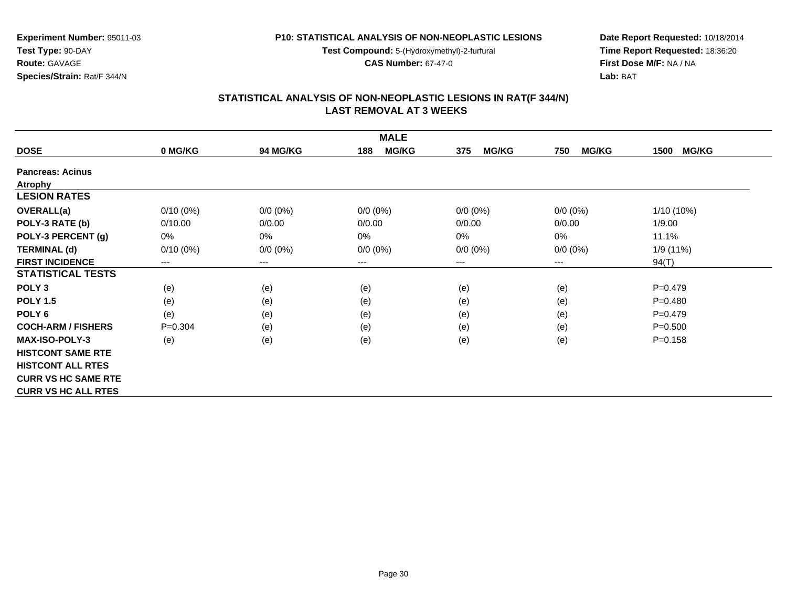**Test Compound:** 5-(Hydroxymethyl)-2-furfural

**CAS Number:** 67-47-0

**Date Report Requested:** 10/18/2014 **Time Report Requested:** 18:36:20**First Dose M/F:** NA / NA**Lab:** BAT

| <b>MALE</b>                |                            |                        |                     |                     |                     |                      |  |  |
|----------------------------|----------------------------|------------------------|---------------------|---------------------|---------------------|----------------------|--|--|
| <b>DOSE</b>                | 0 MG/KG                    | <b>94 MG/KG</b>        | <b>MG/KG</b><br>188 | <b>MG/KG</b><br>375 | <b>MG/KG</b><br>750 | <b>MG/KG</b><br>1500 |  |  |
| <b>Pancreas: Acinus</b>    |                            |                        |                     |                     |                     |                      |  |  |
| Atrophy                    |                            |                        |                     |                     |                     |                      |  |  |
| <b>LESION RATES</b>        |                            |                        |                     |                     |                     |                      |  |  |
| <b>OVERALL(a)</b>          | $0/10(0\%)$                | $0/0 (0\%)$            | $0/0 (0\%)$         | $0/0 (0\%)$         | $0/0 (0\%)$         | 1/10 (10%)           |  |  |
| POLY-3 RATE (b)            | 0/10.00                    | 0/0.00                 | 0/0.00              | 0/0.00              | 0/0.00              | 1/9.00               |  |  |
| POLY-3 PERCENT (g)         | 0%                         | 0%                     | 0%                  | 0%                  | 0%                  | 11.1%                |  |  |
| <b>TERMINAL (d)</b>        | $0/10(0\%)$                | $0/0 (0\%)$            | $0/0 (0\%)$         | $0/0 (0\%)$         | $0/0 (0\%)$         | 1/9 (11%)            |  |  |
| <b>FIRST INCIDENCE</b>     | $\qquad \qquad - \qquad -$ | $\qquad \qquad \cdots$ | $---$               | ---                 | $---$               | 94(T)                |  |  |
| <b>STATISTICAL TESTS</b>   |                            |                        |                     |                     |                     |                      |  |  |
| POLY <sub>3</sub>          | (e)                        | (e)                    | (e)                 | (e)                 | (e)                 | $P = 0.479$          |  |  |
| <b>POLY 1.5</b>            | (e)                        | (e)                    | (e)                 | (e)                 | (e)                 | $P=0.480$            |  |  |
| POLY <sub>6</sub>          | (e)                        | (e)                    | (e)                 | (e)                 | (e)                 | $P = 0.479$          |  |  |
| <b>COCH-ARM / FISHERS</b>  | $P=0.304$                  | (e)                    | (e)                 | (e)                 | (e)                 | $P = 0.500$          |  |  |
| <b>MAX-ISO-POLY-3</b>      | (e)                        | (e)                    | (e)                 | (e)                 | (e)                 | $P = 0.158$          |  |  |
| <b>HISTCONT SAME RTE</b>   |                            |                        |                     |                     |                     |                      |  |  |
| <b>HISTCONT ALL RTES</b>   |                            |                        |                     |                     |                     |                      |  |  |
| <b>CURR VS HC SAME RTE</b> |                            |                        |                     |                     |                     |                      |  |  |
| <b>CURR VS HC ALL RTES</b> |                            |                        |                     |                     |                     |                      |  |  |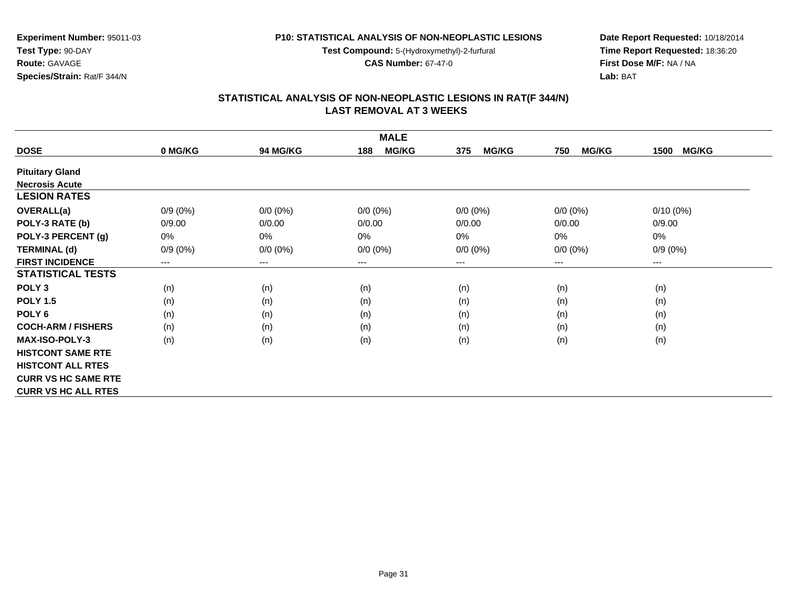**Test Compound:** 5-(Hydroxymethyl)-2-furfural

**CAS Number:** 67-47-0

**Date Report Requested:** 10/18/2014 **Time Report Requested:** 18:36:20**First Dose M/F:** NA / NA**Lab:** BAT

| <b>MALE</b>                |            |                 |                     |                     |                     |                      |  |  |
|----------------------------|------------|-----------------|---------------------|---------------------|---------------------|----------------------|--|--|
| <b>DOSE</b>                | 0 MG/KG    | <b>94 MG/KG</b> | <b>MG/KG</b><br>188 | <b>MG/KG</b><br>375 | <b>MG/KG</b><br>750 | <b>MG/KG</b><br>1500 |  |  |
| <b>Pituitary Gland</b>     |            |                 |                     |                     |                     |                      |  |  |
| <b>Necrosis Acute</b>      |            |                 |                     |                     |                     |                      |  |  |
| <b>LESION RATES</b>        |            |                 |                     |                     |                     |                      |  |  |
| <b>OVERALL(a)</b>          | $0/9(0\%)$ | $0/0 (0\%)$     | $0/0 (0\%)$         | $0/0 (0\%)$         | $0/0 (0\%)$         | $0/10(0\%)$          |  |  |
| POLY-3 RATE (b)            | 0/9.00     | 0/0.00          | 0/0.00              | 0/0.00              | 0/0.00              | 0/9.00               |  |  |
| POLY-3 PERCENT (g)         | 0%         | $0\%$           | 0%                  | 0%                  | 0%                  | 0%                   |  |  |
| <b>TERMINAL (d)</b>        | $0/9(0\%)$ | $0/0 (0\%)$     | $0/0 (0\%)$         | $0/0 (0\%)$         | $0/0 (0\%)$         | $0/9(0\%)$           |  |  |
| <b>FIRST INCIDENCE</b>     | $---$      | $---$           | ---                 | ---                 | $---$               | $---$                |  |  |
| <b>STATISTICAL TESTS</b>   |            |                 |                     |                     |                     |                      |  |  |
| POLY <sub>3</sub>          | (n)        | (n)             | (n)                 | (n)                 | (n)                 | (n)                  |  |  |
| <b>POLY 1.5</b>            | (n)        | (n)             | (n)                 | (n)                 | (n)                 | (n)                  |  |  |
| POLY <sub>6</sub>          | (n)        | (n)             | (n)                 | (n)                 | (n)                 | (n)                  |  |  |
| <b>COCH-ARM / FISHERS</b>  | (n)        | (n)             | (n)                 | (n)                 | (n)                 | (n)                  |  |  |
| <b>MAX-ISO-POLY-3</b>      | (n)        | (n)             | (n)                 | (n)                 | (n)                 | (n)                  |  |  |
| <b>HISTCONT SAME RTE</b>   |            |                 |                     |                     |                     |                      |  |  |
| <b>HISTCONT ALL RTES</b>   |            |                 |                     |                     |                     |                      |  |  |
| <b>CURR VS HC SAME RTE</b> |            |                 |                     |                     |                     |                      |  |  |
| <b>CURR VS HC ALL RTES</b> |            |                 |                     |                     |                     |                      |  |  |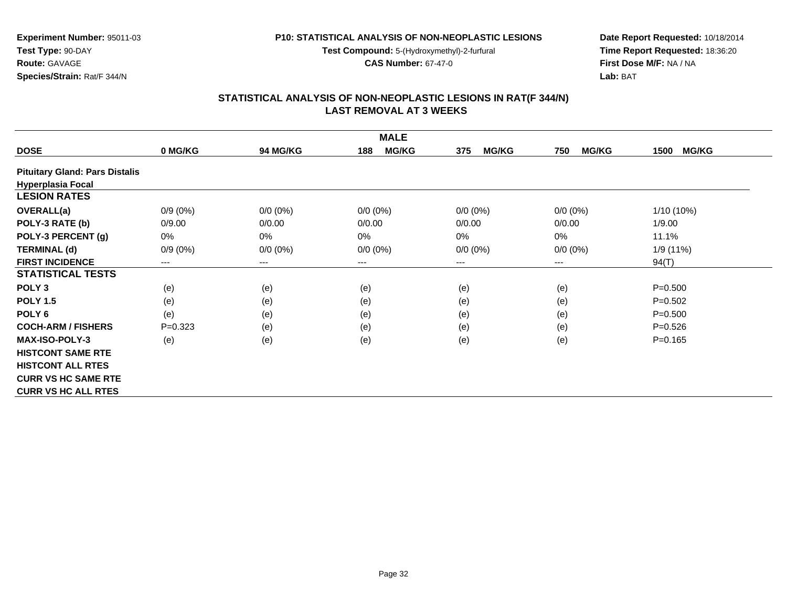**Test Compound:** 5-(Hydroxymethyl)-2-furfural

**CAS Number:** 67-47-0

**Date Report Requested:** 10/18/2014 **Time Report Requested:** 18:36:20**First Dose M/F:** NA / NA**Lab:** BAT

## **STATISTICAL ANALYSIS OF NON-NEOPLASTIC LESIONS IN RAT(F 344/N) LAST REMOVAL AT 3 WEEKS**

| <b>MALE</b>                           |            |                        |                     |                     |                     |                      |  |  |
|---------------------------------------|------------|------------------------|---------------------|---------------------|---------------------|----------------------|--|--|
| <b>DOSE</b>                           | 0 MG/KG    | <b>94 MG/KG</b>        | <b>MG/KG</b><br>188 | <b>MG/KG</b><br>375 | <b>MG/KG</b><br>750 | <b>MG/KG</b><br>1500 |  |  |
| <b>Pituitary Gland: Pars Distalis</b> |            |                        |                     |                     |                     |                      |  |  |
| <b>Hyperplasia Focal</b>              |            |                        |                     |                     |                     |                      |  |  |
| <b>LESION RATES</b>                   |            |                        |                     |                     |                     |                      |  |  |
| <b>OVERALL(a)</b>                     | $0/9(0\%)$ | $0/0 (0\%)$            | $0/0 (0\%)$         | $0/0 (0\%)$         | $0/0 (0\%)$         | $1/10(10\%)$         |  |  |
| POLY-3 RATE (b)                       | 0/9.00     | 0/0.00                 | 0/0.00              | 0/0.00              | 0/0.00              | 1/9.00               |  |  |
| POLY-3 PERCENT (g)                    | 0%         | 0%                     | $0\%$               | 0%                  | $0\%$               | 11.1%                |  |  |
| <b>TERMINAL (d)</b>                   | $0/9(0\%)$ | $0/0 (0\%)$            | $0/0 (0\%)$         | $0/0 (0\%)$         | $0/0 (0\%)$         | 1/9(11%)             |  |  |
| <b>FIRST INCIDENCE</b>                | $---$      | $\qquad \qquad \cdots$ | ---                 | ---                 | ---                 | 94(T)                |  |  |
| <b>STATISTICAL TESTS</b>              |            |                        |                     |                     |                     |                      |  |  |
| POLY <sub>3</sub>                     | (e)        | (e)                    | (e)                 | (e)                 | (e)                 | $P = 0.500$          |  |  |
| <b>POLY 1.5</b>                       | (e)        | (e)                    | (e)                 | (e)                 | (e)                 | $P = 0.502$          |  |  |
| POLY <sub>6</sub>                     | (e)        | (e)                    | (e)                 | (e)                 | (e)                 | $P = 0.500$          |  |  |
| <b>COCH-ARM / FISHERS</b>             | $P=0.323$  | (e)                    | (e)                 | (e)                 | (e)                 | $P = 0.526$          |  |  |
| <b>MAX-ISO-POLY-3</b>                 | (e)        | (e)                    | (e)                 | (e)                 | (e)                 | $P = 0.165$          |  |  |
| <b>HISTCONT SAME RTE</b>              |            |                        |                     |                     |                     |                      |  |  |
| <b>HISTCONT ALL RTES</b>              |            |                        |                     |                     |                     |                      |  |  |
| <b>CURR VS HC SAME RTE</b>            |            |                        |                     |                     |                     |                      |  |  |
| <b>CURR VS HC ALL RTES</b>            |            |                        |                     |                     |                     |                      |  |  |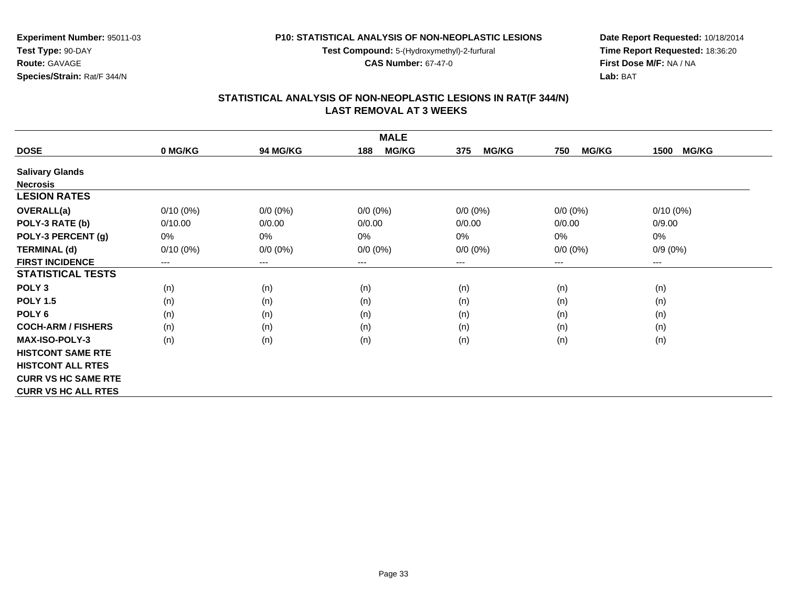**Test Compound:** 5-(Hydroxymethyl)-2-furfural

**CAS Number:** 67-47-0

**Date Report Requested:** 10/18/2014 **Time Report Requested:** 18:36:20**First Dose M/F:** NA / NA**Lab:** BAT

| <b>MALE</b>                |             |                 |                     |                     |                     |                      |  |  |
|----------------------------|-------------|-----------------|---------------------|---------------------|---------------------|----------------------|--|--|
| <b>DOSE</b>                | 0 MG/KG     | <b>94 MG/KG</b> | <b>MG/KG</b><br>188 | <b>MG/KG</b><br>375 | <b>MG/KG</b><br>750 | <b>MG/KG</b><br>1500 |  |  |
| <b>Salivary Glands</b>     |             |                 |                     |                     |                     |                      |  |  |
| <b>Necrosis</b>            |             |                 |                     |                     |                     |                      |  |  |
| <b>LESION RATES</b>        |             |                 |                     |                     |                     |                      |  |  |
| <b>OVERALL(a)</b>          | $0/10(0\%)$ | $0/0 (0\%)$     | $0/0 (0\%)$         | $0/0 (0\%)$         | $0/0 (0\%)$         | $0/10(0\%)$          |  |  |
| POLY-3 RATE (b)            | 0/10.00     | 0/0.00          | 0/0.00              | 0/0.00              | 0/0.00              | 0/9.00               |  |  |
| POLY-3 PERCENT (g)         | 0%          | 0%              | 0%                  | 0%                  | 0%                  | 0%                   |  |  |
| <b>TERMINAL (d)</b>        | $0/10(0\%)$ | $0/0 (0\%)$     | $0/0 (0\%)$         | $0/0 (0\%)$         | $0/0 (0\%)$         | $0/9(0\%)$           |  |  |
| <b>FIRST INCIDENCE</b>     | $---$       | $---$           | $---$               | ---                 | $---$               | ---                  |  |  |
| <b>STATISTICAL TESTS</b>   |             |                 |                     |                     |                     |                      |  |  |
| POLY <sub>3</sub>          | (n)         | (n)             | (n)                 | (n)                 | (n)                 | (n)                  |  |  |
| <b>POLY 1.5</b>            | (n)         | (n)             | (n)                 | (n)                 | (n)                 | (n)                  |  |  |
| POLY <sub>6</sub>          | (n)         | (n)             | (n)                 | (n)                 | (n)                 | (n)                  |  |  |
| <b>COCH-ARM / FISHERS</b>  | (n)         | (n)             | (n)                 | (n)                 | (n)                 | (n)                  |  |  |
| <b>MAX-ISO-POLY-3</b>      | (n)         | (n)             | (n)                 | (n)                 | (n)                 | (n)                  |  |  |
| <b>HISTCONT SAME RTE</b>   |             |                 |                     |                     |                     |                      |  |  |
| <b>HISTCONT ALL RTES</b>   |             |                 |                     |                     |                     |                      |  |  |
| <b>CURR VS HC SAME RTE</b> |             |                 |                     |                     |                     |                      |  |  |
| <b>CURR VS HC ALL RTES</b> |             |                 |                     |                     |                     |                      |  |  |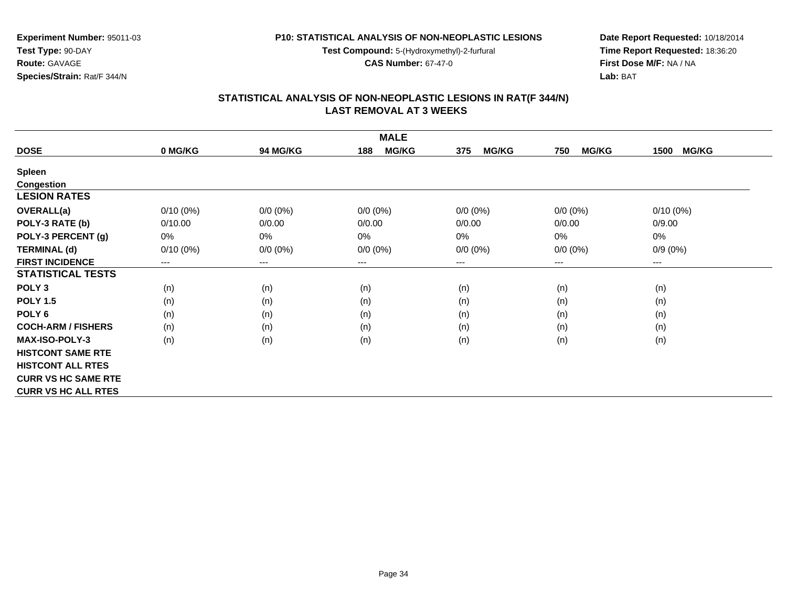**Test Compound:** 5-(Hydroxymethyl)-2-furfural

**CAS Number:** 67-47-0

**Date Report Requested:** 10/18/2014 **Time Report Requested:** 18:36:20**First Dose M/F:** NA / NA**Lab:** BAT

#### **STATISTICAL ANALYSIS OF NON-NEOPLASTIC LESIONS IN RAT(F 344/N) LAST REMOVAL AT 3 WEEKS**

| <b>MALE</b>                |             |             |                     |                     |                     |                      |  |  |
|----------------------------|-------------|-------------|---------------------|---------------------|---------------------|----------------------|--|--|
| <b>DOSE</b>                | 0 MG/KG     | 94 MG/KG    | <b>MG/KG</b><br>188 | <b>MG/KG</b><br>375 | <b>MG/KG</b><br>750 | <b>MG/KG</b><br>1500 |  |  |
| <b>Spleen</b>              |             |             |                     |                     |                     |                      |  |  |
| <b>Congestion</b>          |             |             |                     |                     |                     |                      |  |  |
| <b>LESION RATES</b>        |             |             |                     |                     |                     |                      |  |  |
| <b>OVERALL(a)</b>          | $0/10(0\%)$ | $0/0 (0\%)$ | $0/0 (0\%)$         | $0/0 (0\%)$         | $0/0 (0\%)$         | $0/10(0\%)$          |  |  |
| POLY-3 RATE (b)            | 0/10.00     | 0/0.00      | 0/0.00              | 0/0.00              | 0/0.00              | 0/9.00               |  |  |
| POLY-3 PERCENT (g)         | 0%          | 0%          | $0\%$               | 0%                  | $0\%$               | 0%                   |  |  |
| <b>TERMINAL (d)</b>        | $0/10(0\%)$ | $0/0 (0\%)$ | $0/0 (0\%)$         | $0/0 (0\%)$         | $0/0 (0\%)$         | $0/9(0\%)$           |  |  |
| <b>FIRST INCIDENCE</b>     | $---$       | $\cdots$    | $---$               | ---                 | ---                 | ---                  |  |  |
| <b>STATISTICAL TESTS</b>   |             |             |                     |                     |                     |                      |  |  |
| POLY <sub>3</sub>          | (n)         | (n)         | (n)                 | (n)                 | (n)                 | (n)                  |  |  |
| <b>POLY 1.5</b>            | (n)         | (n)         | (n)                 | (n)                 | (n)                 | (n)                  |  |  |
| POLY <sub>6</sub>          | (n)         | (n)         | (n)                 | (n)                 | (n)                 | (n)                  |  |  |
| <b>COCH-ARM / FISHERS</b>  | (n)         | (n)         | (n)                 | (n)                 | (n)                 | (n)                  |  |  |
| <b>MAX-ISO-POLY-3</b>      | (n)         | (n)         | (n)                 | (n)                 | (n)                 | (n)                  |  |  |
| <b>HISTCONT SAME RTE</b>   |             |             |                     |                     |                     |                      |  |  |
| <b>HISTCONT ALL RTES</b>   |             |             |                     |                     |                     |                      |  |  |
| <b>CURR VS HC SAME RTE</b> |             |             |                     |                     |                     |                      |  |  |
| <b>CURR VS HC ALL RTES</b> |             |             |                     |                     |                     |                      |  |  |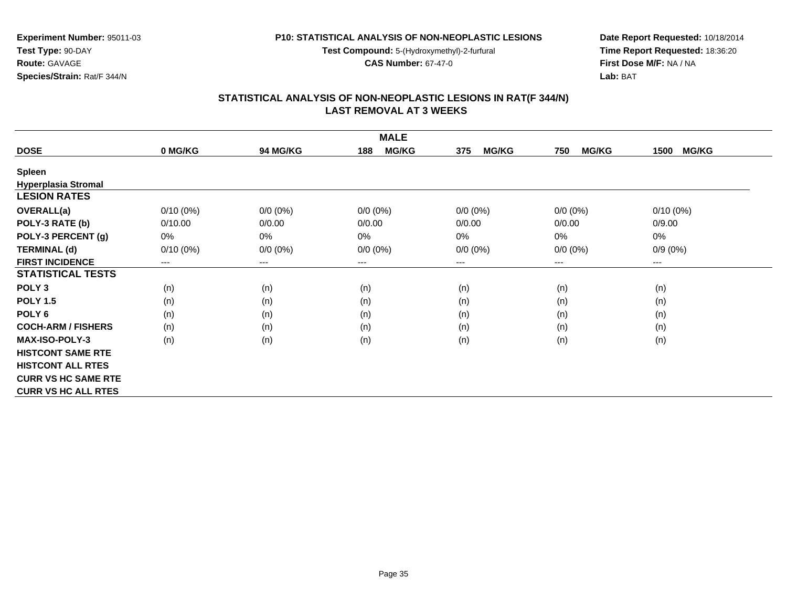**Test Compound:** 5-(Hydroxymethyl)-2-furfural

**CAS Number:** 67-47-0

**Date Report Requested:** 10/18/2014 **Time Report Requested:** 18:36:20**First Dose M/F:** NA / NA**Lab:** BAT

#### **STATISTICAL ANALYSIS OF NON-NEOPLASTIC LESIONS IN RAT(F 344/N) LAST REMOVAL AT 3 WEEKS**

| <b>MALE</b>                |             |             |                     |                     |                     |                      |  |  |
|----------------------------|-------------|-------------|---------------------|---------------------|---------------------|----------------------|--|--|
| <b>DOSE</b>                | 0 MG/KG     | 94 MG/KG    | <b>MG/KG</b><br>188 | <b>MG/KG</b><br>375 | <b>MG/KG</b><br>750 | <b>MG/KG</b><br>1500 |  |  |
| <b>Spleen</b>              |             |             |                     |                     |                     |                      |  |  |
| <b>Hyperplasia Stromal</b> |             |             |                     |                     |                     |                      |  |  |
| <b>LESION RATES</b>        |             |             |                     |                     |                     |                      |  |  |
| <b>OVERALL(a)</b>          | $0/10(0\%)$ | $0/0 (0\%)$ | $0/0 (0\%)$         | $0/0 (0\%)$         | $0/0 (0\%)$         | $0/10(0\%)$          |  |  |
| POLY-3 RATE (b)            | 0/10.00     | 0/0.00      | 0/0.00              | 0/0.00              | 0/0.00              | 0/9.00               |  |  |
| POLY-3 PERCENT (g)         | 0%          | $0\%$       | 0%                  | 0%                  | 0%                  | 0%                   |  |  |
| <b>TERMINAL (d)</b>        | $0/10(0\%)$ | $0/0 (0\%)$ | $0/0 (0\%)$         | $0/0 (0\%)$         | $0/0 (0\%)$         | $0/9(0\%)$           |  |  |
| <b>FIRST INCIDENCE</b>     | $--$        | $---$       | $---$               | ---                 | $---$               | ---                  |  |  |
| <b>STATISTICAL TESTS</b>   |             |             |                     |                     |                     |                      |  |  |
| POLY <sub>3</sub>          | (n)         | (n)         | (n)                 | (n)                 | (n)                 | (n)                  |  |  |
| <b>POLY 1.5</b>            | (n)         | (n)         | (n)                 | (n)                 | (n)                 | (n)                  |  |  |
| POLY <sub>6</sub>          | (n)         | (n)         | (n)                 | (n)                 | (n)                 | (n)                  |  |  |
| <b>COCH-ARM / FISHERS</b>  | (n)         | (n)         | (n)                 | (n)                 | (n)                 | (n)                  |  |  |
| <b>MAX-ISO-POLY-3</b>      | (n)         | (n)         | (n)                 | (n)                 | (n)                 | (n)                  |  |  |
| <b>HISTCONT SAME RTE</b>   |             |             |                     |                     |                     |                      |  |  |
| <b>HISTCONT ALL RTES</b>   |             |             |                     |                     |                     |                      |  |  |
| <b>CURR VS HC SAME RTE</b> |             |             |                     |                     |                     |                      |  |  |
| <b>CURR VS HC ALL RTES</b> |             |             |                     |                     |                     |                      |  |  |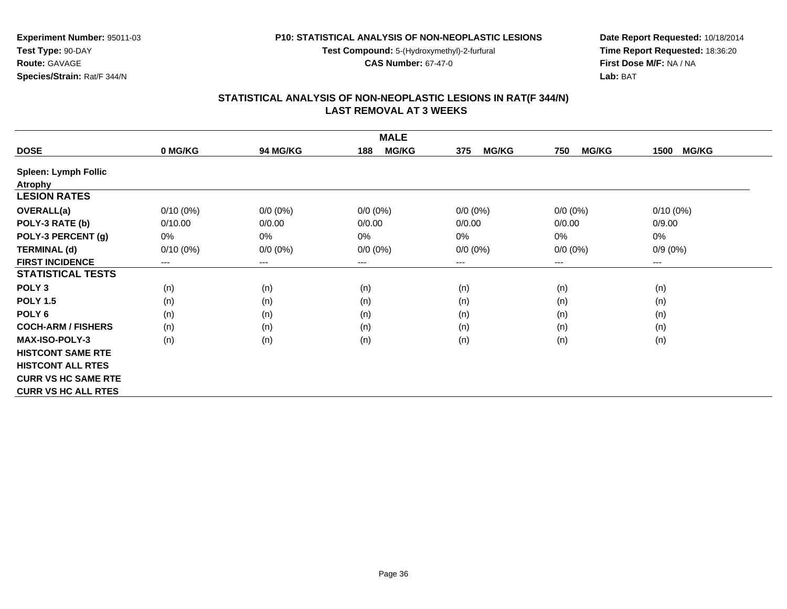**Test Compound:** 5-(Hydroxymethyl)-2-furfural

**CAS Number:** 67-47-0

**Date Report Requested:** 10/18/2014 **Time Report Requested:** 18:36:20**First Dose M/F:** NA / NA**Lab:** BAT

| <b>MALE</b>                 |             |                        |                     |                     |                     |                      |  |  |
|-----------------------------|-------------|------------------------|---------------------|---------------------|---------------------|----------------------|--|--|
| <b>DOSE</b>                 | 0 MG/KG     | <b>94 MG/KG</b>        | <b>MG/KG</b><br>188 | 375<br><b>MG/KG</b> | <b>MG/KG</b><br>750 | <b>MG/KG</b><br>1500 |  |  |
| <b>Spleen: Lymph Follic</b> |             |                        |                     |                     |                     |                      |  |  |
| <b>Atrophy</b>              |             |                        |                     |                     |                     |                      |  |  |
| <b>LESION RATES</b>         |             |                        |                     |                     |                     |                      |  |  |
| <b>OVERALL(a)</b>           | $0/10(0\%)$ | $0/0 (0\%)$            | $0/0 (0\%)$         | $0/0 (0\%)$         | $0/0 (0\%)$         | $0/10(0\%)$          |  |  |
| POLY-3 RATE (b)             | 0/10.00     | 0/0.00                 | 0/0.00              | 0/0.00              | 0/0.00              | 0/9.00               |  |  |
| POLY-3 PERCENT (g)          | 0%          | 0%                     | 0%                  | $0\%$               | 0%                  | 0%                   |  |  |
| <b>TERMINAL (d)</b>         | $0/10(0\%)$ | $0/0 (0\%)$            | $0/0 (0\%)$         | $0/0 (0\%)$         | $0/0 (0\%)$         | $0/9(0\%)$           |  |  |
| <b>FIRST INCIDENCE</b>      | $---$       | $\qquad \qquad \cdots$ | $---$               | ---                 | ---                 | ---                  |  |  |
| <b>STATISTICAL TESTS</b>    |             |                        |                     |                     |                     |                      |  |  |
| POLY <sub>3</sub>           | (n)         | (n)                    | (n)                 | (n)                 | (n)                 | (n)                  |  |  |
| <b>POLY 1.5</b>             | (n)         | (n)                    | (n)                 | (n)                 | (n)                 | (n)                  |  |  |
| POLY <sub>6</sub>           | (n)         | (n)                    | (n)                 | (n)                 | (n)                 | (n)                  |  |  |
| <b>COCH-ARM / FISHERS</b>   | (n)         | (n)                    | (n)                 | (n)                 | (n)                 | (n)                  |  |  |
| <b>MAX-ISO-POLY-3</b>       | (n)         | (n)                    | (n)                 | (n)                 | (n)                 | (n)                  |  |  |
| <b>HISTCONT SAME RTE</b>    |             |                        |                     |                     |                     |                      |  |  |
| <b>HISTCONT ALL RTES</b>    |             |                        |                     |                     |                     |                      |  |  |
| <b>CURR VS HC SAME RTE</b>  |             |                        |                     |                     |                     |                      |  |  |
| <b>CURR VS HC ALL RTES</b>  |             |                        |                     |                     |                     |                      |  |  |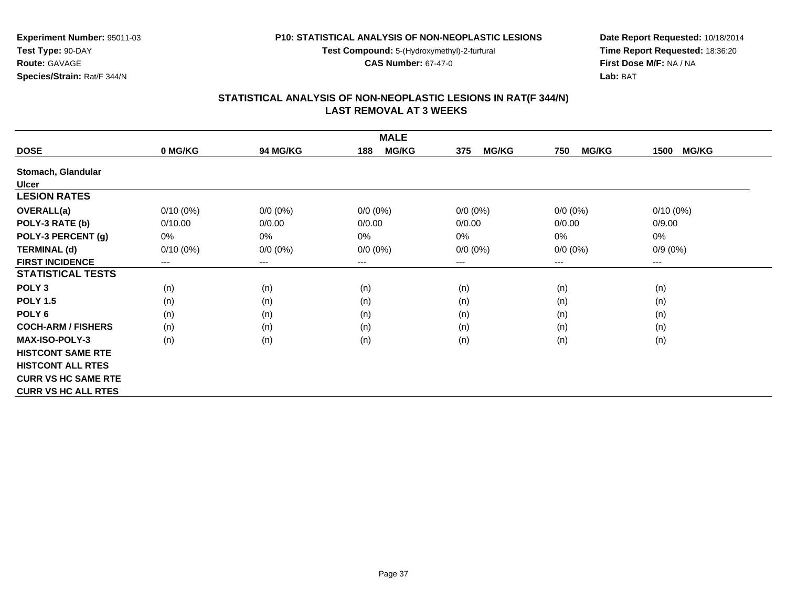**Test Compound:** 5-(Hydroxymethyl)-2-furfural

**CAS Number:** 67-47-0

**Date Report Requested:** 10/18/2014 **Time Report Requested:** 18:36:20**First Dose M/F:** NA / NA**Lab:** BAT

| <b>MALE</b>                |             |             |                     |                     |                        |                      |  |  |
|----------------------------|-------------|-------------|---------------------|---------------------|------------------------|----------------------|--|--|
| <b>DOSE</b>                | 0 MG/KG     | 94 MG/KG    | <b>MG/KG</b><br>188 | <b>MG/KG</b><br>375 | <b>MG/KG</b><br>750    | <b>MG/KG</b><br>1500 |  |  |
| Stomach, Glandular         |             |             |                     |                     |                        |                      |  |  |
| <b>Ulcer</b>               |             |             |                     |                     |                        |                      |  |  |
| <b>LESION RATES</b>        |             |             |                     |                     |                        |                      |  |  |
| OVERALL(a)                 | $0/10(0\%)$ | $0/0 (0\%)$ | $0/0 (0\%)$         | $0/0 (0\%)$         | $0/0 (0\%)$            | $0/10(0\%)$          |  |  |
| POLY-3 RATE (b)            | 0/10.00     | 0/0.00      | 0/0.00              | 0/0.00              | 0/0.00                 | 0/9.00               |  |  |
| POLY-3 PERCENT (g)         | 0%          | $0\%$       | 0%                  | $0\%$               | 0%                     | 0%                   |  |  |
| <b>TERMINAL (d)</b>        | $0/10(0\%)$ | $0/0 (0\%)$ | $0/0 (0\%)$         | $0/0 (0\%)$         | $0/0 (0\%)$            | $0/9(0\%)$           |  |  |
| <b>FIRST INCIDENCE</b>     | $\cdots$    | $---$       | ---                 | ---                 | $\qquad \qquad \cdots$ | ---                  |  |  |
| <b>STATISTICAL TESTS</b>   |             |             |                     |                     |                        |                      |  |  |
| POLY <sub>3</sub>          | (n)         | (n)         | (n)                 | (n)                 | (n)                    | (n)                  |  |  |
| <b>POLY 1.5</b>            | (n)         | (n)         | (n)                 | (n)                 | (n)                    | (n)                  |  |  |
| POLY <sub>6</sub>          | (n)         | (n)         | (n)                 | (n)                 | (n)                    | (n)                  |  |  |
| <b>COCH-ARM / FISHERS</b>  | (n)         | (n)         | (n)                 | (n)                 | (n)                    | (n)                  |  |  |
| <b>MAX-ISO-POLY-3</b>      | (n)         | (n)         | (n)                 | (n)                 | (n)                    | (n)                  |  |  |
| <b>HISTCONT SAME RTE</b>   |             |             |                     |                     |                        |                      |  |  |
| <b>HISTCONT ALL RTES</b>   |             |             |                     |                     |                        |                      |  |  |
| <b>CURR VS HC SAME RTE</b> |             |             |                     |                     |                        |                      |  |  |
| <b>CURR VS HC ALL RTES</b> |             |             |                     |                     |                        |                      |  |  |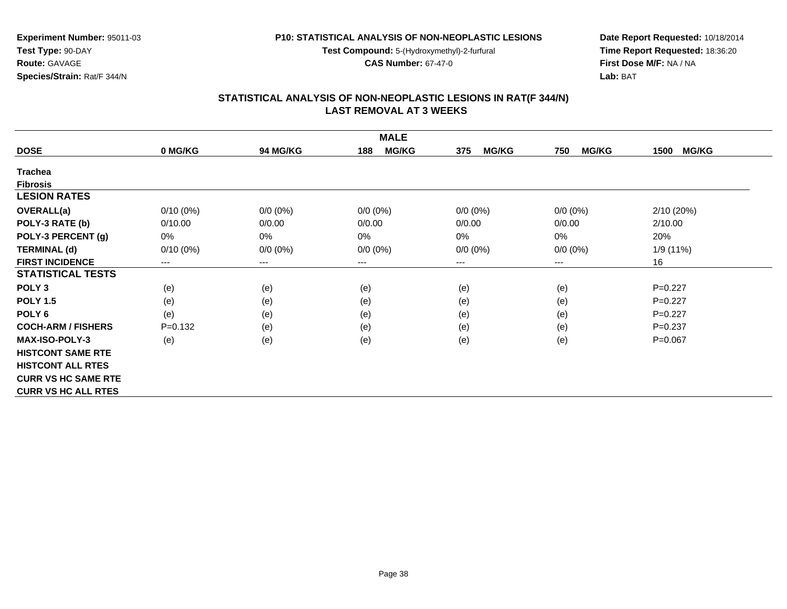**Test Compound:** 5-(Hydroxymethyl)-2-furfural

**CAS Number:** 67-47-0

**Date Report Requested:** 10/18/2014 **Time Report Requested:** 18:36:20**First Dose M/F:** NA / NA**Lab:** BAT

#### **STATISTICAL ANALYSIS OF NON-NEOPLASTIC LESIONS IN RAT(F 344/N) LAST REMOVAL AT 3 WEEKS**

| <b>MALE</b>                |                        |             |                     |                     |                     |                      |  |  |
|----------------------------|------------------------|-------------|---------------------|---------------------|---------------------|----------------------|--|--|
| <b>DOSE</b>                | 0 MG/KG                | 94 MG/KG    | <b>MG/KG</b><br>188 | <b>MG/KG</b><br>375 | <b>MG/KG</b><br>750 | <b>MG/KG</b><br>1500 |  |  |
| <b>Trachea</b>             |                        |             |                     |                     |                     |                      |  |  |
| <b>Fibrosis</b>            |                        |             |                     |                     |                     |                      |  |  |
| <b>LESION RATES</b>        |                        |             |                     |                     |                     |                      |  |  |
| <b>OVERALL(a)</b>          | $0/10(0\%)$            | $0/0 (0\%)$ | $0/0 (0\%)$         | $0/0 (0\%)$         | $0/0 (0\%)$         | 2/10(20%)            |  |  |
| POLY-3 RATE (b)            | 0/10.00                | 0/0.00      | 0/0.00              | 0/0.00              | 0/0.00              | 2/10.00              |  |  |
| POLY-3 PERCENT (g)         | 0%                     | $0\%$       | 0%                  | 0%                  | $0\%$               | 20%                  |  |  |
| <b>TERMINAL (d)</b>        | $0/10(0\%)$            | $0/0 (0\%)$ | $0/0 (0\%)$         | $0/0 (0\%)$         | $0/0 (0\%)$         | 1/9 (11%)            |  |  |
| <b>FIRST INCIDENCE</b>     | $\qquad \qquad \cdots$ | $\cdots$    | ---                 | ---                 | ---                 | 16                   |  |  |
| <b>STATISTICAL TESTS</b>   |                        |             |                     |                     |                     |                      |  |  |
| POLY <sub>3</sub>          | (e)                    | (e)         | (e)                 | (e)                 | (e)                 | $P=0.227$            |  |  |
| <b>POLY 1.5</b>            | (e)                    | (e)         | (e)                 | (e)                 | (e)                 | $P=0.227$            |  |  |
| POLY <sub>6</sub>          | (e)                    | (e)         | (e)                 | (e)                 | (e)                 | $P=0.227$            |  |  |
| <b>COCH-ARM / FISHERS</b>  | $P = 0.132$            | (e)         | (e)                 | (e)                 | (e)                 | $P=0.237$            |  |  |
| <b>MAX-ISO-POLY-3</b>      | (e)                    | (e)         | (e)                 | (e)                 | (e)                 | $P = 0.067$          |  |  |
| <b>HISTCONT SAME RTE</b>   |                        |             |                     |                     |                     |                      |  |  |
| <b>HISTCONT ALL RTES</b>   |                        |             |                     |                     |                     |                      |  |  |
| <b>CURR VS HC SAME RTE</b> |                        |             |                     |                     |                     |                      |  |  |
| <b>CURR VS HC ALL RTES</b> |                        |             |                     |                     |                     |                      |  |  |

**Test Type:** 90-DAY**Route:** GAVAGE

**Species/Strain:** Rat/F 344/N

**Experiment Number:** 95011-03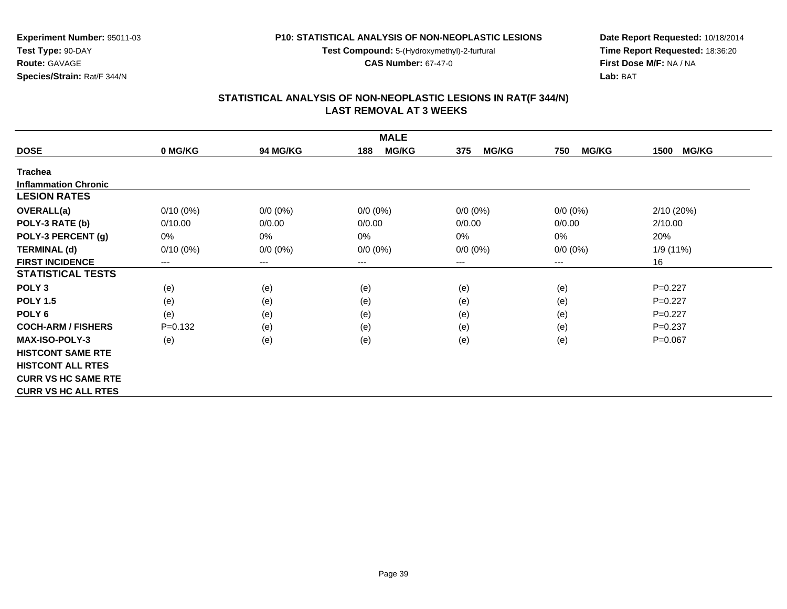**Test Compound:** 5-(Hydroxymethyl)-2-furfural

**CAS Number:** 67-47-0

**Date Report Requested:** 10/18/2014 **Time Report Requested:** 18:36:20**First Dose M/F:** NA / NA**Lab:** BAT

| <b>MALE</b>                 |             |             |                     |                     |                     |                      |  |  |
|-----------------------------|-------------|-------------|---------------------|---------------------|---------------------|----------------------|--|--|
| <b>DOSE</b>                 | 0 MG/KG     | 94 MG/KG    | <b>MG/KG</b><br>188 | <b>MG/KG</b><br>375 | <b>MG/KG</b><br>750 | <b>MG/KG</b><br>1500 |  |  |
| <b>Trachea</b>              |             |             |                     |                     |                     |                      |  |  |
| <b>Inflammation Chronic</b> |             |             |                     |                     |                     |                      |  |  |
| <b>LESION RATES</b>         |             |             |                     |                     |                     |                      |  |  |
| <b>OVERALL(a)</b>           | $0/10(0\%)$ | $0/0 (0\%)$ | $0/0 (0\%)$         | $0/0 (0\%)$         | $0/0 (0\%)$         | 2/10(20%)            |  |  |
| POLY-3 RATE (b)             | 0/10.00     | 0/0.00      | 0/0.00              | 0/0.00              | 0/0.00              | 2/10.00              |  |  |
| POLY-3 PERCENT (g)          | 0%          | 0%          | $0\%$               | 0%                  | $0\%$               | 20%                  |  |  |
| <b>TERMINAL (d)</b>         | $0/10(0\%)$ | $0/0 (0\%)$ | $0/0 (0\%)$         | $0/0 (0\%)$         | $0/0 (0\%)$         | 1/9 (11%)            |  |  |
| <b>FIRST INCIDENCE</b>      | $---$       | $---$       | ---                 | ---                 | ---                 | 16                   |  |  |
| <b>STATISTICAL TESTS</b>    |             |             |                     |                     |                     |                      |  |  |
| POLY <sub>3</sub>           | (e)         | (e)         | (e)                 | (e)                 | (e)                 | $P=0.227$            |  |  |
| <b>POLY 1.5</b>             | (e)         | (e)         | (e)                 | (e)                 | (e)                 | $P=0.227$            |  |  |
| POLY <sub>6</sub>           | (e)         | (e)         | (e)                 | (e)                 | (e)                 | $P=0.227$            |  |  |
| <b>COCH-ARM / FISHERS</b>   | $P = 0.132$ | (e)         | (e)                 | (e)                 | (e)                 | $P=0.237$            |  |  |
| <b>MAX-ISO-POLY-3</b>       | (e)         | (e)         | (e)                 | (e)                 | (e)                 | $P = 0.067$          |  |  |
| <b>HISTCONT SAME RTE</b>    |             |             |                     |                     |                     |                      |  |  |
| <b>HISTCONT ALL RTES</b>    |             |             |                     |                     |                     |                      |  |  |
| <b>CURR VS HC SAME RTE</b>  |             |             |                     |                     |                     |                      |  |  |
| <b>CURR VS HC ALL RTES</b>  |             |             |                     |                     |                     |                      |  |  |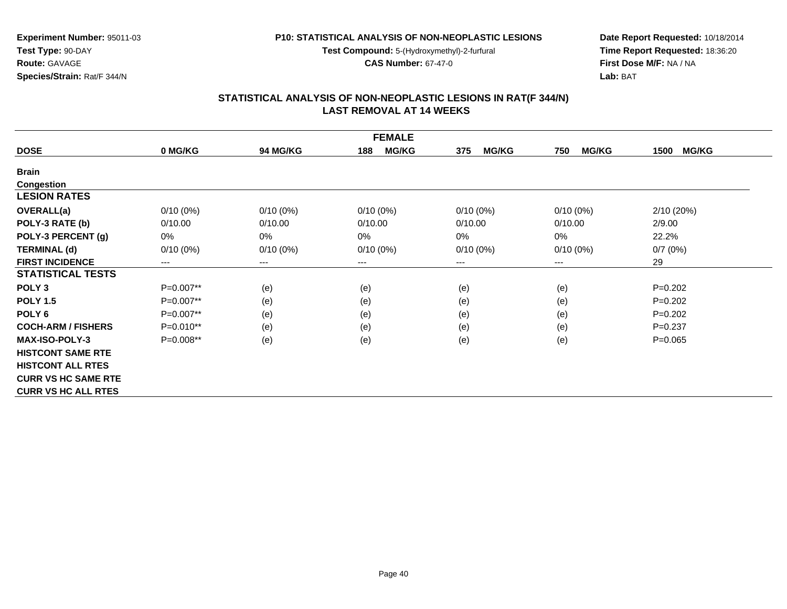**Test Compound:** 5-(Hydroxymethyl)-2-furfural

**CAS Number:** 67-47-0

**Date Report Requested:** 10/18/2014 **Time Report Requested:** 18:36:20**First Dose M/F:** NA / NA**Lab:** BAT

| <b>FEMALE</b>              |             |                 |                     |                     |                     |                      |  |  |
|----------------------------|-------------|-----------------|---------------------|---------------------|---------------------|----------------------|--|--|
| <b>DOSE</b>                | 0 MG/KG     | <b>94 MG/KG</b> | <b>MG/KG</b><br>188 | <b>MG/KG</b><br>375 | <b>MG/KG</b><br>750 | <b>MG/KG</b><br>1500 |  |  |
| <b>Brain</b>               |             |                 |                     |                     |                     |                      |  |  |
| Congestion                 |             |                 |                     |                     |                     |                      |  |  |
| <b>LESION RATES</b>        |             |                 |                     |                     |                     |                      |  |  |
| <b>OVERALL(a)</b>          | $0/10(0\%)$ | $0/10(0\%)$     | $0/10(0\%)$         | $0/10(0\%)$         | $0/10(0\%)$         | 2/10 (20%)           |  |  |
| POLY-3 RATE (b)            | 0/10.00     | 0/10.00         | 0/10.00             | 0/10.00             | 0/10.00             | 2/9.00               |  |  |
| POLY-3 PERCENT (g)         | 0%          | 0%              | 0%                  | 0%                  | 0%                  | 22.2%                |  |  |
| <b>TERMINAL (d)</b>        | $0/10(0\%)$ | $0/10(0\%)$     | $0/10(0\%)$         | $0/10(0\%)$         | $0/10(0\%)$         | 0/7(0%)              |  |  |
| <b>FIRST INCIDENCE</b>     | $---$       | $---$           | $---$               | ---                 | $---$               | 29                   |  |  |
| <b>STATISTICAL TESTS</b>   |             |                 |                     |                     |                     |                      |  |  |
| POLY <sub>3</sub>          | P=0.007**   | (e)             | (e)                 | (e)                 | (e)                 | $P=0.202$            |  |  |
| <b>POLY 1.5</b>            | $P=0.007**$ | (e)             | (e)                 | (e)                 | (e)                 | $P=0.202$            |  |  |
| POLY <sub>6</sub>          | $P=0.007**$ | (e)             | (e)                 | (e)                 | (e)                 | $P=0.202$            |  |  |
| <b>COCH-ARM / FISHERS</b>  | $P=0.010**$ | (e)             | (e)                 | (e)                 | (e)                 | $P=0.237$            |  |  |
| <b>MAX-ISO-POLY-3</b>      | P=0.008**   | (e)             | (e)                 | (e)                 | (e)                 | $P = 0.065$          |  |  |
| <b>HISTCONT SAME RTE</b>   |             |                 |                     |                     |                     |                      |  |  |
| <b>HISTCONT ALL RTES</b>   |             |                 |                     |                     |                     |                      |  |  |
| <b>CURR VS HC SAME RTE</b> |             |                 |                     |                     |                     |                      |  |  |
| <b>CURR VS HC ALL RTES</b> |             |                 |                     |                     |                     |                      |  |  |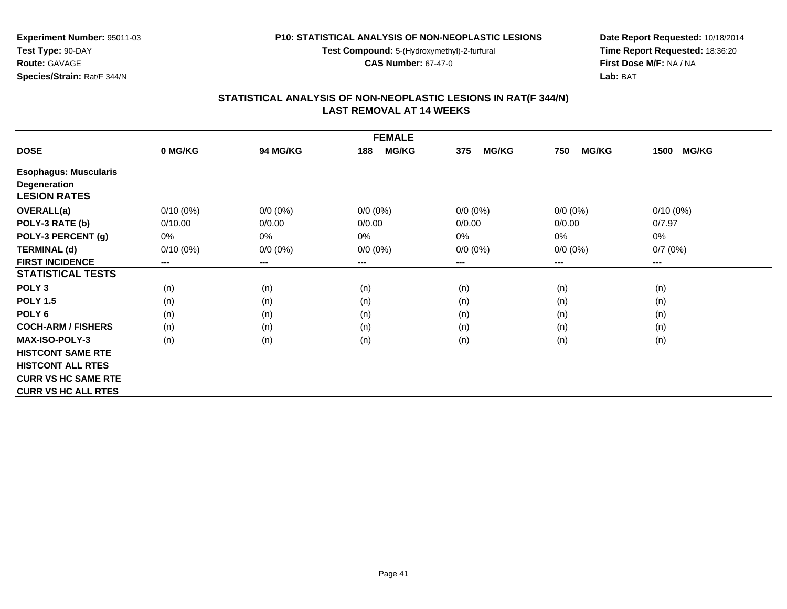**Test Compound:** 5-(Hydroxymethyl)-2-furfural

**CAS Number:** 67-47-0

**Date Report Requested:** 10/18/2014 **Time Report Requested:** 18:36:20**First Dose M/F:** NA / NA**Lab:** BAT

# **STATISTICAL ANALYSIS OF NON-NEOPLASTIC LESIONS IN RAT(F 344/N) LAST REMOVAL AT 14 WEEKS**

| <b>FEMALE</b>                |             |                 |                        |                     |                     |                      |  |  |
|------------------------------|-------------|-----------------|------------------------|---------------------|---------------------|----------------------|--|--|
| <b>DOSE</b>                  | 0 MG/KG     | <b>94 MG/KG</b> | <b>MG/KG</b><br>188    | <b>MG/KG</b><br>375 | <b>MG/KG</b><br>750 | <b>MG/KG</b><br>1500 |  |  |
| <b>Esophagus: Muscularis</b> |             |                 |                        |                     |                     |                      |  |  |
| <b>Degeneration</b>          |             |                 |                        |                     |                     |                      |  |  |
| <b>LESION RATES</b>          |             |                 |                        |                     |                     |                      |  |  |
| <b>OVERALL(a)</b>            | $0/10(0\%)$ | $0/0 (0\%)$     | $0/0 (0\%)$            | $0/0 (0\%)$         | $0/0 (0\%)$         | $0/10(0\%)$          |  |  |
| POLY-3 RATE (b)              | 0/10.00     | 0/0.00          | 0/0.00                 | 0/0.00              | 0/0.00              | 0/7.97               |  |  |
| POLY-3 PERCENT (g)           | 0%          | 0%              | 0%                     | $0\%$               | 0%                  | 0%                   |  |  |
| <b>TERMINAL (d)</b>          | $0/10(0\%)$ | $0/0 (0\%)$     | $0/0 (0\%)$            | $0/0 (0\%)$         | $0/0 (0\%)$         | 0/7(0%)              |  |  |
| <b>FIRST INCIDENCE</b>       | $---$       | ---             | $\qquad \qquad \cdots$ | ---                 | ---                 | ---                  |  |  |
| <b>STATISTICAL TESTS</b>     |             |                 |                        |                     |                     |                      |  |  |
| POLY <sub>3</sub>            | (n)         | (n)             | (n)                    | (n)                 | (n)                 | (n)                  |  |  |
| <b>POLY 1.5</b>              | (n)         | (n)             | (n)                    | (n)                 | (n)                 | (n)                  |  |  |
| POLY <sub>6</sub>            | (n)         | (n)             | (n)                    | (n)                 | (n)                 | (n)                  |  |  |
| <b>COCH-ARM / FISHERS</b>    | (n)         | (n)             | (n)                    | (n)                 | (n)                 | (n)                  |  |  |
| <b>MAX-ISO-POLY-3</b>        | (n)         | (n)             | (n)                    | (n)                 | (n)                 | (n)                  |  |  |
| <b>HISTCONT SAME RTE</b>     |             |                 |                        |                     |                     |                      |  |  |
| <b>HISTCONT ALL RTES</b>     |             |                 |                        |                     |                     |                      |  |  |
| <b>CURR VS HC SAME RTE</b>   |             |                 |                        |                     |                     |                      |  |  |
| <b>CURR VS HC ALL RTES</b>   |             |                 |                        |                     |                     |                      |  |  |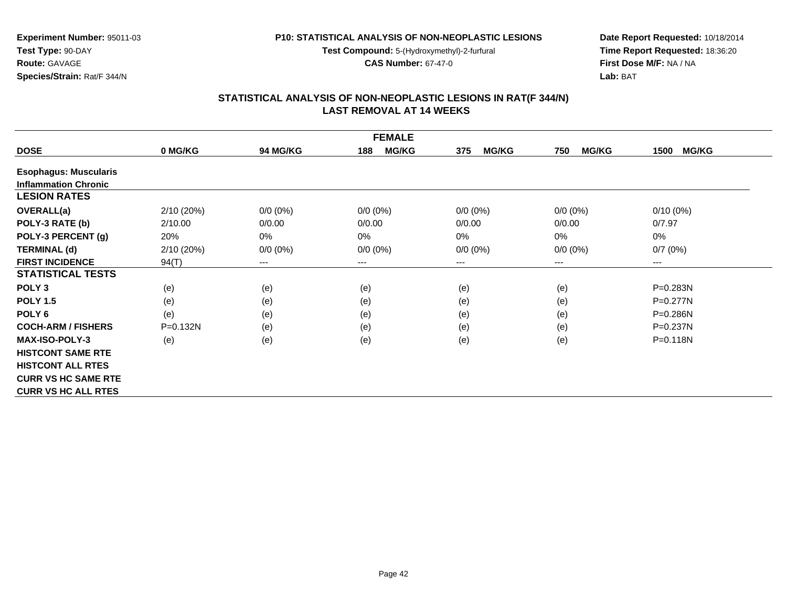**Test Compound:** 5-(Hydroxymethyl)-2-furfural

**CAS Number:** 67-47-0

**Experiment Number:** 95011-03**Test Type:** 90-DAY**Route:** GAVAGE**Species/Strain:** Rat/F 344/N

**Date Report Requested:** 10/18/2014 **Time Report Requested:** 18:36:20**First Dose M/F:** NA / NA**Lab:** BAT

| <b>FEMALE</b>                |              |                 |                        |                     |                     |                      |  |  |
|------------------------------|--------------|-----------------|------------------------|---------------------|---------------------|----------------------|--|--|
| <b>DOSE</b>                  | 0 MG/KG      | <b>94 MG/KG</b> | 188<br><b>MG/KG</b>    | <b>MG/KG</b><br>375 | <b>MG/KG</b><br>750 | <b>MG/KG</b><br>1500 |  |  |
| <b>Esophagus: Muscularis</b> |              |                 |                        |                     |                     |                      |  |  |
| <b>Inflammation Chronic</b>  |              |                 |                        |                     |                     |                      |  |  |
| <b>LESION RATES</b>          |              |                 |                        |                     |                     |                      |  |  |
| <b>OVERALL(a)</b>            | 2/10(20%)    | $0/0 (0\%)$     | $0/0 (0\%)$            | $0/0 (0\%)$         | $0/0 (0\%)$         | $0/10(0\%)$          |  |  |
| POLY-3 RATE (b)              | 2/10.00      | 0/0.00          | 0/0.00                 | 0/0.00              | 0/0.00              | 0/7.97               |  |  |
| POLY-3 PERCENT (g)           | 20%          | 0%              | 0%                     | $0\%$               | 0%                  | 0%                   |  |  |
| <b>TERMINAL (d)</b>          | 2/10(20%)    | $0/0 (0\%)$     | $0/0 (0\%)$            | $0/0 (0\%)$         | $0/0 (0\%)$         | 0/7(0%)              |  |  |
| <b>FIRST INCIDENCE</b>       | 94(T)        | ---             | $\qquad \qquad \cdots$ | ---                 | ---                 | ---                  |  |  |
| <b>STATISTICAL TESTS</b>     |              |                 |                        |                     |                     |                      |  |  |
| POLY <sub>3</sub>            | (e)          | (e)             | (e)                    | (e)                 | (e)                 | P=0.283N             |  |  |
| <b>POLY 1.5</b>              | (e)          | (e)             | (e)                    | (e)                 | (e)                 | P=0.277N             |  |  |
| POLY <sub>6</sub>            | (e)          | (e)             | (e)                    | (e)                 | (e)                 | P=0.286N             |  |  |
| <b>COCH-ARM / FISHERS</b>    | $P = 0.132N$ | (e)             | (e)                    | (e)                 | (e)                 | $P = 0.237N$         |  |  |
| <b>MAX-ISO-POLY-3</b>        | (e)          | (e)             | (e)                    | (e)                 | (e)                 | $P = 0.118N$         |  |  |
| <b>HISTCONT SAME RTE</b>     |              |                 |                        |                     |                     |                      |  |  |
| <b>HISTCONT ALL RTES</b>     |              |                 |                        |                     |                     |                      |  |  |
| <b>CURR VS HC SAME RTE</b>   |              |                 |                        |                     |                     |                      |  |  |
| <b>CURR VS HC ALL RTES</b>   |              |                 |                        |                     |                     |                      |  |  |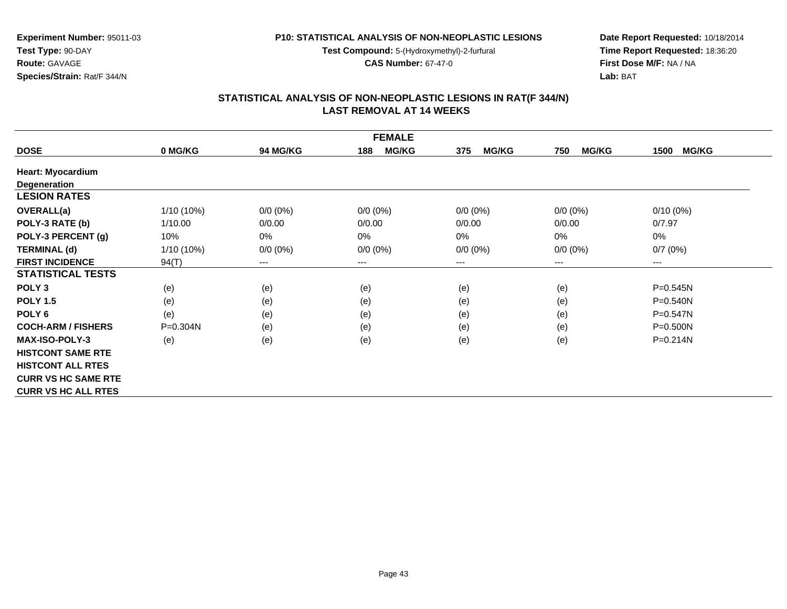**Test Compound:** 5-(Hydroxymethyl)-2-furfural

**CAS Number:** 67-47-0

**Date Report Requested:** 10/18/2014 **Time Report Requested:** 18:36:20**First Dose M/F:** NA / NA**Lab:** BAT

## **STATISTICAL ANALYSIS OF NON-NEOPLASTIC LESIONS IN RAT(F 344/N) LAST REMOVAL AT 14 WEEKS**

| <b>FEMALE</b>              |              |                        |                     |                     |                     |                      |  |  |
|----------------------------|--------------|------------------------|---------------------|---------------------|---------------------|----------------------|--|--|
| <b>DOSE</b>                | 0 MG/KG      | 94 MG/KG               | <b>MG/KG</b><br>188 | <b>MG/KG</b><br>375 | <b>MG/KG</b><br>750 | <b>MG/KG</b><br>1500 |  |  |
| <b>Heart: Myocardium</b>   |              |                        |                     |                     |                     |                      |  |  |
| Degeneration               |              |                        |                     |                     |                     |                      |  |  |
| <b>LESION RATES</b>        |              |                        |                     |                     |                     |                      |  |  |
| <b>OVERALL(a)</b>          | $1/10(10\%)$ | $0/0 (0\%)$            | $0/0 (0\%)$         | $0/0 (0\%)$         | $0/0 (0\%)$         | $0/10(0\%)$          |  |  |
| POLY-3 RATE (b)            | 1/10.00      | 0/0.00                 | 0/0.00              | 0/0.00              | 0/0.00              | 0/7.97               |  |  |
| POLY-3 PERCENT (g)         | 10%          | 0%                     | $0\%$               | 0%                  | 0%                  | 0%                   |  |  |
| <b>TERMINAL (d)</b>        | $1/10(10\%)$ | $0/0 (0\%)$            | $0/0 (0\%)$         | $0/0 (0\%)$         | $0/0 (0\%)$         | 0/7(0%)              |  |  |
| <b>FIRST INCIDENCE</b>     | 94(T)        | $\qquad \qquad \cdots$ | $--$                | ---                 | ---                 | ---                  |  |  |
| <b>STATISTICAL TESTS</b>   |              |                        |                     |                     |                     |                      |  |  |
| POLY <sub>3</sub>          | (e)          | (e)                    | (e)                 | (e)                 | (e)                 | $P = 0.545N$         |  |  |
| <b>POLY 1.5</b>            | (e)          | (e)                    | (e)                 | (e)                 | (e)                 | P=0.540N             |  |  |
| POLY <sub>6</sub>          | (e)          | (e)                    | (e)                 | (e)                 | (e)                 | $P = 0.547N$         |  |  |
| <b>COCH-ARM / FISHERS</b>  | P=0.304N     | (e)                    | (e)                 | (e)                 | (e)                 | $P = 0.500N$         |  |  |
| <b>MAX-ISO-POLY-3</b>      | (e)          | (e)                    | (e)                 | (e)                 | (e)                 | $P = 0.214N$         |  |  |
| <b>HISTCONT SAME RTE</b>   |              |                        |                     |                     |                     |                      |  |  |
| <b>HISTCONT ALL RTES</b>   |              |                        |                     |                     |                     |                      |  |  |
| <b>CURR VS HC SAME RTE</b> |              |                        |                     |                     |                     |                      |  |  |
| <b>CURR VS HC ALL RTES</b> |              |                        |                     |                     |                     |                      |  |  |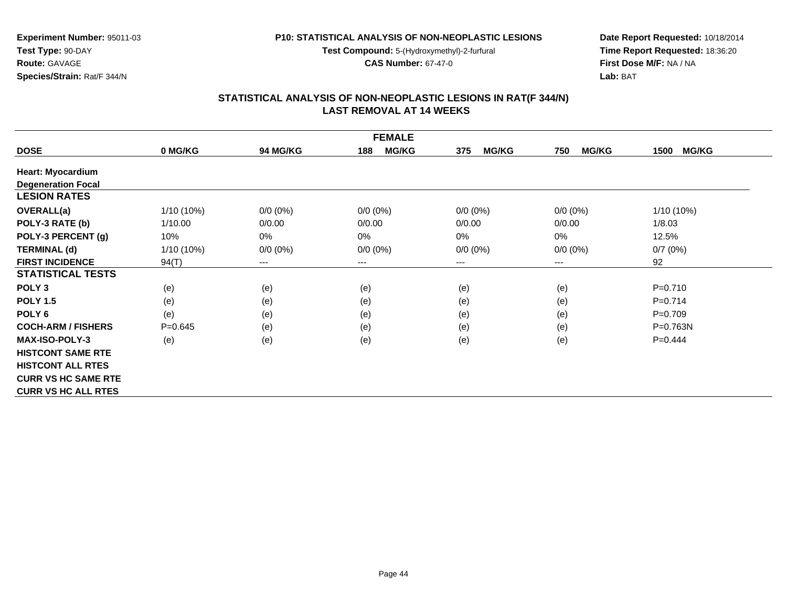**Test Compound:** 5-(Hydroxymethyl)-2-furfural

**CAS Number:** 67-47-0

**Date Report Requested:** 10/18/2014**Time Report Requested:** 18:36:20**First Dose M/F:** NA / NA**Lab:** BAT

#### **STATISTICAL ANALYSIS OF NON-NEOPLASTIC LESIONS IN RAT(F 344/N) LAST REMOVAL AT 14 WEEKS**

| <b>FEMALE</b>              |              |                        |                     |                     |                     |                      |  |  |
|----------------------------|--------------|------------------------|---------------------|---------------------|---------------------|----------------------|--|--|
| <b>DOSE</b>                | 0 MG/KG      | <b>94 MG/KG</b>        | <b>MG/KG</b><br>188 | <b>MG/KG</b><br>375 | <b>MG/KG</b><br>750 | <b>MG/KG</b><br>1500 |  |  |
| <b>Heart: Myocardium</b>   |              |                        |                     |                     |                     |                      |  |  |
| <b>Degeneration Focal</b>  |              |                        |                     |                     |                     |                      |  |  |
| <b>LESION RATES</b>        |              |                        |                     |                     |                     |                      |  |  |
| <b>OVERALL(a)</b>          | $1/10(10\%)$ | $0/0 (0\%)$            | $0/0 (0\%)$         | $0/0 (0\%)$         | $0/0 (0\%)$         | 1/10 (10%)           |  |  |
| POLY-3 RATE (b)            | 1/10.00      | 0/0.00                 | 0/0.00              | 0/0.00              | 0/0.00              | 1/8.03               |  |  |
| POLY-3 PERCENT (g)         | 10%          | $0\%$                  | 0%                  | $0\%$               | 0%                  | 12.5%                |  |  |
| <b>TERMINAL (d)</b>        | $1/10(10\%)$ | $0/0 (0\%)$            | $0/0 (0\%)$         | $0/0 (0\%)$         | $0/0 (0\%)$         | 0/7(0%)              |  |  |
| <b>FIRST INCIDENCE</b>     | 94(T)        | $\qquad \qquad \cdots$ | $\cdots$            | ---                 | $--$                | 92                   |  |  |
| <b>STATISTICAL TESTS</b>   |              |                        |                     |                     |                     |                      |  |  |
| POLY <sub>3</sub>          | (e)          | (e)                    | (e)                 | (e)                 | (e)                 | $P = 0.710$          |  |  |
| <b>POLY 1.5</b>            | (e)          | (e)                    | (e)                 | (e)                 | (e)                 | $P=0.714$            |  |  |
| POLY <sub>6</sub>          | (e)          | (e)                    | (e)                 | (e)                 | (e)                 | $P=0.709$            |  |  |
| <b>COCH-ARM / FISHERS</b>  | $P=0.645$    | (e)                    | (e)                 | (e)                 | (e)                 | P=0.763N             |  |  |
| <b>MAX-ISO-POLY-3</b>      | (e)          | (e)                    | (e)                 | (e)                 | (e)                 | $P=0.444$            |  |  |
| <b>HISTCONT SAME RTE</b>   |              |                        |                     |                     |                     |                      |  |  |
| <b>HISTCONT ALL RTES</b>   |              |                        |                     |                     |                     |                      |  |  |
| <b>CURR VS HC SAME RTE</b> |              |                        |                     |                     |                     |                      |  |  |
| <b>CURR VS HC ALL RTES</b> |              |                        |                     |                     |                     |                      |  |  |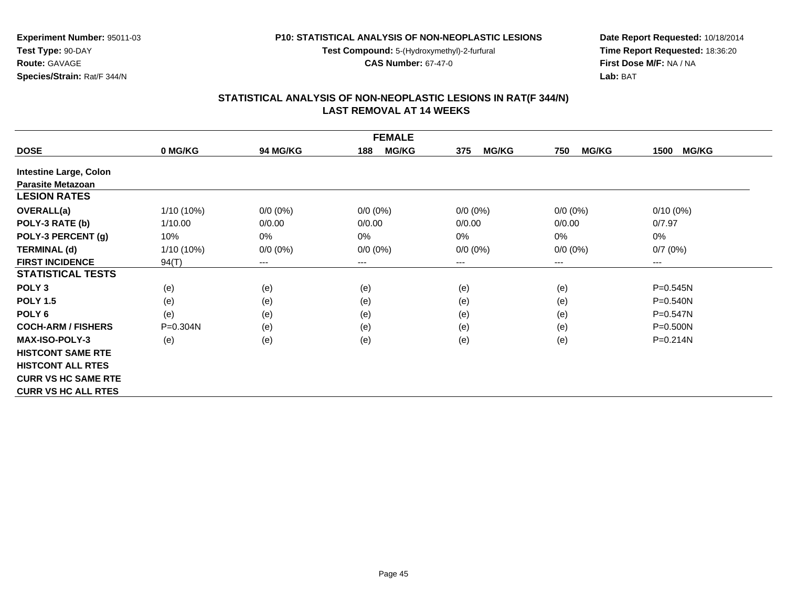**Test Compound:** 5-(Hydroxymethyl)-2-furfural

**CAS Number:** 67-47-0

**Date Report Requested:** 10/18/2014 **Time Report Requested:** 18:36:20**First Dose M/F:** NA / NA**Lab:** BAT

# **STATISTICAL ANALYSIS OF NON-NEOPLASTIC LESIONS IN RAT(F 344/N) LAST REMOVAL AT 14 WEEKS**

| <b>FEMALE</b>                 |              |             |                     |                     |                     |                      |  |  |
|-------------------------------|--------------|-------------|---------------------|---------------------|---------------------|----------------------|--|--|
| <b>DOSE</b>                   | 0 MG/KG      | 94 MG/KG    | <b>MG/KG</b><br>188 | <b>MG/KG</b><br>375 | <b>MG/KG</b><br>750 | <b>MG/KG</b><br>1500 |  |  |
| <b>Intestine Large, Colon</b> |              |             |                     |                     |                     |                      |  |  |
| <b>Parasite Metazoan</b>      |              |             |                     |                     |                     |                      |  |  |
| <b>LESION RATES</b>           |              |             |                     |                     |                     |                      |  |  |
| <b>OVERALL(a)</b>             | 1/10 (10%)   | $0/0 (0\%)$ | $0/0 (0\%)$         | $0/0 (0\%)$         | $0/0 (0\%)$         | $0/10(0\%)$          |  |  |
| POLY-3 RATE (b)               | 1/10.00      | 0/0.00      | 0/0.00              | 0/0.00              | 0/0.00              | 0/7.97               |  |  |
| POLY-3 PERCENT (g)            | 10%          | 0%          | 0%                  | $0\%$               | 0%                  | 0%                   |  |  |
| <b>TERMINAL (d)</b>           | $1/10(10\%)$ | $0/0 (0\%)$ | $0/0 (0\%)$         | $0/0 (0\%)$         | $0/0 (0\%)$         | 0/7(0%)              |  |  |
| <b>FIRST INCIDENCE</b>        | 94(T)        | ---         | $--$                | ---                 | ---                 | ---                  |  |  |
| <b>STATISTICAL TESTS</b>      |              |             |                     |                     |                     |                      |  |  |
| POLY <sub>3</sub>             | (e)          | (e)         | (e)                 | (e)                 | (e)                 | $P = 0.545N$         |  |  |
| <b>POLY 1.5</b>               | (e)          | (e)         | (e)                 | (e)                 | (e)                 | P=0.540N             |  |  |
| POLY 6                        | (e)          | (e)         | (e)                 | (e)                 | (e)                 | P=0.547N             |  |  |
| <b>COCH-ARM / FISHERS</b>     | P=0.304N     | (e)         | (e)                 | (e)                 | (e)                 | $P = 0.500N$         |  |  |
| <b>MAX-ISO-POLY-3</b>         | (e)          | (e)         | (e)                 | (e)                 | (e)                 | $P = 0.214N$         |  |  |
| <b>HISTCONT SAME RTE</b>      |              |             |                     |                     |                     |                      |  |  |
| <b>HISTCONT ALL RTES</b>      |              |             |                     |                     |                     |                      |  |  |
| <b>CURR VS HC SAME RTE</b>    |              |             |                     |                     |                     |                      |  |  |
| <b>CURR VS HC ALL RTES</b>    |              |             |                     |                     |                     |                      |  |  |

**Experiment Number:** 95011-03

**Species/Strain:** Rat/F 344/N

**Test Type:** 90-DAY**Route:** GAVAGE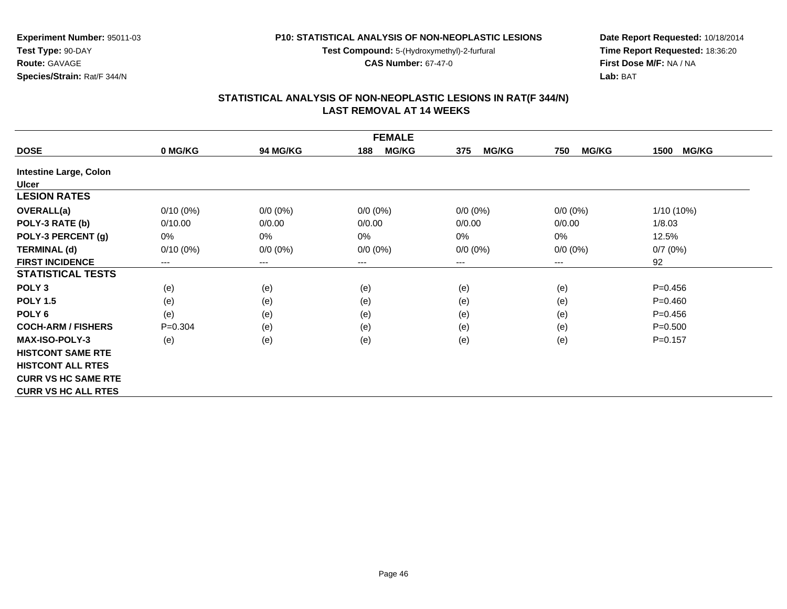**Test Compound:** 5-(Hydroxymethyl)-2-furfural

**CAS Number:** 67-47-0

**Date Report Requested:** 10/18/2014 **Time Report Requested:** 18:36:20**First Dose M/F:** NA / NA**Lab:** BAT

#### **STATISTICAL ANALYSIS OF NON-NEOPLASTIC LESIONS IN RAT(F 344/N) LAST REMOVAL AT 14 WEEKS**

| <b>FEMALE</b>                 |                        |             |                     |                     |                     |                      |  |  |
|-------------------------------|------------------------|-------------|---------------------|---------------------|---------------------|----------------------|--|--|
| <b>DOSE</b>                   | 0 MG/KG                | 94 MG/KG    | <b>MG/KG</b><br>188 | <b>MG/KG</b><br>375 | <b>MG/KG</b><br>750 | <b>MG/KG</b><br>1500 |  |  |
| <b>Intestine Large, Colon</b> |                        |             |                     |                     |                     |                      |  |  |
| <b>Ulcer</b>                  |                        |             |                     |                     |                     |                      |  |  |
| <b>LESION RATES</b>           |                        |             |                     |                     |                     |                      |  |  |
| <b>OVERALL(a)</b>             | $0/10(0\%)$            | $0/0 (0\%)$ | $0/0 (0\%)$         | $0/0 (0\%)$         | $0/0 (0\%)$         | 1/10 (10%)           |  |  |
| POLY-3 RATE (b)               | 0/10.00                | 0/0.00      | 0/0.00              | 0/0.00              | 0/0.00              | 1/8.03               |  |  |
| POLY-3 PERCENT (g)            | 0%                     | $0\%$       | 0%                  | 0%                  | $0\%$               | 12.5%                |  |  |
| <b>TERMINAL (d)</b>           | $0/10(0\%)$            | $0/0 (0\%)$ | $0/0 (0\%)$         | $0/0 (0\%)$         | $0/0 (0\%)$         | 0/7(0%)              |  |  |
| <b>FIRST INCIDENCE</b>        | $\qquad \qquad \cdots$ | $\cdots$    | ---                 | ---                 | ---                 | 92                   |  |  |
| <b>STATISTICAL TESTS</b>      |                        |             |                     |                     |                     |                      |  |  |
| POLY <sub>3</sub>             | (e)                    | (e)         | (e)                 | (e)                 | (e)                 | $P=0.456$            |  |  |
| <b>POLY 1.5</b>               | (e)                    | (e)         | (e)                 | (e)                 | (e)                 | $P = 0.460$          |  |  |
| POLY <sub>6</sub>             | (e)                    | (e)         | (e)                 | (e)                 | (e)                 | $P = 0.456$          |  |  |
| <b>COCH-ARM / FISHERS</b>     | $P=0.304$              | (e)         | (e)                 | (e)                 | (e)                 | $P = 0.500$          |  |  |
| <b>MAX-ISO-POLY-3</b>         | (e)                    | (e)         | (e)                 | (e)                 | (e)                 | $P = 0.157$          |  |  |
| <b>HISTCONT SAME RTE</b>      |                        |             |                     |                     |                     |                      |  |  |
| <b>HISTCONT ALL RTES</b>      |                        |             |                     |                     |                     |                      |  |  |
| <b>CURR VS HC SAME RTE</b>    |                        |             |                     |                     |                     |                      |  |  |
| <b>CURR VS HC ALL RTES</b>    |                        |             |                     |                     |                     |                      |  |  |

**Experiment Number:** 95011-03

**Test Type:** 90-DAY**Route:** GAVAGE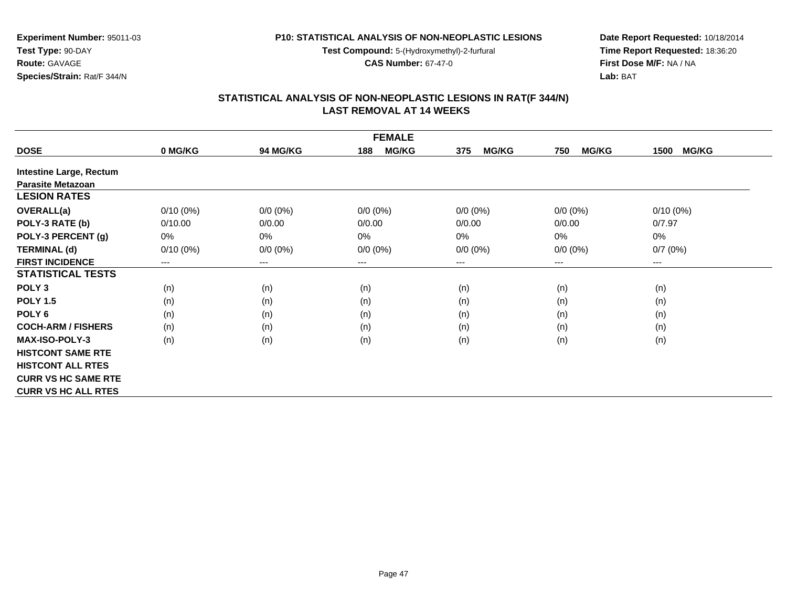**Test Compound:** 5-(Hydroxymethyl)-2-furfural

**CAS Number:** 67-47-0

**Date Report Requested:** 10/18/2014 **Time Report Requested:** 18:36:20**First Dose M/F:** NA / NA**Lab:** BAT

# **STATISTICAL ANALYSIS OF NON-NEOPLASTIC LESIONS IN RAT(F 344/N) LAST REMOVAL AT 14 WEEKS**

| <b>FEMALE</b>                  |             |                 |                     |                     |                     |                      |  |  |
|--------------------------------|-------------|-----------------|---------------------|---------------------|---------------------|----------------------|--|--|
| <b>DOSE</b>                    | 0 MG/KG     | <b>94 MG/KG</b> | <b>MG/KG</b><br>188 | <b>MG/KG</b><br>375 | <b>MG/KG</b><br>750 | <b>MG/KG</b><br>1500 |  |  |
| <b>Intestine Large, Rectum</b> |             |                 |                     |                     |                     |                      |  |  |
| <b>Parasite Metazoan</b>       |             |                 |                     |                     |                     |                      |  |  |
| <b>LESION RATES</b>            |             |                 |                     |                     |                     |                      |  |  |
| OVERALL(a)                     | $0/10(0\%)$ | $0/0 (0\%)$     | $0/0 (0\%)$         | $0/0 (0\%)$         | $0/0 (0\%)$         | $0/10(0\%)$          |  |  |
| POLY-3 RATE (b)                | 0/10.00     | 0/0.00          | 0/0.00              | 0/0.00              | 0/0.00              | 0/7.97               |  |  |
| POLY-3 PERCENT (g)             | $0\%$       | 0%              | 0%                  | $0\%$               | 0%                  | 0%                   |  |  |
| <b>TERMINAL (d)</b>            | $0/10(0\%)$ | $0/0 (0\%)$     | $0/0 (0\%)$         | $0/0 (0\%)$         | $0/0 (0\%)$         | 0/7(0%)              |  |  |
| <b>FIRST INCIDENCE</b>         | ---         | ---             | $--$                | ---                 | ---                 | ---                  |  |  |
| <b>STATISTICAL TESTS</b>       |             |                 |                     |                     |                     |                      |  |  |
| POLY <sub>3</sub>              | (n)         | (n)             | (n)                 | (n)                 | (n)                 | (n)                  |  |  |
| <b>POLY 1.5</b>                | (n)         | (n)             | (n)                 | (n)                 | (n)                 | (n)                  |  |  |
| POLY 6                         | (n)         | (n)             | (n)                 | (n)                 | (n)                 | (n)                  |  |  |
| <b>COCH-ARM / FISHERS</b>      | (n)         | (n)             | (n)                 | (n)                 | (n)                 | (n)                  |  |  |
| <b>MAX-ISO-POLY-3</b>          | (n)         | (n)             | (n)                 | (n)                 | (n)                 | (n)                  |  |  |
| <b>HISTCONT SAME RTE</b>       |             |                 |                     |                     |                     |                      |  |  |
| <b>HISTCONT ALL RTES</b>       |             |                 |                     |                     |                     |                      |  |  |
| <b>CURR VS HC SAME RTE</b>     |             |                 |                     |                     |                     |                      |  |  |
| <b>CURR VS HC ALL RTES</b>     |             |                 |                     |                     |                     |                      |  |  |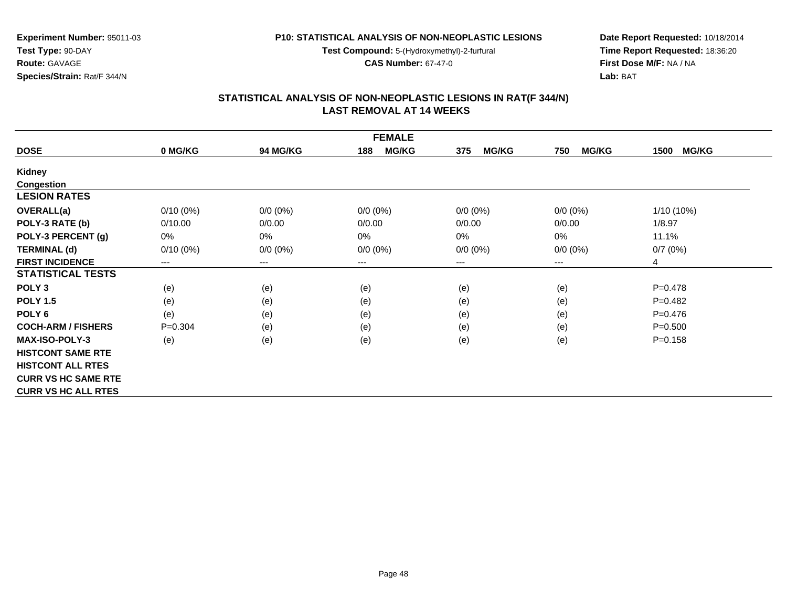**Test Compound:** 5-(Hydroxymethyl)-2-furfural

**CAS Number:** 67-47-0

**Date Report Requested:** 10/18/2014 **Time Report Requested:** 18:36:20**First Dose M/F:** NA / NA**Lab:** BAT

| <b>FEMALE</b>              |             |                 |                     |                     |                     |                      |  |  |
|----------------------------|-------------|-----------------|---------------------|---------------------|---------------------|----------------------|--|--|
| <b>DOSE</b>                | 0 MG/KG     | <b>94 MG/KG</b> | <b>MG/KG</b><br>188 | <b>MG/KG</b><br>375 | <b>MG/KG</b><br>750 | <b>MG/KG</b><br>1500 |  |  |
| <b>Kidney</b>              |             |                 |                     |                     |                     |                      |  |  |
| Congestion                 |             |                 |                     |                     |                     |                      |  |  |
| <b>LESION RATES</b>        |             |                 |                     |                     |                     |                      |  |  |
| <b>OVERALL(a)</b>          | $0/10(0\%)$ | $0/0 (0\%)$     | $0/0 (0\%)$         | $0/0 (0\%)$         | $0/0$ $(0%)$        | 1/10 (10%)           |  |  |
| POLY-3 RATE (b)            | 0/10.00     | 0/0.00          | 0/0.00              | 0/0.00              | 0/0.00              | 1/8.97               |  |  |
| POLY-3 PERCENT (g)         | 0%          | 0%              | 0%                  | 0%                  | $0\%$               | 11.1%                |  |  |
| <b>TERMINAL (d)</b>        | $0/10(0\%)$ | $0/0 (0\%)$     | $0/0 (0\%)$         | $0/0 (0\%)$         | $0/0 (0\%)$         | 0/7(0%)              |  |  |
| <b>FIRST INCIDENCE</b>     | $---$       | $---$           | $--$                | ---                 | ---                 | 4                    |  |  |
| <b>STATISTICAL TESTS</b>   |             |                 |                     |                     |                     |                      |  |  |
| POLY <sub>3</sub>          | (e)         | (e)             | (e)                 | (e)                 | (e)                 | $P=0.478$            |  |  |
| <b>POLY 1.5</b>            | (e)         | (e)             | (e)                 | (e)                 | (e)                 | $P=0.482$            |  |  |
| POLY <sub>6</sub>          | (e)         | (e)             | (e)                 | (e)                 | (e)                 | $P=0.476$            |  |  |
| <b>COCH-ARM / FISHERS</b>  | $P = 0.304$ | (e)             | (e)                 | (e)                 | (e)                 | $P = 0.500$          |  |  |
| <b>MAX-ISO-POLY-3</b>      | (e)         | (e)             | (e)                 | (e)                 | (e)                 | $P = 0.158$          |  |  |
| <b>HISTCONT SAME RTE</b>   |             |                 |                     |                     |                     |                      |  |  |
| <b>HISTCONT ALL RTES</b>   |             |                 |                     |                     |                     |                      |  |  |
| <b>CURR VS HC SAME RTE</b> |             |                 |                     |                     |                     |                      |  |  |
| <b>CURR VS HC ALL RTES</b> |             |                 |                     |                     |                     |                      |  |  |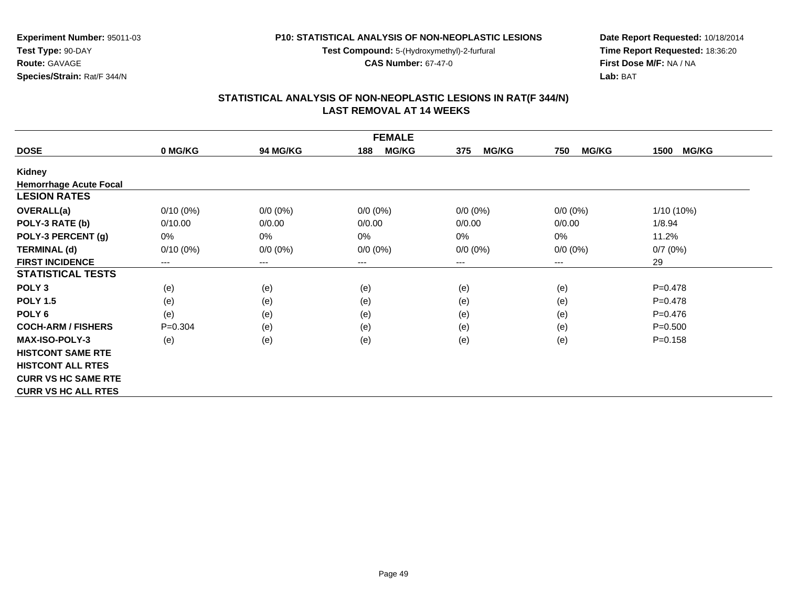**Test Compound:** 5-(Hydroxymethyl)-2-furfural

**CAS Number:** 67-47-0

**Date Report Requested:** 10/18/2014 **Time Report Requested:** 18:36:20**First Dose M/F:** NA / NA**Lab:** BAT

#### **STATISTICAL ANALYSIS OF NON-NEOPLASTIC LESIONS IN RAT(F 344/N) LAST REMOVAL AT 14 WEEKS**

| <b>FEMALE</b>                 |                        |             |                     |                     |                     |                      |  |  |
|-------------------------------|------------------------|-------------|---------------------|---------------------|---------------------|----------------------|--|--|
| <b>DOSE</b>                   | 0 MG/KG                | 94 MG/KG    | <b>MG/KG</b><br>188 | <b>MG/KG</b><br>375 | <b>MG/KG</b><br>750 | <b>MG/KG</b><br>1500 |  |  |
| Kidney                        |                        |             |                     |                     |                     |                      |  |  |
| <b>Hemorrhage Acute Focal</b> |                        |             |                     |                     |                     |                      |  |  |
| <b>LESION RATES</b>           |                        |             |                     |                     |                     |                      |  |  |
| <b>OVERALL(a)</b>             | $0/10(0\%)$            | $0/0 (0\%)$ | $0/0 (0\%)$         | $0/0 (0\%)$         | $0/0 (0\%)$         | $1/10(10\%)$         |  |  |
| POLY-3 RATE (b)               | 0/10.00                | 0/0.00      | 0/0.00              | 0/0.00              | 0/0.00              | 1/8.94               |  |  |
| POLY-3 PERCENT (g)            | 0%                     | $0\%$       | 0%                  | $0\%$               | 0%                  | 11.2%                |  |  |
| <b>TERMINAL (d)</b>           | $0/10(0\%)$            | $0/0 (0\%)$ | $0/0 (0\%)$         | $0/0 (0\%)$         | $0/0 (0\%)$         | 0/7(0%)              |  |  |
| <b>FIRST INCIDENCE</b>        | $\qquad \qquad \cdots$ | $--$        | ---                 | ---                 | ---                 | 29                   |  |  |
| <b>STATISTICAL TESTS</b>      |                        |             |                     |                     |                     |                      |  |  |
| POLY <sub>3</sub>             | (e)                    | (e)         | (e)                 | (e)                 | (e)                 | $P=0.478$            |  |  |
| <b>POLY 1.5</b>               | (e)                    | (e)         | (e)                 | (e)                 | (e)                 | $P=0.478$            |  |  |
| POLY <sub>6</sub>             | (e)                    | (e)         | (e)                 | (e)                 | (e)                 | $P=0.476$            |  |  |
| <b>COCH-ARM / FISHERS</b>     | $P = 0.304$            | (e)         | (e)                 | (e)                 | (e)                 | $P = 0.500$          |  |  |
| <b>MAX-ISO-POLY-3</b>         | (e)                    | (e)         | (e)                 | (e)                 | (e)                 | $P = 0.158$          |  |  |
| <b>HISTCONT SAME RTE</b>      |                        |             |                     |                     |                     |                      |  |  |
| <b>HISTCONT ALL RTES</b>      |                        |             |                     |                     |                     |                      |  |  |
| <b>CURR VS HC SAME RTE</b>    |                        |             |                     |                     |                     |                      |  |  |
| <b>CURR VS HC ALL RTES</b>    |                        |             |                     |                     |                     |                      |  |  |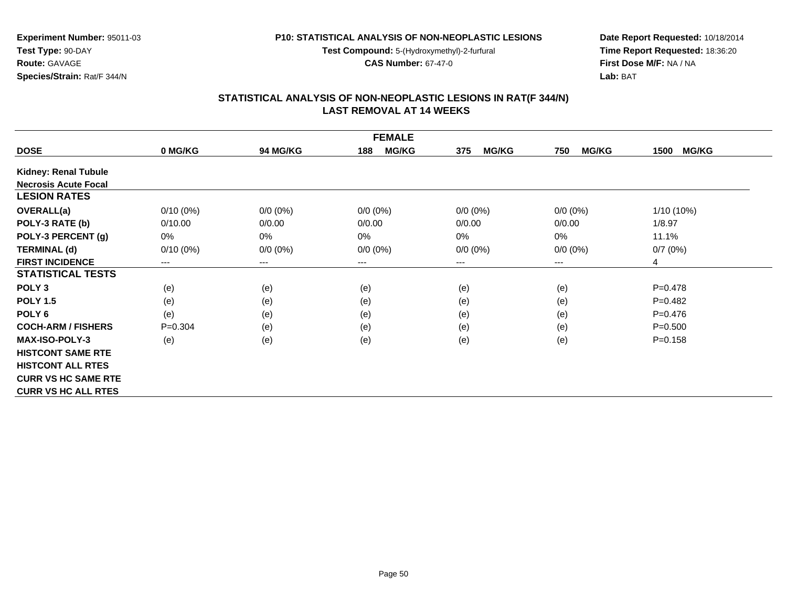**Test Compound:** 5-(Hydroxymethyl)-2-furfural

**CAS Number:** 67-47-0

**Date Report Requested:** 10/18/2014 **Time Report Requested:** 18:36:20**First Dose M/F:** NA / NA**Lab:** BAT

#### **STATISTICAL ANALYSIS OF NON-NEOPLASTIC LESIONS IN RAT(F 344/N) LAST REMOVAL AT 14 WEEKS**

| <b>FEMALE</b>               |             |                 |                     |                     |                     |                      |  |
|-----------------------------|-------------|-----------------|---------------------|---------------------|---------------------|----------------------|--|
| <b>DOSE</b>                 | 0 MG/KG     | <b>94 MG/KG</b> | <b>MG/KG</b><br>188 | <b>MG/KG</b><br>375 | <b>MG/KG</b><br>750 | <b>MG/KG</b><br>1500 |  |
| <b>Kidney: Renal Tubule</b> |             |                 |                     |                     |                     |                      |  |
| <b>Necrosis Acute Focal</b> |             |                 |                     |                     |                     |                      |  |
| <b>LESION RATES</b>         |             |                 |                     |                     |                     |                      |  |
| <b>OVERALL(a)</b>           | $0/10(0\%)$ | $0/0 (0\%)$     | $0/0 (0\%)$         | $0/0 (0\%)$         | $0/0 (0\%)$         | $1/10(10\%)$         |  |
| POLY-3 RATE (b)             | 0/10.00     | 0/0.00          | 0/0.00              | 0/0.00              | 0/0.00              | 1/8.97               |  |
| POLY-3 PERCENT (g)          | $0\%$       | $0\%$           | 0%                  | 0%                  | 0%                  | 11.1%                |  |
| <b>TERMINAL (d)</b>         | $0/10(0\%)$ | $0/0 (0\%)$     | $0/0 (0\%)$         | $0/0 (0\%)$         | $0/0 (0\%)$         | 0/7(0%)              |  |
| <b>FIRST INCIDENCE</b>      | $---$       | $\cdots$        | $---$               | $---$               | ---                 | 4                    |  |
| <b>STATISTICAL TESTS</b>    |             |                 |                     |                     |                     |                      |  |
| POLY <sub>3</sub>           | (e)         | (e)             | (e)                 | (e)                 | (e)                 | $P=0.478$            |  |
| <b>POLY 1.5</b>             | (e)         | (e)             | (e)                 | (e)                 | (e)                 | $P=0.482$            |  |
| POLY <sub>6</sub>           | (e)         | (e)             | (e)                 | (e)                 | (e)                 | $P=0.476$            |  |
| <b>COCH-ARM / FISHERS</b>   | $P = 0.304$ | (e)             | (e)                 | (e)                 | (e)                 | $P = 0.500$          |  |
| <b>MAX-ISO-POLY-3</b>       | (e)         | (e)             | (e)                 | (e)                 | (e)                 | $P = 0.158$          |  |
| <b>HISTCONT SAME RTE</b>    |             |                 |                     |                     |                     |                      |  |
| <b>HISTCONT ALL RTES</b>    |             |                 |                     |                     |                     |                      |  |
| <b>CURR VS HC SAME RTE</b>  |             |                 |                     |                     |                     |                      |  |
| <b>CURR VS HC ALL RTES</b>  |             |                 |                     |                     |                     |                      |  |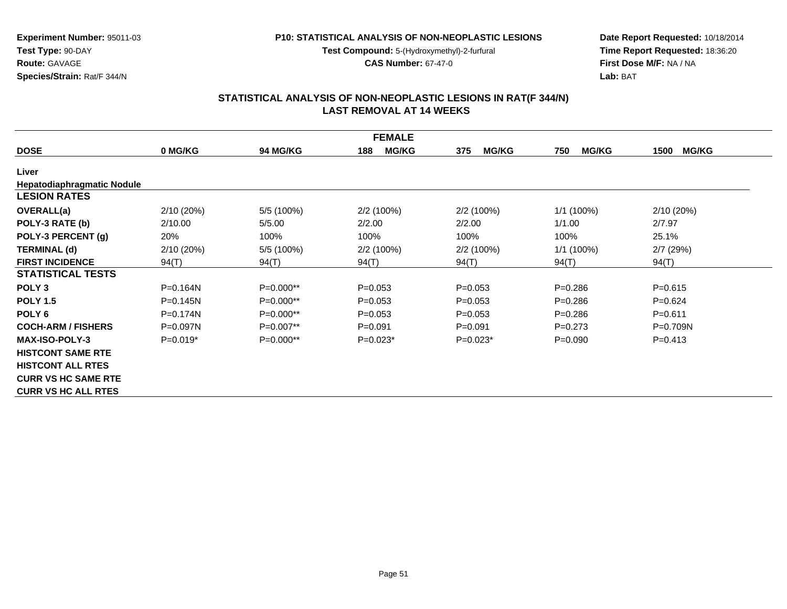**Test Compound:** 5-(Hydroxymethyl)-2-furfural

**CAS Number:** 67-47-0

**Date Report Requested:** 10/18/2014 **Time Report Requested:** 18:36:20**First Dose M/F:** NA / NA**Lab:** BAT

#### **STATISTICAL ANALYSIS OF NON-NEOPLASTIC LESIONS IN RAT(F 344/N) LAST REMOVAL AT 14 WEEKS**

| <b>FEMALE</b>                     |              |                 |                     |                     |                     |                      |  |  |
|-----------------------------------|--------------|-----------------|---------------------|---------------------|---------------------|----------------------|--|--|
| <b>DOSE</b>                       | 0 MG/KG      | <b>94 MG/KG</b> | <b>MG/KG</b><br>188 | <b>MG/KG</b><br>375 | <b>MG/KG</b><br>750 | <b>MG/KG</b><br>1500 |  |  |
| Liver                             |              |                 |                     |                     |                     |                      |  |  |
| <b>Hepatodiaphragmatic Nodule</b> |              |                 |                     |                     |                     |                      |  |  |
| <b>LESION RATES</b>               |              |                 |                     |                     |                     |                      |  |  |
| <b>OVERALL(a)</b>                 | 2/10(20%)    | 5/5 (100%)      | $2/2(100\%)$        | $2/2(100\%)$        | $1/1(100\%)$        | 2/10 (20%)           |  |  |
| POLY-3 RATE (b)                   | 2/10.00      | 5/5.00          | 2/2.00              | 2/2.00              | 1/1.00              | 2/7.97               |  |  |
| POLY-3 PERCENT (g)                | 20%          | 100%            | 100%                | 100%                | 100%                | 25.1%                |  |  |
| <b>TERMINAL (d)</b>               | 2/10 (20%)   | 5/5 (100%)      | 2/2 (100%)          | $2/2(100\%)$        | 1/1 (100%)          | 2/7(29%)             |  |  |
| <b>FIRST INCIDENCE</b>            | 94(T)        | 94(T)           | 94(T)               | 94(T)               | 94(T)               | 94(T)                |  |  |
| <b>STATISTICAL TESTS</b>          |              |                 |                     |                     |                     |                      |  |  |
| POLY <sub>3</sub>                 | $P = 0.164N$ | $P=0.000**$     | $P=0.053$           | $P=0.053$           | $P = 0.286$         | $P = 0.615$          |  |  |
| <b>POLY 1.5</b>                   | $P=0.145N$   | $P=0.000**$     | $P=0.053$           | $P = 0.053$         | $P = 0.286$         | $P=0.624$            |  |  |
| POLY <sub>6</sub>                 | $P = 0.174N$ | P=0.000**       | $P=0.053$           | $P = 0.053$         | $P = 0.286$         | $P = 0.611$          |  |  |
| <b>COCH-ARM / FISHERS</b>         | $P = 0.097N$ | $P=0.007**$     | $P = 0.091$         | $P = 0.091$         | $P=0.273$           | $P=0.709N$           |  |  |
| <b>MAX-ISO-POLY-3</b>             | $P=0.019*$   | $P=0.000**$     | $P=0.023*$          | $P=0.023*$          | $P = 0.090$         | $P=0.413$            |  |  |
| <b>HISTCONT SAME RTE</b>          |              |                 |                     |                     |                     |                      |  |  |
| <b>HISTCONT ALL RTES</b>          |              |                 |                     |                     |                     |                      |  |  |
| <b>CURR VS HC SAME RTE</b>        |              |                 |                     |                     |                     |                      |  |  |
| <b>CURR VS HC ALL RTES</b>        |              |                 |                     |                     |                     |                      |  |  |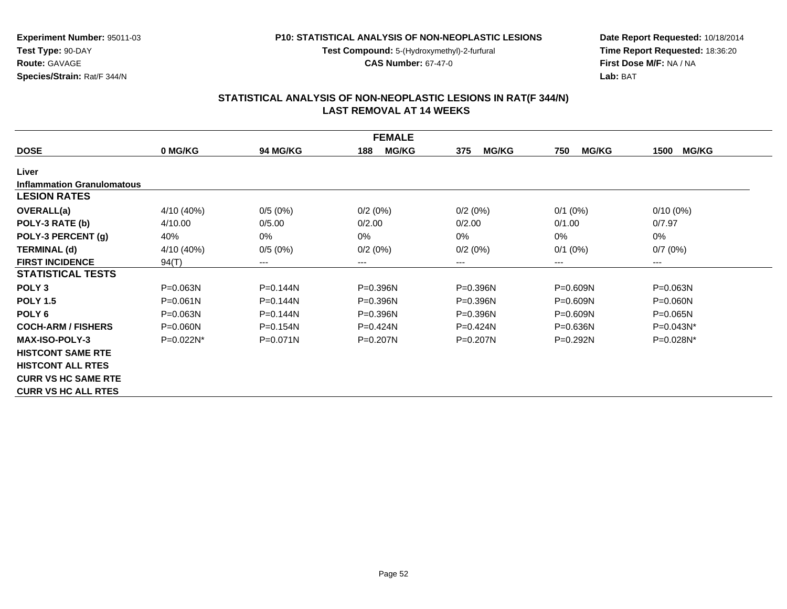**Test Compound:** 5-(Hydroxymethyl)-2-furfural

**CAS Number:** 67-47-0

**Date Report Requested:** 10/18/2014 **Time Report Requested:** 18:36:20**First Dose M/F:** NA / NA**Lab:** BAT

#### **STATISTICAL ANALYSIS OF NON-NEOPLASTIC LESIONS IN RAT(F 344/N) LAST REMOVAL AT 14 WEEKS**

| <b>FEMALE</b>                     |              |                 |                     |                     |                     |                        |  |  |
|-----------------------------------|--------------|-----------------|---------------------|---------------------|---------------------|------------------------|--|--|
| <b>DOSE</b>                       | 0 MG/KG      | <b>94 MG/KG</b> | <b>MG/KG</b><br>188 | <b>MG/KG</b><br>375 | <b>MG/KG</b><br>750 | <b>MG/KG</b><br>1500   |  |  |
| Liver                             |              |                 |                     |                     |                     |                        |  |  |
| <b>Inflammation Granulomatous</b> |              |                 |                     |                     |                     |                        |  |  |
| <b>LESION RATES</b>               |              |                 |                     |                     |                     |                        |  |  |
| <b>OVERALL(a)</b>                 | 4/10 (40%)   | 0/5(0%)         | 0/2(0%)             | 0/2(0%)             | $0/1$ (0%)          | $0/10(0\%)$            |  |  |
| POLY-3 RATE (b)                   | 4/10.00      | 0/5.00          | 0/2.00              | 0/2.00              | 0/1.00              | 0/7.97                 |  |  |
| POLY-3 PERCENT (g)                | 40%          | 0%              | 0%                  | $0\%$               | $0\%$               | 0%                     |  |  |
| <b>TERMINAL (d)</b>               | 4/10 (40%)   | 0/5(0%)         | 0/2(0%)             | 0/2(0%)             | $0/1$ (0%)          | 0/7(0%)                |  |  |
| <b>FIRST INCIDENCE</b>            | 94(T)        | ---             | ---                 | ---                 | $---$               | $\qquad \qquad \cdots$ |  |  |
| <b>STATISTICAL TESTS</b>          |              |                 |                     |                     |                     |                        |  |  |
| POLY <sub>3</sub>                 | P=0.063N     | $P=0.144N$      | $P = 0.396N$        | $P = 0.396N$        | $P = 0.609N$        | $P = 0.063N$           |  |  |
| <b>POLY 1.5</b>                   | $P = 0.061N$ | $P = 0.144N$    | $P = 0.396N$        | $P = 0.396N$        | $P = 0.609N$        | $P = 0.060N$           |  |  |
| POLY <sub>6</sub>                 | $P = 0.063N$ | $P=0.144N$      | $P = 0.396N$        | P=0.396N            | $P = 0.609N$        | $P = 0.065N$           |  |  |
| <b>COCH-ARM / FISHERS</b>         | $P = 0.060N$ | $P = 0.154N$    | $P=0.424N$          | $P=0.424N$          | $P = 0.636N$        | $P=0.043N^*$           |  |  |
| <b>MAX-ISO-POLY-3</b>             | $P=0.022N^*$ | $P = 0.071N$    | $P=0.207N$          | $P=0.207N$          | $P=0.292N$          | P=0.028N*              |  |  |
| <b>HISTCONT SAME RTE</b>          |              |                 |                     |                     |                     |                        |  |  |
| <b>HISTCONT ALL RTES</b>          |              |                 |                     |                     |                     |                        |  |  |
| <b>CURR VS HC SAME RTE</b>        |              |                 |                     |                     |                     |                        |  |  |
| <b>CURR VS HC ALL RTES</b>        |              |                 |                     |                     |                     |                        |  |  |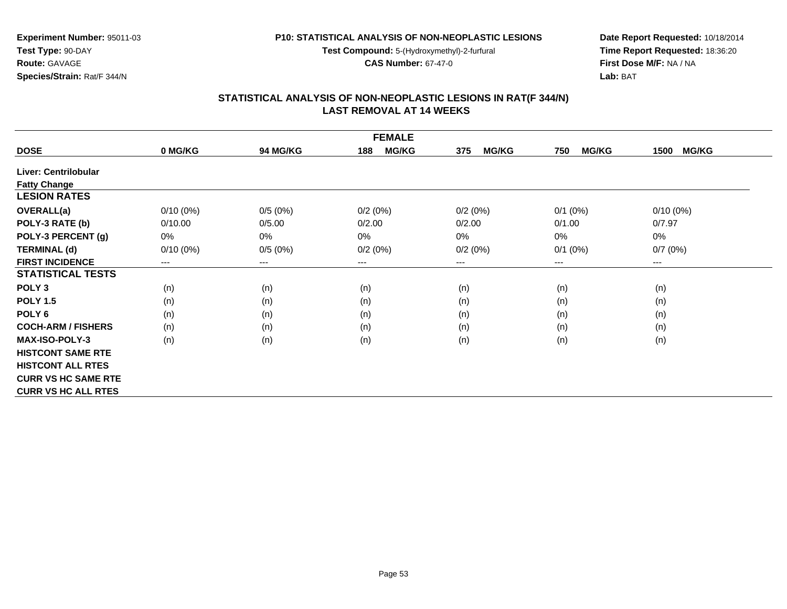**Test Compound:** 5-(Hydroxymethyl)-2-furfural

**CAS Number:** 67-47-0

**Date Report Requested:** 10/18/2014 **Time Report Requested:** 18:36:20**First Dose M/F:** NA / NA**Lab:** BAT

#### **STATISTICAL ANALYSIS OF NON-NEOPLASTIC LESIONS IN RAT(F 344/N) LAST REMOVAL AT 14 WEEKS**

| <b>FEMALE</b>              |             |                 |                     |                     |                     |                      |  |
|----------------------------|-------------|-----------------|---------------------|---------------------|---------------------|----------------------|--|
| <b>DOSE</b>                | 0 MG/KG     | <b>94 MG/KG</b> | <b>MG/KG</b><br>188 | <b>MG/KG</b><br>375 | <b>MG/KG</b><br>750 | <b>MG/KG</b><br>1500 |  |
| Liver: Centrilobular       |             |                 |                     |                     |                     |                      |  |
| <b>Fatty Change</b>        |             |                 |                     |                     |                     |                      |  |
| <b>LESION RATES</b>        |             |                 |                     |                     |                     |                      |  |
| <b>OVERALL(a)</b>          | $0/10(0\%)$ | 0/5(0%)         | 0/2(0%)             | 0/2(0%)             | $0/1$ (0%)          | $0/10(0\%)$          |  |
| POLY-3 RATE (b)            | 0/10.00     | 0/5.00          | 0/2.00              | 0/2.00              | 0/1.00              | 0/7.97               |  |
| POLY-3 PERCENT (g)         | 0%          | 0%              | 0%                  | 0%                  | 0%                  | $0\%$                |  |
| <b>TERMINAL (d)</b>        | $0/10(0\%)$ | 0/5(0%)         | 0/2(0%)             | 0/2(0%)             | $0/1$ (0%)          | 0/7(0%)              |  |
| <b>FIRST INCIDENCE</b>     | ---         | $---$           | $---$               | ---                 | $---$               | ---                  |  |
| <b>STATISTICAL TESTS</b>   |             |                 |                     |                     |                     |                      |  |
| POLY <sub>3</sub>          | (n)         | (n)             | (n)                 | (n)                 | (n)                 | (n)                  |  |
| <b>POLY 1.5</b>            | (n)         | (n)             | (n)                 | (n)                 | (n)                 | (n)                  |  |
| POLY <sub>6</sub>          | (n)         | (n)             | (n)                 | (n)                 | (n)                 | (n)                  |  |
| <b>COCH-ARM / FISHERS</b>  | (n)         | (n)             | (n)                 | (n)                 | (n)                 | (n)                  |  |
| <b>MAX-ISO-POLY-3</b>      | (n)         | (n)             | (n)                 | (n)                 | (n)                 | (n)                  |  |
| <b>HISTCONT SAME RTE</b>   |             |                 |                     |                     |                     |                      |  |
| <b>HISTCONT ALL RTES</b>   |             |                 |                     |                     |                     |                      |  |
| <b>CURR VS HC SAME RTE</b> |             |                 |                     |                     |                     |                      |  |
| <b>CURR VS HC ALL RTES</b> |             |                 |                     |                     |                     |                      |  |

**Experiment Number:** 95011-03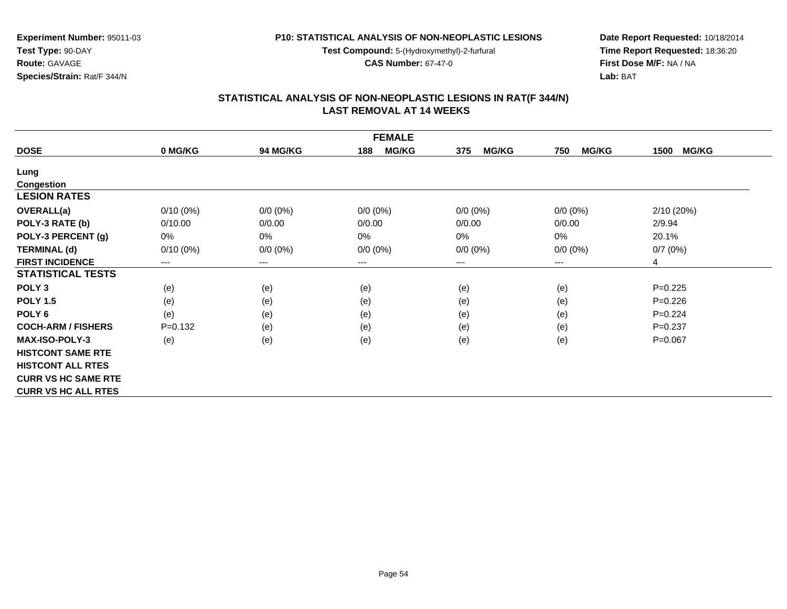**Test Compound:** 5-(Hydroxymethyl)-2-furfural

**CAS Number:** 67-47-0

**Date Report Requested:** 10/18/2014 **Time Report Requested:** 18:36:20**First Dose M/F:** NA / NA**Lab:** BAT

#### **STATISTICAL ANALYSIS OF NON-NEOPLASTIC LESIONS IN RAT(F 344/N) LAST REMOVAL AT 14 WEEKS**

| <b>FEMALE</b>              |             |                 |                     |                     |                     |                      |  |
|----------------------------|-------------|-----------------|---------------------|---------------------|---------------------|----------------------|--|
| <b>DOSE</b>                | 0 MG/KG     | <b>94 MG/KG</b> | <b>MG/KG</b><br>188 | <b>MG/KG</b><br>375 | <b>MG/KG</b><br>750 | <b>MG/KG</b><br>1500 |  |
| Lung                       |             |                 |                     |                     |                     |                      |  |
| <b>Congestion</b>          |             |                 |                     |                     |                     |                      |  |
| <b>LESION RATES</b>        |             |                 |                     |                     |                     |                      |  |
| <b>OVERALL(a)</b>          | $0/10(0\%)$ | $0/0 (0\%)$     | $0/0 (0\%)$         | $0/0 (0\%)$         | $0/0 (0\%)$         | 2/10(20%)            |  |
| POLY-3 RATE (b)            | 0/10.00     | 0/0.00          | 0/0.00              | 0/0.00              | 0/0.00              | 2/9.94               |  |
| POLY-3 PERCENT (g)         | 0%          | $0\%$           | 0%                  | 0%                  | 0%                  | 20.1%                |  |
| <b>TERMINAL (d)</b>        | $0/10(0\%)$ | $0/0 (0\%)$     | $0/0 (0\%)$         | $0/0 (0\%)$         | $0/0 (0\%)$         | 0/7(0%)              |  |
| <b>FIRST INCIDENCE</b>     | $--$        | $---$           | $---$               | ---                 | $---$               | 4                    |  |
| <b>STATISTICAL TESTS</b>   |             |                 |                     |                     |                     |                      |  |
| POLY <sub>3</sub>          | (e)         | (e)             | (e)                 | (e)                 | (e)                 | $P=0.225$            |  |
| <b>POLY 1.5</b>            | (e)         | (e)             | (e)                 | (e)                 | (e)                 | $P=0.226$            |  |
| POLY <sub>6</sub>          | (e)         | (e)             | (e)                 | (e)                 | (e)                 | $P=0.224$            |  |
| <b>COCH-ARM / FISHERS</b>  | $P=0.132$   | (e)             | (e)                 | (e)                 | (e)                 | $P=0.237$            |  |
| <b>MAX-ISO-POLY-3</b>      | (e)         | (e)             | (e)                 | (e)                 | (e)                 | $P=0.067$            |  |
| <b>HISTCONT SAME RTE</b>   |             |                 |                     |                     |                     |                      |  |
| <b>HISTCONT ALL RTES</b>   |             |                 |                     |                     |                     |                      |  |
| <b>CURR VS HC SAME RTE</b> |             |                 |                     |                     |                     |                      |  |
| <b>CURR VS HC ALL RTES</b> |             |                 |                     |                     |                     |                      |  |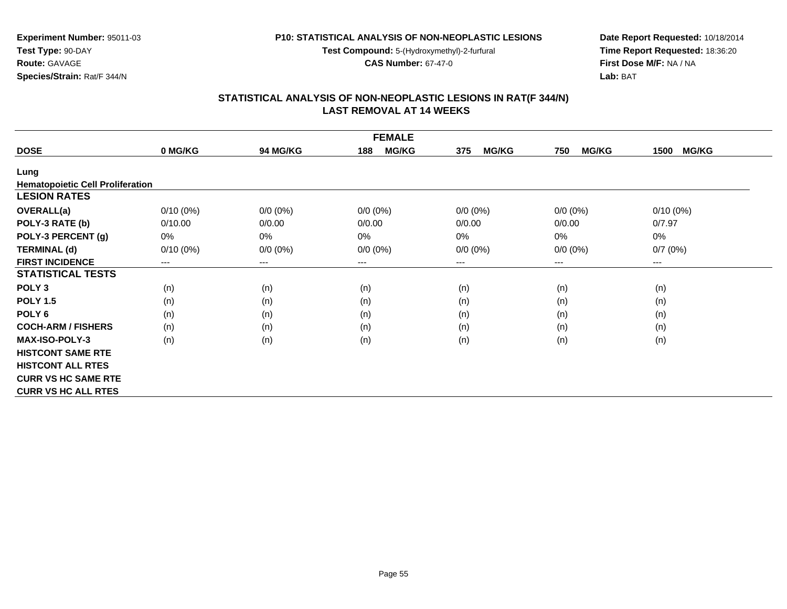**Test Compound:** 5-(Hydroxymethyl)-2-furfural

**CAS Number:** 67-47-0

**Date Report Requested:** 10/18/2014 **Time Report Requested:** 18:36:20**First Dose M/F:** NA / NA**Lab:** BAT

#### **STATISTICAL ANALYSIS OF NON-NEOPLASTIC LESIONS IN RAT(F 344/N) LAST REMOVAL AT 14 WEEKS**

| <b>FEMALE</b>                           |             |                 |                     |                     |                     |                      |  |  |
|-----------------------------------------|-------------|-----------------|---------------------|---------------------|---------------------|----------------------|--|--|
| <b>DOSE</b>                             | 0 MG/KG     | <b>94 MG/KG</b> | <b>MG/KG</b><br>188 | <b>MG/KG</b><br>375 | <b>MG/KG</b><br>750 | <b>MG/KG</b><br>1500 |  |  |
| Lung                                    |             |                 |                     |                     |                     |                      |  |  |
| <b>Hematopoietic Cell Proliferation</b> |             |                 |                     |                     |                     |                      |  |  |
| <b>LESION RATES</b>                     |             |                 |                     |                     |                     |                      |  |  |
| <b>OVERALL(a)</b>                       | $0/10(0\%)$ | $0/0 (0\%)$     | $0/0 (0\%)$         | $0/0 (0\%)$         | $0/0 (0\%)$         | $0/10(0\%)$          |  |  |
| POLY-3 RATE (b)                         | 0/10.00     | 0/0.00          | 0/0.00              | 0/0.00              | 0/0.00              | 0/7.97               |  |  |
| POLY-3 PERCENT (g)                      | 0%          | 0%              | 0%                  | 0%                  | 0%                  | 0%                   |  |  |
| <b>TERMINAL (d)</b>                     | $0/10(0\%)$ | $0/0 (0\%)$     | $0/0 (0\%)$         | $0/0 (0\%)$         | $0/0 (0\%)$         | 0/7(0%)              |  |  |
| <b>FIRST INCIDENCE</b>                  | ---         | ---             | ---                 | ---                 | $---$               | $--$                 |  |  |
| <b>STATISTICAL TESTS</b>                |             |                 |                     |                     |                     |                      |  |  |
| POLY <sub>3</sub>                       | (n)         | (n)             | (n)                 | (n)                 | (n)                 | (n)                  |  |  |
| <b>POLY 1.5</b>                         | (n)         | (n)             | (n)                 | (n)                 | (n)                 | (n)                  |  |  |
| POLY <sub>6</sub>                       | (n)         | (n)             | (n)                 | (n)                 | (n)                 | (n)                  |  |  |
| <b>COCH-ARM / FISHERS</b>               | (n)         | (n)             | (n)                 | (n)                 | (n)                 | (n)                  |  |  |
| <b>MAX-ISO-POLY-3</b>                   | (n)         | (n)             | (n)                 | (n)                 | (n)                 | (n)                  |  |  |
| <b>HISTCONT SAME RTE</b>                |             |                 |                     |                     |                     |                      |  |  |
| <b>HISTCONT ALL RTES</b>                |             |                 |                     |                     |                     |                      |  |  |
| <b>CURR VS HC SAME RTE</b>              |             |                 |                     |                     |                     |                      |  |  |
| <b>CURR VS HC ALL RTES</b>              |             |                 |                     |                     |                     |                      |  |  |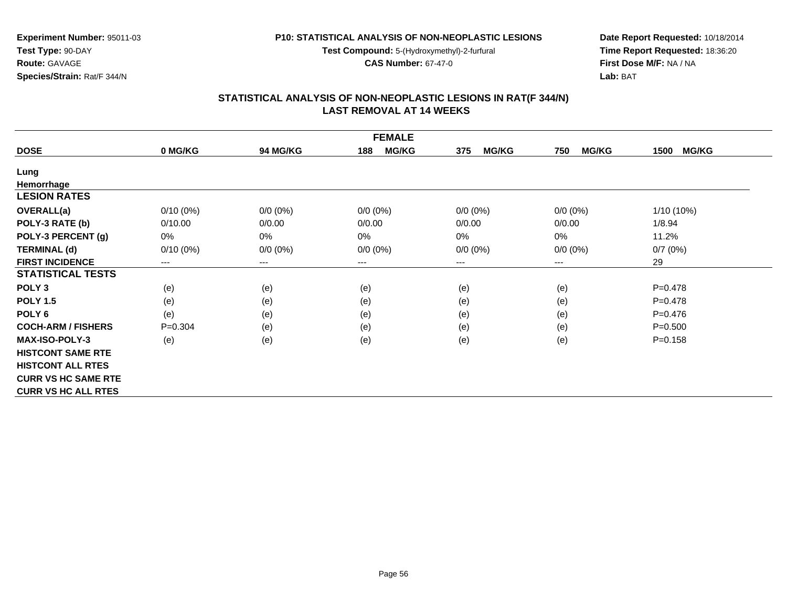**Test Compound:** 5-(Hydroxymethyl)-2-furfural

**CAS Number:** 67-47-0

**Date Report Requested:** 10/18/2014 **Time Report Requested:** 18:36:20**First Dose M/F:** NA / NA**Lab:** BAT

| <b>FEMALE</b>              |             |                 |                     |                     |                     |                      |  |
|----------------------------|-------------|-----------------|---------------------|---------------------|---------------------|----------------------|--|
| <b>DOSE</b>                | 0 MG/KG     | <b>94 MG/KG</b> | <b>MG/KG</b><br>188 | <b>MG/KG</b><br>375 | <b>MG/KG</b><br>750 | <b>MG/KG</b><br>1500 |  |
| Lung                       |             |                 |                     |                     |                     |                      |  |
| Hemorrhage                 |             |                 |                     |                     |                     |                      |  |
| <b>LESION RATES</b>        |             |                 |                     |                     |                     |                      |  |
| OVERALL(a)                 | $0/10(0\%)$ | $0/0 (0\%)$     | $0/0 (0\%)$         | $0/0 (0\%)$         | $0/0$ $(0%)$        | 1/10 (10%)           |  |
| POLY-3 RATE (b)            | 0/10.00     | 0/0.00          | 0/0.00              | 0/0.00              | 0/0.00              | 1/8.94               |  |
| POLY-3 PERCENT (g)         | 0%          | $0\%$           | 0%                  | 0%                  | $0\%$               | 11.2%                |  |
| <b>TERMINAL (d)</b>        | $0/10(0\%)$ | $0/0 (0\%)$     | $0/0 (0\%)$         | $0/0 (0\%)$         | $0/0 (0\%)$         | 0/7(0%)              |  |
| <b>FIRST INCIDENCE</b>     | $---$       | $---$           | $---$               | $---$               | ---                 | 29                   |  |
| <b>STATISTICAL TESTS</b>   |             |                 |                     |                     |                     |                      |  |
| POLY <sub>3</sub>          | (e)         | (e)             | (e)                 | (e)                 | (e)                 | $P=0.478$            |  |
| <b>POLY 1.5</b>            | (e)         | (e)             | (e)                 | (e)                 | (e)                 | $P=0.478$            |  |
| POLY <sub>6</sub>          | (e)         | (e)             | (e)                 | (e)                 | (e)                 | $P=0.476$            |  |
| <b>COCH-ARM / FISHERS</b>  | $P = 0.304$ | (e)             | (e)                 | (e)                 | (e)                 | $P = 0.500$          |  |
| <b>MAX-ISO-POLY-3</b>      | (e)         | (e)             | (e)                 | (e)                 | (e)                 | $P = 0.158$          |  |
| <b>HISTCONT SAME RTE</b>   |             |                 |                     |                     |                     |                      |  |
| <b>HISTCONT ALL RTES</b>   |             |                 |                     |                     |                     |                      |  |
| <b>CURR VS HC SAME RTE</b> |             |                 |                     |                     |                     |                      |  |
| <b>CURR VS HC ALL RTES</b> |             |                 |                     |                     |                     |                      |  |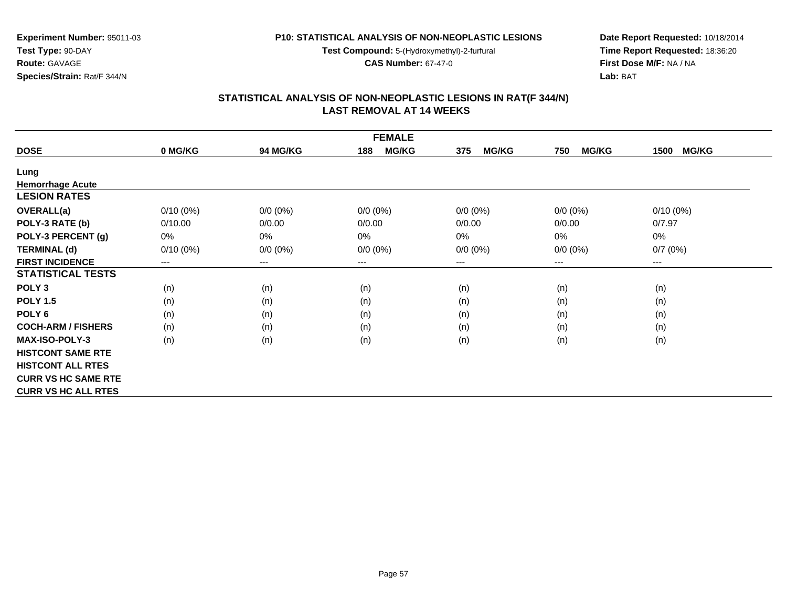**Test Compound:** 5-(Hydroxymethyl)-2-furfural

**CAS Number:** 67-47-0

**Date Report Requested:** 10/18/2014 **Time Report Requested:** 18:36:20**First Dose M/F:** NA / NA**Lab:** BAT

| <b>FEMALE</b>              |             |                 |                     |                     |                     |                      |  |
|----------------------------|-------------|-----------------|---------------------|---------------------|---------------------|----------------------|--|
| <b>DOSE</b>                | 0 MG/KG     | <b>94 MG/KG</b> | <b>MG/KG</b><br>188 | <b>MG/KG</b><br>375 | <b>MG/KG</b><br>750 | <b>MG/KG</b><br>1500 |  |
| Lung                       |             |                 |                     |                     |                     |                      |  |
| <b>Hemorrhage Acute</b>    |             |                 |                     |                     |                     |                      |  |
| <b>LESION RATES</b>        |             |                 |                     |                     |                     |                      |  |
| <b>OVERALL(a)</b>          | $0/10(0\%)$ | $0/0 (0\%)$     | $0/0 (0\%)$         | $0/0 (0\%)$         | $0/0 (0\%)$         | $0/10(0\%)$          |  |
| POLY-3 RATE (b)            | 0/10.00     | 0/0.00          | 0/0.00              | 0/0.00              | 0/0.00              | 0/7.97               |  |
| POLY-3 PERCENT (g)         | 0%          | 0%              | 0%                  | 0%                  | 0%                  | 0%                   |  |
| <b>TERMINAL (d)</b>        | $0/10(0\%)$ | $0/0 (0\%)$     | $0/0 (0\%)$         | $0/0 (0\%)$         | $0/0 (0\%)$         | 0/7(0%)              |  |
| <b>FIRST INCIDENCE</b>     | $---$       | $---$           | $---$               | ---                 | $---$               | ---                  |  |
| <b>STATISTICAL TESTS</b>   |             |                 |                     |                     |                     |                      |  |
| POLY <sub>3</sub>          | (n)         | (n)             | (n)                 | (n)                 | (n)                 | (n)                  |  |
| <b>POLY 1.5</b>            | (n)         | (n)             | (n)                 | (n)                 | (n)                 | (n)                  |  |
| POLY <sub>6</sub>          | (n)         | (n)             | (n)                 | (n)                 | (n)                 | (n)                  |  |
| <b>COCH-ARM / FISHERS</b>  | (n)         | (n)             | (n)                 | (n)                 | (n)                 | (n)                  |  |
| <b>MAX-ISO-POLY-3</b>      | (n)         | (n)             | (n)                 | (n)                 | (n)                 | (n)                  |  |
| <b>HISTCONT SAME RTE</b>   |             |                 |                     |                     |                     |                      |  |
| <b>HISTCONT ALL RTES</b>   |             |                 |                     |                     |                     |                      |  |
| <b>CURR VS HC SAME RTE</b> |             |                 |                     |                     |                     |                      |  |
| <b>CURR VS HC ALL RTES</b> |             |                 |                     |                     |                     |                      |  |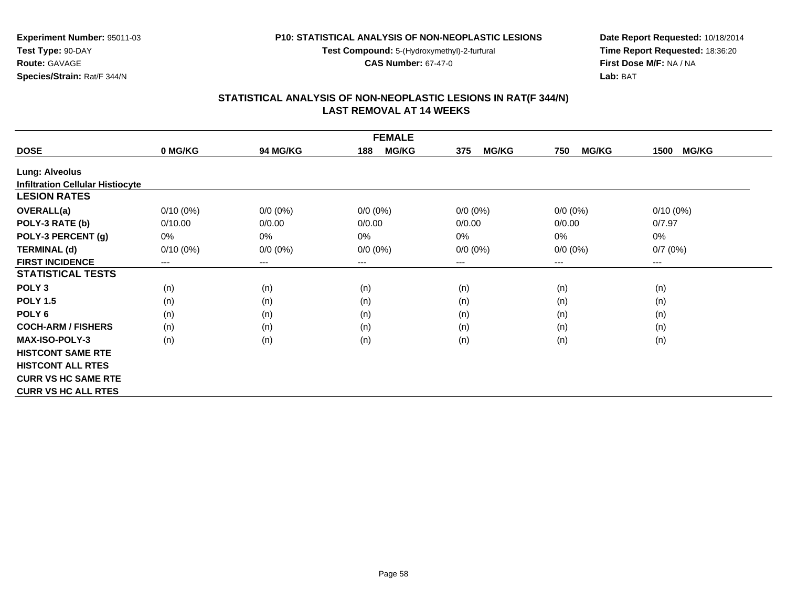**Test Compound:** 5-(Hydroxymethyl)-2-furfural

**CAS Number:** 67-47-0

**Date Report Requested:** 10/18/2014 **Time Report Requested:** 18:36:20**First Dose M/F:** NA / NA**Lab:** BAT

#### **STATISTICAL ANALYSIS OF NON-NEOPLASTIC LESIONS IN RAT(F 344/N) LAST REMOVAL AT 14 WEEKS**

| <b>FEMALE</b>                           |                            |                 |                     |                     |                     |                      |  |  |
|-----------------------------------------|----------------------------|-----------------|---------------------|---------------------|---------------------|----------------------|--|--|
| <b>DOSE</b>                             | 0 MG/KG                    | <b>94 MG/KG</b> | <b>MG/KG</b><br>188 | 375<br><b>MG/KG</b> | <b>MG/KG</b><br>750 | <b>MG/KG</b><br>1500 |  |  |
| <b>Lung: Alveolus</b>                   |                            |                 |                     |                     |                     |                      |  |  |
| <b>Infiltration Cellular Histiocyte</b> |                            |                 |                     |                     |                     |                      |  |  |
| <b>LESION RATES</b>                     |                            |                 |                     |                     |                     |                      |  |  |
| <b>OVERALL(a)</b>                       | $0/10(0\%)$                | $0/0 (0\%)$     | $0/0 (0\%)$         | $0/0 (0\%)$         | $0/0 (0\%)$         | $0/10(0\%)$          |  |  |
| POLY-3 RATE (b)                         | 0/10.00                    | 0/0.00          | 0/0.00              | 0/0.00              | 0/0.00              | 0/7.97               |  |  |
| POLY-3 PERCENT (g)                      | 0%                         | 0%              | 0%                  | 0%                  | $0\%$               | 0%                   |  |  |
| <b>TERMINAL (d)</b>                     | $0/10(0\%)$                | $0/0 (0\%)$     | $0/0 (0\%)$         | $0/0 (0\%)$         | $0/0 (0\%)$         | 0/7(0%)              |  |  |
| <b>FIRST INCIDENCE</b>                  | $\qquad \qquad - \qquad -$ | $---$           | $---$               | ---                 | ---                 | ---                  |  |  |
| <b>STATISTICAL TESTS</b>                |                            |                 |                     |                     |                     |                      |  |  |
| POLY <sub>3</sub>                       | (n)                        | (n)             | (n)                 | (n)                 | (n)                 | (n)                  |  |  |
| <b>POLY 1.5</b>                         | (n)                        | (n)             | (n)                 | (n)                 | (n)                 | (n)                  |  |  |
| POLY <sub>6</sub>                       | (n)                        | (n)             | (n)                 | (n)                 | (n)                 | (n)                  |  |  |
| <b>COCH-ARM / FISHERS</b>               | (n)                        | (n)             | (n)                 | (n)                 | (n)                 | (n)                  |  |  |
| <b>MAX-ISO-POLY-3</b>                   | (n)                        | (n)             | (n)                 | (n)                 | (n)                 | (n)                  |  |  |
| <b>HISTCONT SAME RTE</b>                |                            |                 |                     |                     |                     |                      |  |  |
| <b>HISTCONT ALL RTES</b>                |                            |                 |                     |                     |                     |                      |  |  |
| <b>CURR VS HC SAME RTE</b>              |                            |                 |                     |                     |                     |                      |  |  |
| <b>CURR VS HC ALL RTES</b>              |                            |                 |                     |                     |                     |                      |  |  |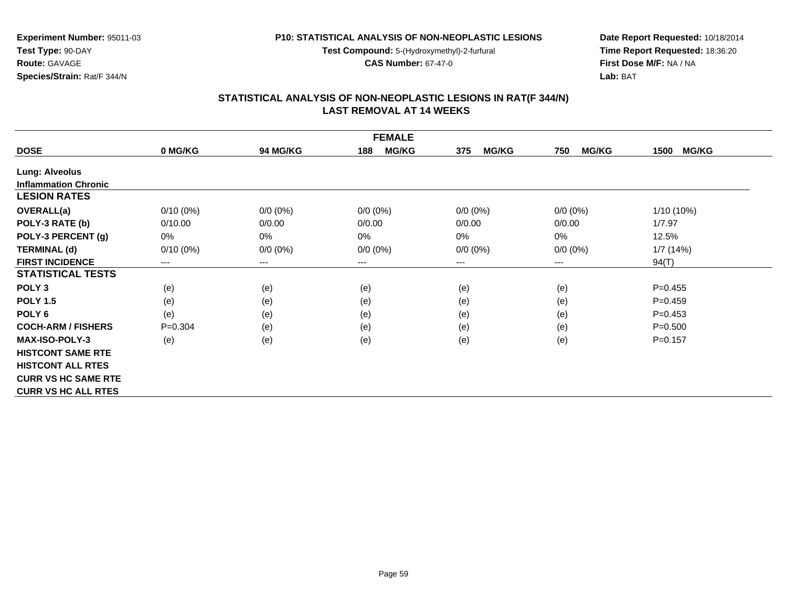**Test Compound:** 5-(Hydroxymethyl)-2-furfural

**CAS Number:** 67-47-0

**Experiment Number:** 95011-03

**Species/Strain:** Rat/F 344/N

**Test Type:** 90-DAY**Route:** GAVAGE

**Date Report Requested:** 10/18/2014 **Time Report Requested:** 18:36:20**First Dose M/F:** NA / NA**Lab:** BAT

| <b>FEMALE</b>               |             |                 |                     |                     |                     |                      |  |  |
|-----------------------------|-------------|-----------------|---------------------|---------------------|---------------------|----------------------|--|--|
| <b>DOSE</b>                 | 0 MG/KG     | <b>94 MG/KG</b> | <b>MG/KG</b><br>188 | <b>MG/KG</b><br>375 | <b>MG/KG</b><br>750 | <b>MG/KG</b><br>1500 |  |  |
| Lung: Alveolus              |             |                 |                     |                     |                     |                      |  |  |
| <b>Inflammation Chronic</b> |             |                 |                     |                     |                     |                      |  |  |
| <b>LESION RATES</b>         |             |                 |                     |                     |                     |                      |  |  |
| <b>OVERALL(a)</b>           | $0/10(0\%)$ | $0/0 (0\%)$     | $0/0 (0\%)$         | $0/0 (0\%)$         | $0/0 (0\%)$         | 1/10 (10%)           |  |  |
| POLY-3 RATE (b)             | 0/10.00     | 0/0.00          | 0/0.00              | 0/0.00              | 0/0.00              | 1/7.97               |  |  |
| POLY-3 PERCENT (g)          | 0%          | 0%              | 0%                  | 0%                  | 0%                  | 12.5%                |  |  |
| <b>TERMINAL (d)</b>         | $0/10(0\%)$ | $0/0 (0\%)$     | $0/0 (0\%)$         | $0/0 (0\%)$         | $0/0 (0\%)$         | 1/7(14%)             |  |  |
| <b>FIRST INCIDENCE</b>      | ---         | ---             | $---$               | ---                 | $--$                | 94(T)                |  |  |
| <b>STATISTICAL TESTS</b>    |             |                 |                     |                     |                     |                      |  |  |
| POLY <sub>3</sub>           | (e)         | (e)             | (e)                 | (e)                 | (e)                 | $P=0.455$            |  |  |
| <b>POLY 1.5</b>             | (e)         | (e)             | (e)                 | (e)                 | (e)                 | $P=0.459$            |  |  |
| POLY <sub>6</sub>           | (e)         | (e)             | (e)                 | (e)                 | (e)                 | $P = 0.453$          |  |  |
| <b>COCH-ARM / FISHERS</b>   | $P = 0.304$ | (e)             | (e)                 | (e)                 | (e)                 | $P = 0.500$          |  |  |
| <b>MAX-ISO-POLY-3</b>       | (e)         | (e)             | (e)                 | (e)                 | (e)                 | $P = 0.157$          |  |  |
| <b>HISTCONT SAME RTE</b>    |             |                 |                     |                     |                     |                      |  |  |
| <b>HISTCONT ALL RTES</b>    |             |                 |                     |                     |                     |                      |  |  |
| <b>CURR VS HC SAME RTE</b>  |             |                 |                     |                     |                     |                      |  |  |
| <b>CURR VS HC ALL RTES</b>  |             |                 |                     |                     |                     |                      |  |  |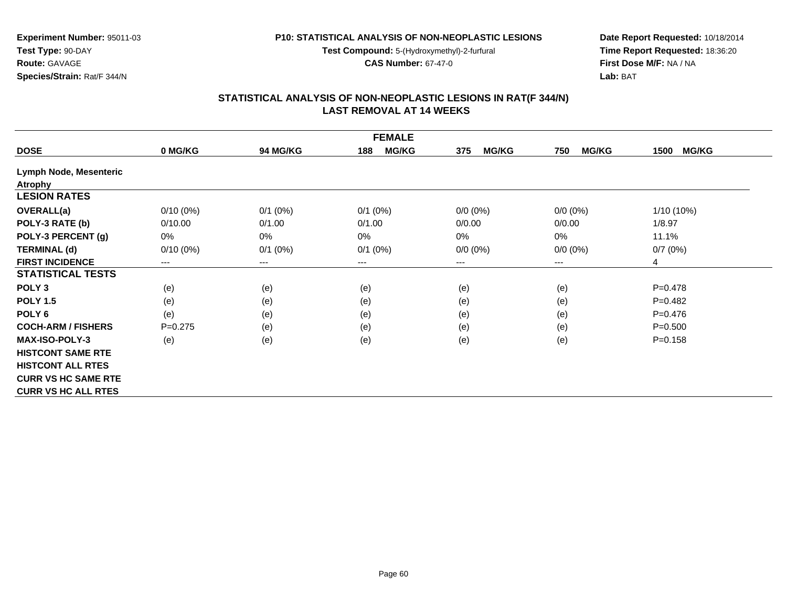**Test Compound:** 5-(Hydroxymethyl)-2-furfural

**CAS Number:** 67-47-0

**Experiment Number:** 95011-03**Test Type:** 90-DAY**Route:** GAVAGE**Species/Strain:** Rat/F 344/N

**Date Report Requested:** 10/18/2014 **Time Report Requested:** 18:36:20**First Dose M/F:** NA / NA**Lab:** BAT

| <b>FEMALE</b>              |             |                 |                     |                     |                     |                      |  |  |
|----------------------------|-------------|-----------------|---------------------|---------------------|---------------------|----------------------|--|--|
| <b>DOSE</b>                | 0 MG/KG     | <b>94 MG/KG</b> | <b>MG/KG</b><br>188 | <b>MG/KG</b><br>375 | <b>MG/KG</b><br>750 | <b>MG/KG</b><br>1500 |  |  |
| Lymph Node, Mesenteric     |             |                 |                     |                     |                     |                      |  |  |
| <b>Atrophy</b>             |             |                 |                     |                     |                     |                      |  |  |
| <b>LESION RATES</b>        |             |                 |                     |                     |                     |                      |  |  |
| <b>OVERALL(a)</b>          | $0/10(0\%)$ | $0/1$ (0%)      | $0/1$ (0%)          | $0/0 (0\%)$         | $0/0 (0\%)$         | $1/10(10\%)$         |  |  |
| POLY-3 RATE (b)            | 0/10.00     | 0/1.00          | 0/1.00              | 0/0.00              | 0/0.00              | 1/8.97               |  |  |
| POLY-3 PERCENT (g)         | 0%          | 0%              | 0%                  | $0\%$               | 0%                  | 11.1%                |  |  |
| <b>TERMINAL (d)</b>        | $0/10(0\%)$ | $0/1$ (0%)      | $0/1$ (0%)          | $0/0 (0\%)$         | $0/0 (0\%)$         | 0/7(0%)              |  |  |
| <b>FIRST INCIDENCE</b>     | ---         | ---             | $--$                | ---                 | ---                 | 4                    |  |  |
| <b>STATISTICAL TESTS</b>   |             |                 |                     |                     |                     |                      |  |  |
| POLY <sub>3</sub>          | (e)         | (e)             | (e)                 | (e)                 | (e)                 | $P = 0.478$          |  |  |
| <b>POLY 1.5</b>            | (e)         | (e)             | (e)                 | (e)                 | (e)                 | $P=0.482$            |  |  |
| POLY <sub>6</sub>          | (e)         | (e)             | (e)                 | (e)                 | (e)                 | $P=0.476$            |  |  |
| <b>COCH-ARM / FISHERS</b>  | $P=0.275$   | (e)             | (e)                 | (e)                 | (e)                 | $P = 0.500$          |  |  |
| <b>MAX-ISO-POLY-3</b>      | (e)         | (e)             | (e)                 | (e)                 | (e)                 | $P = 0.158$          |  |  |
| <b>HISTCONT SAME RTE</b>   |             |                 |                     |                     |                     |                      |  |  |
| <b>HISTCONT ALL RTES</b>   |             |                 |                     |                     |                     |                      |  |  |
| <b>CURR VS HC SAME RTE</b> |             |                 |                     |                     |                     |                      |  |  |
| <b>CURR VS HC ALL RTES</b> |             |                 |                     |                     |                     |                      |  |  |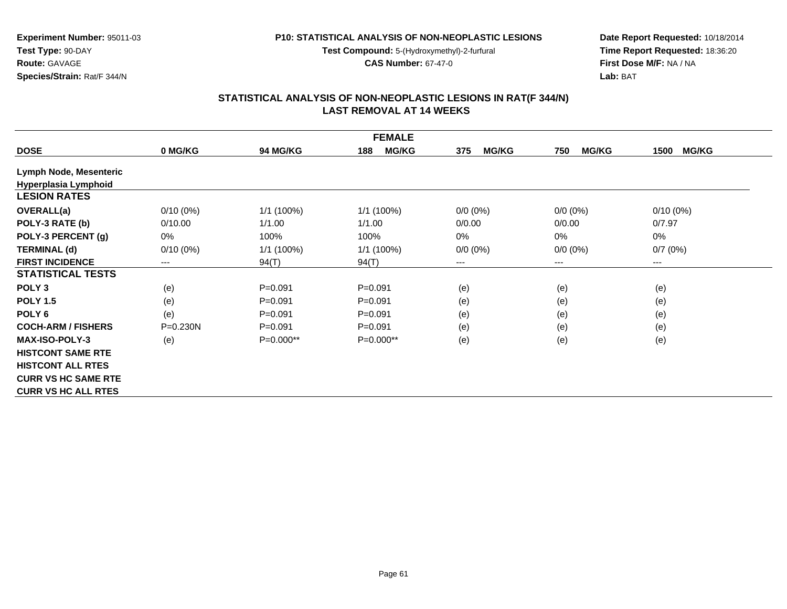**Test Compound:** 5-(Hydroxymethyl)-2-furfural

**CAS Number:** 67-47-0

**Date Report Requested:** 10/18/2014 **Time Report Requested:** 18:36:20**First Dose M/F:** NA / NA**Lab:** BAT

# **STATISTICAL ANALYSIS OF NON-NEOPLASTIC LESIONS IN RAT(F 344/N) LAST REMOVAL AT 14 WEEKS**

| <b>FEMALE</b>              |              |                 |                     |                     |                     |                      |  |  |
|----------------------------|--------------|-----------------|---------------------|---------------------|---------------------|----------------------|--|--|
| <b>DOSE</b>                | 0 MG/KG      | <b>94 MG/KG</b> | <b>MG/KG</b><br>188 | <b>MG/KG</b><br>375 | <b>MG/KG</b><br>750 | <b>MG/KG</b><br>1500 |  |  |
| Lymph Node, Mesenteric     |              |                 |                     |                     |                     |                      |  |  |
| Hyperplasia Lymphoid       |              |                 |                     |                     |                     |                      |  |  |
| <b>LESION RATES</b>        |              |                 |                     |                     |                     |                      |  |  |
| <b>OVERALL(a)</b>          | $0/10(0\%)$  | $1/1$ (100%)    | 1/1 (100%)          | $0/0 (0\%)$         | $0/0 (0\%)$         | $0/10(0\%)$          |  |  |
| POLY-3 RATE (b)            | 0/10.00      | 1/1.00          | 1/1.00              | 0/0.00              | 0/0.00              | 0/7.97               |  |  |
| POLY-3 PERCENT (g)         | 0%           | 100%            | 100%                | 0%                  | $0\%$               | 0%                   |  |  |
| <b>TERMINAL (d)</b>        | $0/10(0\%)$  | $1/1(100\%)$    | 1/1 (100%)          | $0/0 (0\%)$         | $0/0 (0\%)$         | 0/7(0%)              |  |  |
| <b>FIRST INCIDENCE</b>     | $---$        | 94(T)           | 94(T)               | ---                 | ---                 | ---                  |  |  |
| <b>STATISTICAL TESTS</b>   |              |                 |                     |                     |                     |                      |  |  |
| POLY <sub>3</sub>          | (e)          | $P = 0.091$     | $P = 0.091$         | (e)                 | (e)                 | (e)                  |  |  |
| <b>POLY 1.5</b>            | (e)          | $P = 0.091$     | $P=0.091$           | (e)                 | (e)                 | (e)                  |  |  |
| POLY <sub>6</sub>          | (e)          | $P = 0.091$     | $P = 0.091$         | (e)                 | (e)                 | (e)                  |  |  |
| <b>COCH-ARM / FISHERS</b>  | $P = 0.230N$ | $P = 0.091$     | $P=0.091$           | (e)                 | (e)                 | (e)                  |  |  |
| <b>MAX-ISO-POLY-3</b>      | (e)          | $P=0.000**$     | $P=0.000**$         | (e)                 | (e)                 | (e)                  |  |  |
| <b>HISTCONT SAME RTE</b>   |              |                 |                     |                     |                     |                      |  |  |
| <b>HISTCONT ALL RTES</b>   |              |                 |                     |                     |                     |                      |  |  |
| <b>CURR VS HC SAME RTE</b> |              |                 |                     |                     |                     |                      |  |  |
| <b>CURR VS HC ALL RTES</b> |              |                 |                     |                     |                     |                      |  |  |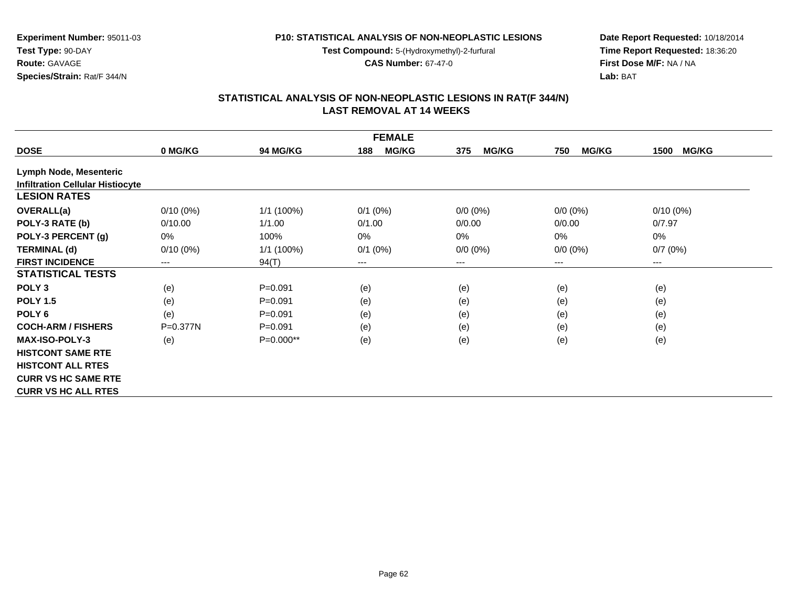**Test Compound:** 5-(Hydroxymethyl)-2-furfural

**CAS Number:** 67-47-0

**Date Report Requested:** 10/18/2014 **Time Report Requested:** 18:36:20**First Dose M/F:** NA / NA**Lab:** BAT

# **STATISTICAL ANALYSIS OF NON-NEOPLASTIC LESIONS IN RAT(F 344/N) LAST REMOVAL AT 14 WEEKS**

| <b>FEMALE</b>                           |              |                 |                        |                     |                     |                      |  |  |
|-----------------------------------------|--------------|-----------------|------------------------|---------------------|---------------------|----------------------|--|--|
| <b>DOSE</b>                             | 0 MG/KG      | <b>94 MG/KG</b> | <b>MG/KG</b><br>188    | <b>MG/KG</b><br>375 | <b>MG/KG</b><br>750 | <b>MG/KG</b><br>1500 |  |  |
| Lymph Node, Mesenteric                  |              |                 |                        |                     |                     |                      |  |  |
| <b>Infiltration Cellular Histiocyte</b> |              |                 |                        |                     |                     |                      |  |  |
| <b>LESION RATES</b>                     |              |                 |                        |                     |                     |                      |  |  |
| <b>OVERALL(a)</b>                       | $0/10(0\%)$  | $1/1$ (100%)    | $0/1$ (0%)             | $0/0 (0\%)$         | $0/0 (0\%)$         | $0/10(0\%)$          |  |  |
| POLY-3 RATE (b)                         | 0/10.00      | 1/1.00          | 0/1.00                 | 0/0.00              | 0/0.00              | 0/7.97               |  |  |
| POLY-3 PERCENT (g)                      | 0%           | 100%            | 0%                     | $0\%$               | $0\%$               | 0%                   |  |  |
| <b>TERMINAL (d)</b>                     | $0/10(0\%)$  | $1/1$ (100%)    | $0/1$ (0%)             | $0/0 (0\%)$         | $0/0 (0\%)$         | 0/7(0%)              |  |  |
| <b>FIRST INCIDENCE</b>                  | $---$        | 94(T)           | $\qquad \qquad \cdots$ | $---$               | ---                 | $---$                |  |  |
| <b>STATISTICAL TESTS</b>                |              |                 |                        |                     |                     |                      |  |  |
| POLY <sub>3</sub>                       | (e)          | $P = 0.091$     | (e)                    | (e)                 | (e)                 | (e)                  |  |  |
| <b>POLY 1.5</b>                         | (e)          | $P = 0.091$     | (e)                    | (e)                 | (e)                 | (e)                  |  |  |
| POLY <sub>6</sub>                       | (e)          | $P = 0.091$     | (e)                    | (e)                 | (e)                 | (e)                  |  |  |
| <b>COCH-ARM / FISHERS</b>               | $P = 0.377N$ | $P = 0.091$     | (e)                    | (e)                 | (e)                 | (e)                  |  |  |
| <b>MAX-ISO-POLY-3</b>                   | (e)          | $P=0.000**$     | (e)                    | (e)                 | (e)                 | (e)                  |  |  |
| <b>HISTCONT SAME RTE</b>                |              |                 |                        |                     |                     |                      |  |  |
| <b>HISTCONT ALL RTES</b>                |              |                 |                        |                     |                     |                      |  |  |
| <b>CURR VS HC SAME RTE</b>              |              |                 |                        |                     |                     |                      |  |  |
| <b>CURR VS HC ALL RTES</b>              |              |                 |                        |                     |                     |                      |  |  |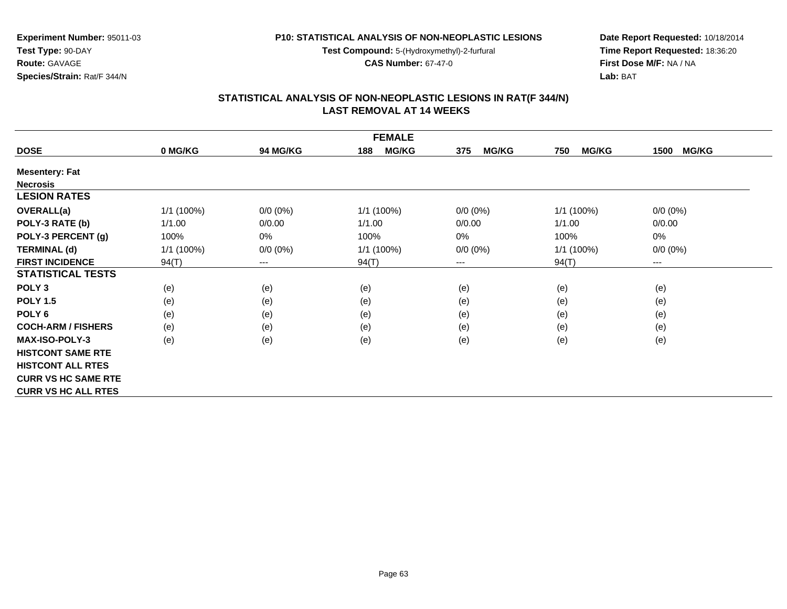**Test Compound:** 5-(Hydroxymethyl)-2-furfural

**CAS Number:** 67-47-0

**Date Report Requested:** 10/18/2014 **Time Report Requested:** 18:36:20**First Dose M/F:** NA / NA**Lab:** BAT

#### **STATISTICAL ANALYSIS OF NON-NEOPLASTIC LESIONS IN RAT(F 344/N) LAST REMOVAL AT 14 WEEKS**

| <b>FEMALE</b>              |            |             |                     |                     |                     |                      |  |  |
|----------------------------|------------|-------------|---------------------|---------------------|---------------------|----------------------|--|--|
| <b>DOSE</b>                | 0 MG/KG    | 94 MG/KG    | <b>MG/KG</b><br>188 | <b>MG/KG</b><br>375 | <b>MG/KG</b><br>750 | <b>MG/KG</b><br>1500 |  |  |
| <b>Mesentery: Fat</b>      |            |             |                     |                     |                     |                      |  |  |
| <b>Necrosis</b>            |            |             |                     |                     |                     |                      |  |  |
| <b>LESION RATES</b>        |            |             |                     |                     |                     |                      |  |  |
| <b>OVERALL(a)</b>          | 1/1(100%)  | $0/0 (0\%)$ | 1/1 (100%)          | $0/0 (0\%)$         | 1/1 (100%)          | $0/0 (0\%)$          |  |  |
| POLY-3 RATE (b)            | 1/1.00     | 0/0.00      | 1/1.00              | 0/0.00              | 1/1.00              | 0/0.00               |  |  |
| POLY-3 PERCENT (g)         | 100%       | 0%          | 100%                | 0%                  | 100%                | 0%                   |  |  |
| <b>TERMINAL (d)</b>        | 1/1 (100%) | $0/0 (0\%)$ | 1/1 (100%)          | $0/0 (0\%)$         | $1/1$ (100%)        | $0/0 (0\%)$          |  |  |
| <b>FIRST INCIDENCE</b>     | 94(T)      | $\cdots$    | 94(T)               | ---                 | 94(T)               | ---                  |  |  |
| <b>STATISTICAL TESTS</b>   |            |             |                     |                     |                     |                      |  |  |
| POLY <sub>3</sub>          | (e)        | (e)         | (e)                 | (e)                 | (e)                 | (e)                  |  |  |
| <b>POLY 1.5</b>            | (e)        | (e)         | (e)                 | (e)                 | (e)                 | (e)                  |  |  |
| POLY <sub>6</sub>          | (e)        | (e)         | (e)                 | (e)                 | (e)                 | (e)                  |  |  |
| <b>COCH-ARM / FISHERS</b>  | (e)        | (e)         | (e)                 | (e)                 | (e)                 | (e)                  |  |  |
| <b>MAX-ISO-POLY-3</b>      | (e)        | (e)         | (e)                 | (e)                 | (e)                 | (e)                  |  |  |
| <b>HISTCONT SAME RTE</b>   |            |             |                     |                     |                     |                      |  |  |
| <b>HISTCONT ALL RTES</b>   |            |             |                     |                     |                     |                      |  |  |
| <b>CURR VS HC SAME RTE</b> |            |             |                     |                     |                     |                      |  |  |
| <b>CURR VS HC ALL RTES</b> |            |             |                     |                     |                     |                      |  |  |

**Experiment Number:** 95011-03

**Route:** GAVAGE**Species/Strain:** Rat/F 344/N

**Test Type:** 90-DAY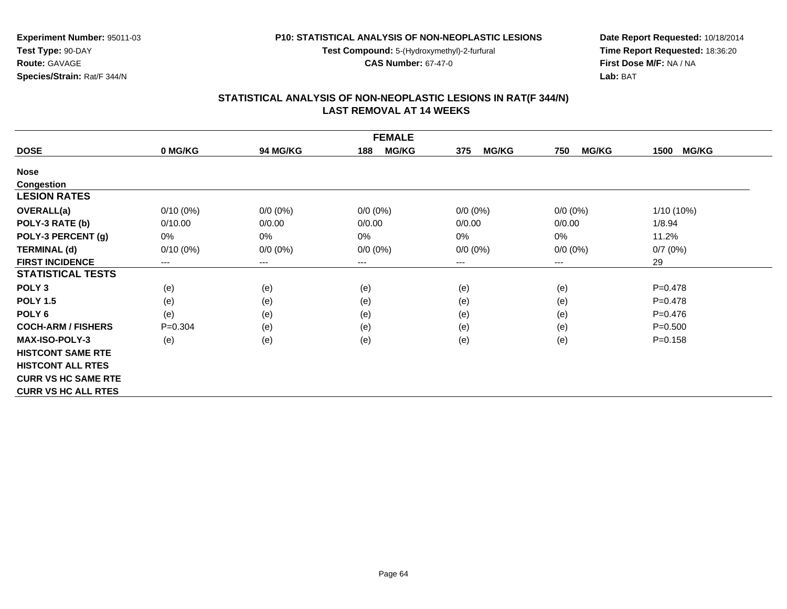**Test Compound:** 5-(Hydroxymethyl)-2-furfural

**CAS Number:** 67-47-0

**Date Report Requested:** 10/18/2014 **Time Report Requested:** 18:36:20**First Dose M/F:** NA / NA**Lab:** BAT

| <b>FEMALE</b>              |             |                 |                     |                     |                     |                      |  |  |
|----------------------------|-------------|-----------------|---------------------|---------------------|---------------------|----------------------|--|--|
| <b>DOSE</b>                | 0 MG/KG     | <b>94 MG/KG</b> | <b>MG/KG</b><br>188 | <b>MG/KG</b><br>375 | <b>MG/KG</b><br>750 | <b>MG/KG</b><br>1500 |  |  |
| <b>Nose</b>                |             |                 |                     |                     |                     |                      |  |  |
| <b>Congestion</b>          |             |                 |                     |                     |                     |                      |  |  |
| <b>LESION RATES</b>        |             |                 |                     |                     |                     |                      |  |  |
| <b>OVERALL(a)</b>          | $0/10(0\%)$ | $0/0 (0\%)$     | $0/0 (0\%)$         | $0/0 (0\%)$         | $0/0 (0\%)$         | $1/10(10\%)$         |  |  |
| POLY-3 RATE (b)            | 0/10.00     | 0/0.00          | 0/0.00              | 0/0.00              | 0/0.00              | 1/8.94               |  |  |
| POLY-3 PERCENT (g)         | 0%          | $0\%$           | 0%                  | $0\%$               | 0%                  | 11.2%                |  |  |
| <b>TERMINAL (d)</b>        | $0/10(0\%)$ | $0/0 (0\%)$     | $0/0 (0\%)$         | $0/0 (0\%)$         | $0/0 (0\%)$         | 0/7(0%)              |  |  |
| <b>FIRST INCIDENCE</b>     | $--$        | $---$           | $---$               | ---                 | $---$               | 29                   |  |  |
| <b>STATISTICAL TESTS</b>   |             |                 |                     |                     |                     |                      |  |  |
| POLY <sub>3</sub>          | (e)         | (e)             | (e)                 | (e)                 | (e)                 | $P=0.478$            |  |  |
| <b>POLY 1.5</b>            | (e)         | (e)             | (e)                 | (e)                 | (e)                 | $P=0.478$            |  |  |
| POLY <sub>6</sub>          | (e)         | (e)             | (e)                 | (e)                 | (e)                 | $P=0.476$            |  |  |
| <b>COCH-ARM / FISHERS</b>  | $P = 0.304$ | (e)             | (e)                 | (e)                 | (e)                 | $P = 0.500$          |  |  |
| <b>MAX-ISO-POLY-3</b>      | (e)         | (e)             | (e)                 | (e)                 | (e)                 | $P = 0.158$          |  |  |
| <b>HISTCONT SAME RTE</b>   |             |                 |                     |                     |                     |                      |  |  |
| <b>HISTCONT ALL RTES</b>   |             |                 |                     |                     |                     |                      |  |  |
| <b>CURR VS HC SAME RTE</b> |             |                 |                     |                     |                     |                      |  |  |
| <b>CURR VS HC ALL RTES</b> |             |                 |                     |                     |                     |                      |  |  |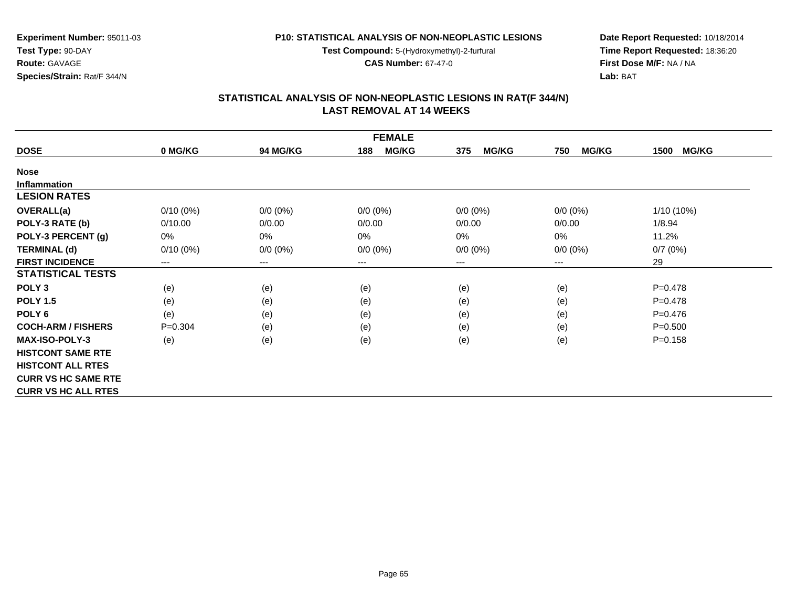**Test Compound:** 5-(Hydroxymethyl)-2-furfural

**CAS Number:** 67-47-0

**Date Report Requested:** 10/18/2014 **Time Report Requested:** 18:36:20**First Dose M/F:** NA / NA**Lab:** BAT

|                            |             |                 | <b>FEMALE</b>       |                     |                     |                      |
|----------------------------|-------------|-----------------|---------------------|---------------------|---------------------|----------------------|
| <b>DOSE</b>                | 0 MG/KG     | <b>94 MG/KG</b> | <b>MG/KG</b><br>188 | <b>MG/KG</b><br>375 | <b>MG/KG</b><br>750 | <b>MG/KG</b><br>1500 |
| <b>Nose</b>                |             |                 |                     |                     |                     |                      |
| <b>Inflammation</b>        |             |                 |                     |                     |                     |                      |
| <b>LESION RATES</b>        |             |                 |                     |                     |                     |                      |
| OVERALL(a)                 | $0/10(0\%)$ | $0/0 (0\%)$     | $0/0 (0\%)$         | $0/0 (0\%)$         | $0/0 (0\%)$         | 1/10 (10%)           |
| POLY-3 RATE (b)            | 0/10.00     | 0/0.00          | 0/0.00              | 0/0.00              | 0/0.00              | 1/8.94               |
| POLY-3 PERCENT (g)         | 0%          | 0%              | 0%                  | 0%                  | 0%                  | 11.2%                |
| <b>TERMINAL (d)</b>        | $0/10(0\%)$ | $0/0 (0\%)$     | $0/0 (0\%)$         | $0/0 (0\%)$         | $0/0 (0\%)$         | 0/7(0%)              |
| <b>FIRST INCIDENCE</b>     | ---         | $---$           | $---$               | ---                 | $---$               | 29                   |
| <b>STATISTICAL TESTS</b>   |             |                 |                     |                     |                     |                      |
| POLY <sub>3</sub>          | (e)         | (e)             | (e)                 | (e)                 | (e)                 | $P=0.478$            |
| <b>POLY 1.5</b>            | (e)         | (e)             | (e)                 | (e)                 | (e)                 | $P=0.478$            |
| POLY <sub>6</sub>          | (e)         | (e)             | (e)                 | (e)                 | (e)                 | $P=0.476$            |
| <b>COCH-ARM / FISHERS</b>  | $P = 0.304$ | (e)             | (e)                 | (e)                 | (e)                 | $P = 0.500$          |
| <b>MAX-ISO-POLY-3</b>      | (e)         | (e)             | (e)                 | (e)                 | (e)                 | $P = 0.158$          |
| <b>HISTCONT SAME RTE</b>   |             |                 |                     |                     |                     |                      |
| <b>HISTCONT ALL RTES</b>   |             |                 |                     |                     |                     |                      |
| <b>CURR VS HC SAME RTE</b> |             |                 |                     |                     |                     |                      |
| <b>CURR VS HC ALL RTES</b> |             |                 |                     |                     |                     |                      |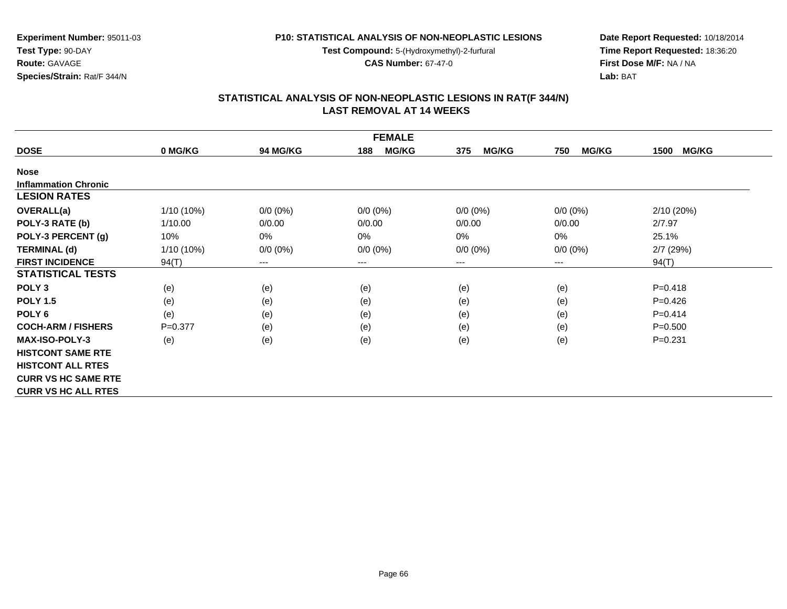**Test Compound:** 5-(Hydroxymethyl)-2-furfural

**CAS Number:** 67-47-0

**Date Report Requested:** 10/18/2014 **Time Report Requested:** 18:36:20**First Dose M/F:** NA / NA**Lab:** BAT

|                             |              |                 | <b>FEMALE</b>       |                     |                     |                      |
|-----------------------------|--------------|-----------------|---------------------|---------------------|---------------------|----------------------|
| <b>DOSE</b>                 | 0 MG/KG      | <b>94 MG/KG</b> | <b>MG/KG</b><br>188 | <b>MG/KG</b><br>375 | <b>MG/KG</b><br>750 | <b>MG/KG</b><br>1500 |
| <b>Nose</b>                 |              |                 |                     |                     |                     |                      |
| <b>Inflammation Chronic</b> |              |                 |                     |                     |                     |                      |
| <b>LESION RATES</b>         |              |                 |                     |                     |                     |                      |
| <b>OVERALL(a)</b>           | $1/10(10\%)$ | $0/0 (0\%)$     | $0/0 (0\%)$         | $0/0 (0\%)$         | $0/0 (0\%)$         | 2/10(20%)            |
| POLY-3 RATE (b)             | 1/10.00      | 0/0.00          | 0/0.00              | 0/0.00              | 0/0.00              | 2/7.97               |
| POLY-3 PERCENT (g)          | 10%          | $0\%$           | 0%                  | $0\%$               | 0%                  | 25.1%                |
| <b>TERMINAL (d)</b>         | $1/10(10\%)$ | $0/0 (0\%)$     | $0/0 (0\%)$         | $0/0 (0\%)$         | $0/0 (0\%)$         | 2/7(29%)             |
| <b>FIRST INCIDENCE</b>      | 94(T)        | $---$           | $---$               | ---                 | $---$               | 94(T)                |
| <b>STATISTICAL TESTS</b>    |              |                 |                     |                     |                     |                      |
| POLY <sub>3</sub>           | (e)          | (e)             | (e)                 | (e)                 | (e)                 | $P = 0.418$          |
| <b>POLY 1.5</b>             | (e)          | (e)             | (e)                 | (e)                 | (e)                 | $P=0.426$            |
| POLY <sub>6</sub>           | (e)          | (e)             | (e)                 | (e)                 | (e)                 | $P=0.414$            |
| <b>COCH-ARM / FISHERS</b>   | $P = 0.377$  | (e)             | (e)                 | (e)                 | (e)                 | $P = 0.500$          |
| <b>MAX-ISO-POLY-3</b>       | (e)          | (e)             | (e)                 | (e)                 | (e)                 | $P = 0.231$          |
| <b>HISTCONT SAME RTE</b>    |              |                 |                     |                     |                     |                      |
| <b>HISTCONT ALL RTES</b>    |              |                 |                     |                     |                     |                      |
| <b>CURR VS HC SAME RTE</b>  |              |                 |                     |                     |                     |                      |
| <b>CURR VS HC ALL RTES</b>  |              |                 |                     |                     |                     |                      |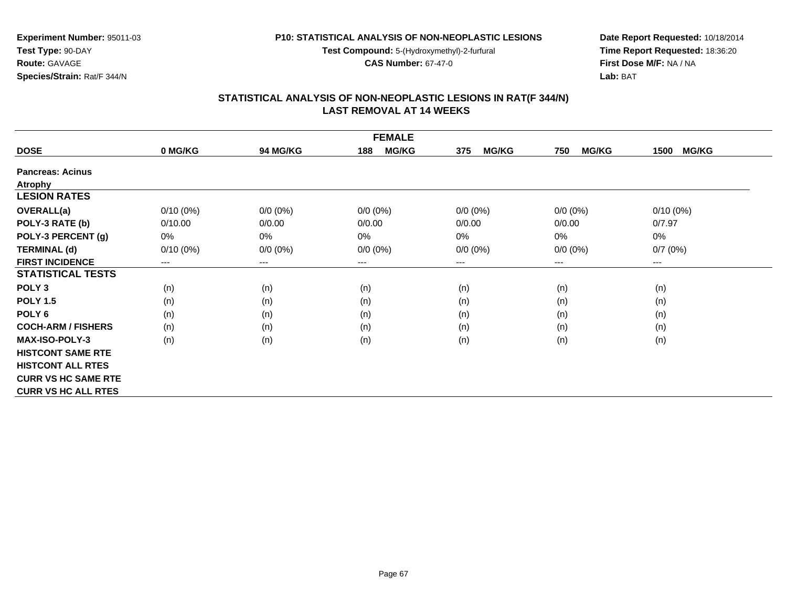**Test Compound:** 5-(Hydroxymethyl)-2-furfural

**CAS Number:** 67-47-0

**Date Report Requested:** 10/18/2014 **Time Report Requested:** 18:36:20**First Dose M/F:** NA / NA**Lab:** BAT

| <b>FEMALE</b>              |             |                 |                     |                     |                     |                      |  |
|----------------------------|-------------|-----------------|---------------------|---------------------|---------------------|----------------------|--|
| <b>DOSE</b>                | 0 MG/KG     | <b>94 MG/KG</b> | <b>MG/KG</b><br>188 | <b>MG/KG</b><br>375 | <b>MG/KG</b><br>750 | <b>MG/KG</b><br>1500 |  |
| <b>Pancreas: Acinus</b>    |             |                 |                     |                     |                     |                      |  |
| <b>Atrophy</b>             |             |                 |                     |                     |                     |                      |  |
| <b>LESION RATES</b>        |             |                 |                     |                     |                     |                      |  |
| <b>OVERALL(a)</b>          | $0/10(0\%)$ | $0/0 (0\%)$     | $0/0 (0\%)$         | $0/0 (0\%)$         | $0/0$ $(0%)$        | $0/10(0\%)$          |  |
| POLY-3 RATE (b)            | 0/10.00     | 0/0.00          | 0/0.00              | 0/0.00              | 0/0.00              | 0/7.97               |  |
| POLY-3 PERCENT (g)         | 0%          | 0%              | 0%                  | 0%                  | $0\%$               | 0%                   |  |
| <b>TERMINAL (d)</b>        | $0/10(0\%)$ | $0/0 (0\%)$     | $0/0 (0\%)$         | $0/0 (0\%)$         | $0/0 (0\%)$         | 0/7(0%)              |  |
| <b>FIRST INCIDENCE</b>     | $---$       | $--$            | $---$               | ---                 | ---                 | ---                  |  |
| <b>STATISTICAL TESTS</b>   |             |                 |                     |                     |                     |                      |  |
| POLY <sub>3</sub>          | (n)         | (n)             | (n)                 | (n)                 | (n)                 | (n)                  |  |
| <b>POLY 1.5</b>            | (n)         | (n)             | (n)                 | (n)                 | (n)                 | (n)                  |  |
| POLY <sub>6</sub>          | (n)         | (n)             | (n)                 | (n)                 | (n)                 | (n)                  |  |
| <b>COCH-ARM / FISHERS</b>  | (n)         | (n)             | (n)                 | (n)                 | (n)                 | (n)                  |  |
| <b>MAX-ISO-POLY-3</b>      | (n)         | (n)             | (n)                 | (n)                 | (n)                 | (n)                  |  |
| <b>HISTCONT SAME RTE</b>   |             |                 |                     |                     |                     |                      |  |
| <b>HISTCONT ALL RTES</b>   |             |                 |                     |                     |                     |                      |  |
| <b>CURR VS HC SAME RTE</b> |             |                 |                     |                     |                     |                      |  |
| <b>CURR VS HC ALL RTES</b> |             |                 |                     |                     |                     |                      |  |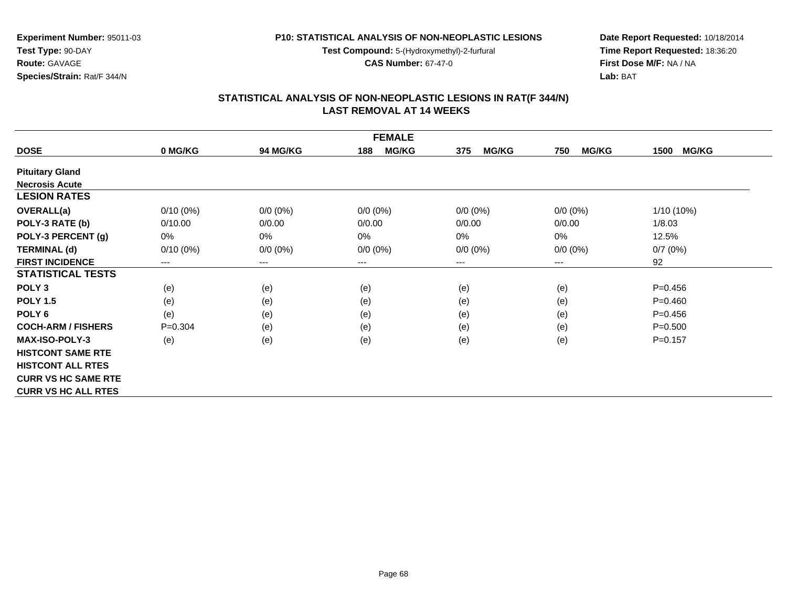**Test Compound:** 5-(Hydroxymethyl)-2-furfural

**CAS Number:** 67-47-0

**Date Report Requested:** 10/18/2014 **Time Report Requested:** 18:36:20**First Dose M/F:** NA / NA**Lab:** BAT

|                            |             |                 | <b>FEMALE</b>       |                     |                     |                      |
|----------------------------|-------------|-----------------|---------------------|---------------------|---------------------|----------------------|
| <b>DOSE</b>                | 0 MG/KG     | <b>94 MG/KG</b> | <b>MG/KG</b><br>188 | <b>MG/KG</b><br>375 | <b>MG/KG</b><br>750 | <b>MG/KG</b><br>1500 |
| <b>Pituitary Gland</b>     |             |                 |                     |                     |                     |                      |
| <b>Necrosis Acute</b>      |             |                 |                     |                     |                     |                      |
| <b>LESION RATES</b>        |             |                 |                     |                     |                     |                      |
| <b>OVERALL(a)</b>          | $0/10(0\%)$ | $0/0 (0\%)$     | $0/0 (0\%)$         | $0/0 (0\%)$         | $0/0 (0\%)$         | 1/10 (10%)           |
| POLY-3 RATE (b)            | 0/10.00     | 0/0.00          | 0/0.00              | 0/0.00              | 0/0.00              | 1/8.03               |
| POLY-3 PERCENT (g)         | 0%          | 0%              | 0%                  | 0%                  | 0%                  | 12.5%                |
| <b>TERMINAL (d)</b>        | $0/10(0\%)$ | $0/0 (0\%)$     | $0/0 (0\%)$         | $0/0 (0\%)$         | $0/0 (0\%)$         | 0/7(0%)              |
| <b>FIRST INCIDENCE</b>     | ---         | $---$           | $---$               | ---                 | $---$               | 92                   |
| <b>STATISTICAL TESTS</b>   |             |                 |                     |                     |                     |                      |
| POLY <sub>3</sub>          | (e)         | (e)             | (e)                 | (e)                 | (e)                 | $P=0.456$            |
| <b>POLY 1.5</b>            | (e)         | (e)             | (e)                 | (e)                 | (e)                 | $P = 0.460$          |
| POLY <sub>6</sub>          | (e)         | (e)             | (e)                 | (e)                 | (e)                 | $P=0.456$            |
| <b>COCH-ARM / FISHERS</b>  | $P = 0.304$ | (e)             | (e)                 | (e)                 | (e)                 | $P = 0.500$          |
| <b>MAX-ISO-POLY-3</b>      | (e)         | (e)             | (e)                 | (e)                 | (e)                 | $P = 0.157$          |
| <b>HISTCONT SAME RTE</b>   |             |                 |                     |                     |                     |                      |
| <b>HISTCONT ALL RTES</b>   |             |                 |                     |                     |                     |                      |
| <b>CURR VS HC SAME RTE</b> |             |                 |                     |                     |                     |                      |
| <b>CURR VS HC ALL RTES</b> |             |                 |                     |                     |                     |                      |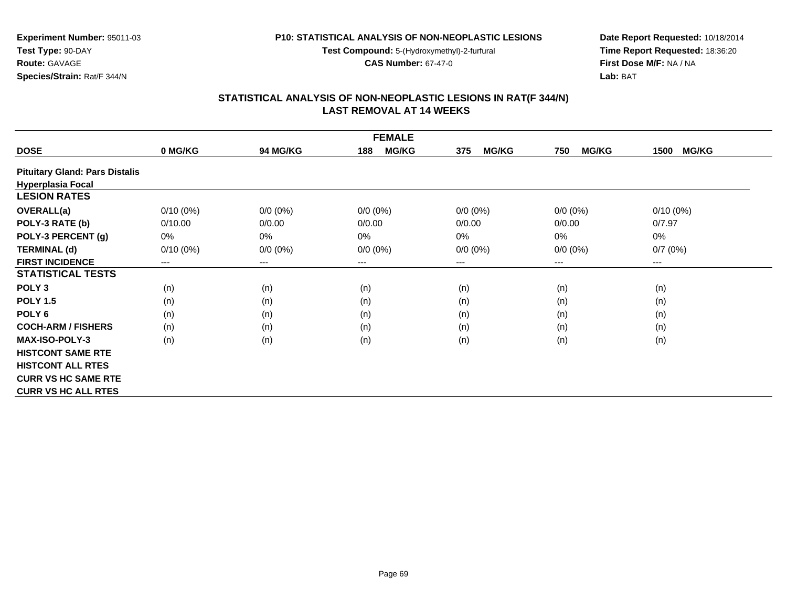**Test Compound:** 5-(Hydroxymethyl)-2-furfural

**CAS Number:** 67-47-0

**Date Report Requested:** 10/18/2014 **Time Report Requested:** 18:36:20**First Dose M/F:** NA / NA**Lab:** BAT

# **STATISTICAL ANALYSIS OF NON-NEOPLASTIC LESIONS IN RAT(F 344/N) LAST REMOVAL AT 14 WEEKS**

| <b>FEMALE</b>                         |             |                 |                            |                     |                     |                      |  |  |
|---------------------------------------|-------------|-----------------|----------------------------|---------------------|---------------------|----------------------|--|--|
| <b>DOSE</b>                           | 0 MG/KG     | <b>94 MG/KG</b> | <b>MG/KG</b><br>188        | <b>MG/KG</b><br>375 | <b>MG/KG</b><br>750 | <b>MG/KG</b><br>1500 |  |  |
| <b>Pituitary Gland: Pars Distalis</b> |             |                 |                            |                     |                     |                      |  |  |
| <b>Hyperplasia Focal</b>              |             |                 |                            |                     |                     |                      |  |  |
| <b>LESION RATES</b>                   |             |                 |                            |                     |                     |                      |  |  |
| <b>OVERALL(a)</b>                     | $0/10(0\%)$ | $0/0 (0\%)$     | $0/0 (0\%)$                | $0/0 (0\%)$         | $0/0 (0\%)$         | $0/10(0\%)$          |  |  |
| POLY-3 RATE (b)                       | 0/10.00     | 0/0.00          | 0/0.00                     | 0/0.00              | 0/0.00              | 0/7.97               |  |  |
| POLY-3 PERCENT (g)                    | 0%          | 0%              | 0%                         | $0\%$               | 0%                  | 0%                   |  |  |
| <b>TERMINAL (d)</b>                   | $0/10(0\%)$ | $0/0 (0\%)$     | $0/0 (0\%)$                | $0/0 (0\%)$         | $0/0 (0\%)$         | 0/7(0%)              |  |  |
| <b>FIRST INCIDENCE</b>                | $---$       | ---             | $\qquad \qquad - \qquad -$ | ---                 | ---                 | ---                  |  |  |
| <b>STATISTICAL TESTS</b>              |             |                 |                            |                     |                     |                      |  |  |
| POLY <sub>3</sub>                     | (n)         | (n)             | (n)                        | (n)                 | (n)                 | (n)                  |  |  |
| <b>POLY 1.5</b>                       | (n)         | (n)             | (n)                        | (n)                 | (n)                 | (n)                  |  |  |
| POLY <sub>6</sub>                     | (n)         | (n)             | (n)                        | (n)                 | (n)                 | (n)                  |  |  |
| <b>COCH-ARM / FISHERS</b>             | (n)         | (n)             | (n)                        | (n)                 | (n)                 | (n)                  |  |  |
| <b>MAX-ISO-POLY-3</b>                 | (n)         | (n)             | (n)                        | (n)                 | (n)                 | (n)                  |  |  |
| <b>HISTCONT SAME RTE</b>              |             |                 |                            |                     |                     |                      |  |  |
| <b>HISTCONT ALL RTES</b>              |             |                 |                            |                     |                     |                      |  |  |
| <b>CURR VS HC SAME RTE</b>            |             |                 |                            |                     |                     |                      |  |  |
| <b>CURR VS HC ALL RTES</b>            |             |                 |                            |                     |                     |                      |  |  |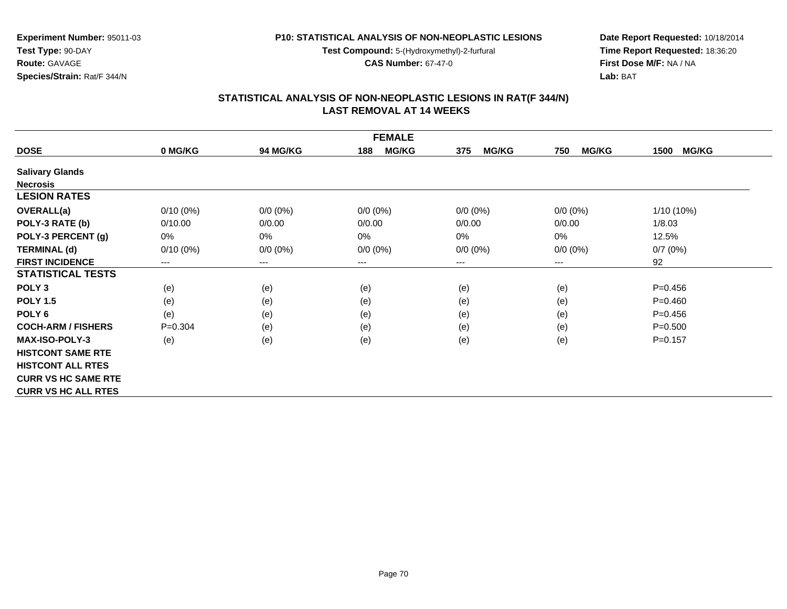**Test Compound:** 5-(Hydroxymethyl)-2-furfural

**CAS Number:** 67-47-0

**Date Report Requested:** 10/18/2014 **Time Report Requested:** 18:36:20**First Dose M/F:** NA / NA**Lab:** BAT

#### **STATISTICAL ANALYSIS OF NON-NEOPLASTIC LESIONS IN RAT(F 344/N) LAST REMOVAL AT 14 WEEKS**

| <b>FEMALE</b>              |             |                        |                     |                     |                     |                      |  |  |
|----------------------------|-------------|------------------------|---------------------|---------------------|---------------------|----------------------|--|--|
| <b>DOSE</b>                | 0 MG/KG     | 94 MG/KG               | <b>MG/KG</b><br>188 | <b>MG/KG</b><br>375 | <b>MG/KG</b><br>750 | <b>MG/KG</b><br>1500 |  |  |
| <b>Salivary Glands</b>     |             |                        |                     |                     |                     |                      |  |  |
| <b>Necrosis</b>            |             |                        |                     |                     |                     |                      |  |  |
| <b>LESION RATES</b>        |             |                        |                     |                     |                     |                      |  |  |
| <b>OVERALL(a)</b>          | $0/10(0\%)$ | $0/0 (0\%)$            | $0/0 (0\%)$         | $0/0 (0\%)$         | $0/0 (0\%)$         | $1/10(10\%)$         |  |  |
| POLY-3 RATE (b)            | 0/10.00     | 0/0.00                 | 0/0.00              | 0/0.00              | 0/0.00              | 1/8.03               |  |  |
| POLY-3 PERCENT (g)         | 0%          | 0%                     | $0\%$               | 0%                  | $0\%$               | 12.5%                |  |  |
| <b>TERMINAL (d)</b>        | $0/10(0\%)$ | $0/0 (0\%)$            | $0/0 (0\%)$         | $0/0 (0\%)$         | $0/0 (0\%)$         | 0/7(0%)              |  |  |
| <b>FIRST INCIDENCE</b>     | ---         | $\qquad \qquad \cdots$ | $---$               | ---                 | $---$               | 92                   |  |  |
| <b>STATISTICAL TESTS</b>   |             |                        |                     |                     |                     |                      |  |  |
| POLY <sub>3</sub>          | (e)         | (e)                    | (e)                 | (e)                 | (e)                 | $P=0.456$            |  |  |
| <b>POLY 1.5</b>            | (e)         | (e)                    | (e)                 | (e)                 | (e)                 | $P = 0.460$          |  |  |
| POLY <sub>6</sub>          | (e)         | (e)                    | (e)                 | (e)                 | (e)                 | $P=0.456$            |  |  |
| <b>COCH-ARM / FISHERS</b>  | $P = 0.304$ | (e)                    | (e)                 | (e)                 | (e)                 | $P = 0.500$          |  |  |
| <b>MAX-ISO-POLY-3</b>      | (e)         | (e)                    | (e)                 | (e)                 | (e)                 | $P = 0.157$          |  |  |
| <b>HISTCONT SAME RTE</b>   |             |                        |                     |                     |                     |                      |  |  |
| <b>HISTCONT ALL RTES</b>   |             |                        |                     |                     |                     |                      |  |  |
| <b>CURR VS HC SAME RTE</b> |             |                        |                     |                     |                     |                      |  |  |
| <b>CURR VS HC ALL RTES</b> |             |                        |                     |                     |                     |                      |  |  |

**Experiment Number:** 95011-03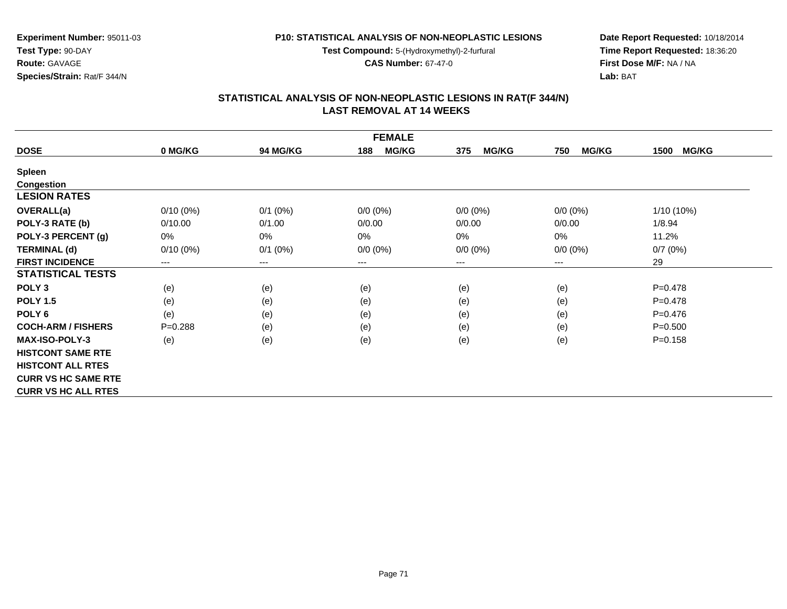**Test Compound:** 5-(Hydroxymethyl)-2-furfural

**CAS Number:** 67-47-0

**Date Report Requested:** 10/18/2014 **Time Report Requested:** 18:36:20**First Dose M/F:** NA / NA**Lab:** BAT

| <b>FEMALE</b>              |             |                 |                     |                     |                     |                      |  |  |
|----------------------------|-------------|-----------------|---------------------|---------------------|---------------------|----------------------|--|--|
| <b>DOSE</b>                | 0 MG/KG     | <b>94 MG/KG</b> | <b>MG/KG</b><br>188 | <b>MG/KG</b><br>375 | <b>MG/KG</b><br>750 | <b>MG/KG</b><br>1500 |  |  |
| <b>Spleen</b>              |             |                 |                     |                     |                     |                      |  |  |
| <b>Congestion</b>          |             |                 |                     |                     |                     |                      |  |  |
| <b>LESION RATES</b>        |             |                 |                     |                     |                     |                      |  |  |
| <b>OVERALL(a)</b>          | $0/10(0\%)$ | $0/1$ (0%)      | $0/0 (0\%)$         | $0/0 (0\%)$         | $0/0 (0\%)$         | $1/10(10\%)$         |  |  |
| POLY-3 RATE (b)            | 0/10.00     | 0/1.00          | 0/0.00              | 0/0.00              | 0/0.00              | 1/8.94               |  |  |
| POLY-3 PERCENT (g)         | 0%          | $0\%$           | 0%                  | 0%                  | 0%                  | 11.2%                |  |  |
| <b>TERMINAL (d)</b>        | $0/10(0\%)$ | $0/1$ (0%)      | $0/0 (0\%)$         | $0/0 (0\%)$         | $0/0 (0\%)$         | 0/7(0%)              |  |  |
| <b>FIRST INCIDENCE</b>     | $--$        | $---$           | $---$               | ---                 | $---$               | 29                   |  |  |
| <b>STATISTICAL TESTS</b>   |             |                 |                     |                     |                     |                      |  |  |
| POLY <sub>3</sub>          | (e)         | (e)             | (e)                 | (e)                 | (e)                 | $P=0.478$            |  |  |
| <b>POLY 1.5</b>            | (e)         | (e)             | (e)                 | (e)                 | (e)                 | $P=0.478$            |  |  |
| POLY <sub>6</sub>          | (e)         | (e)             | (e)                 | (e)                 | (e)                 | $P=0.476$            |  |  |
| <b>COCH-ARM / FISHERS</b>  | $P = 0.288$ | (e)             | (e)                 | (e)                 | (e)                 | $P = 0.500$          |  |  |
| <b>MAX-ISO-POLY-3</b>      | (e)         | (e)             | (e)                 | (e)                 | (e)                 | $P = 0.158$          |  |  |
| <b>HISTCONT SAME RTE</b>   |             |                 |                     |                     |                     |                      |  |  |
| <b>HISTCONT ALL RTES</b>   |             |                 |                     |                     |                     |                      |  |  |
| <b>CURR VS HC SAME RTE</b> |             |                 |                     |                     |                     |                      |  |  |
| <b>CURR VS HC ALL RTES</b> |             |                 |                     |                     |                     |                      |  |  |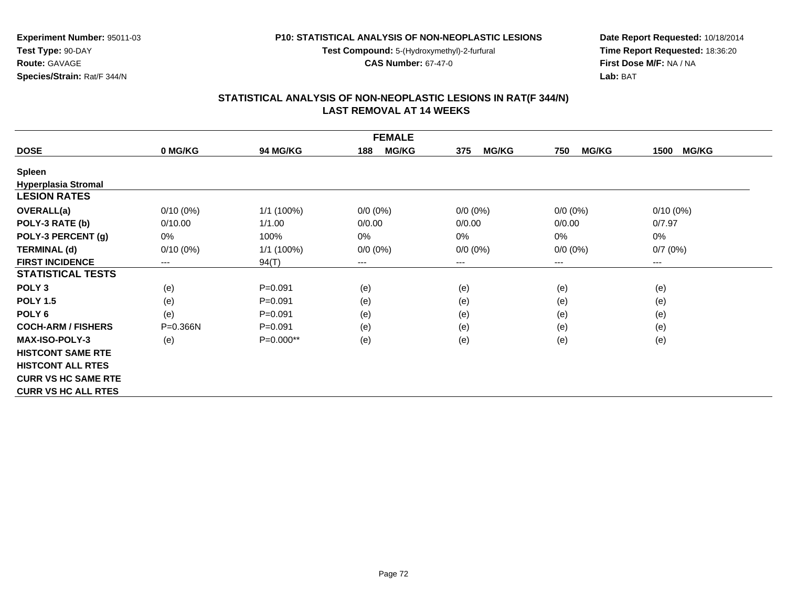**Test Compound:** 5-(Hydroxymethyl)-2-furfural

**CAS Number:** 67-47-0

**Date Report Requested:** 10/18/2014 **Time Report Requested:** 18:36:20**First Dose M/F:** NA / NA**Lab:** BAT

#### **STATISTICAL ANALYSIS OF NON-NEOPLASTIC LESIONS IN RAT(F 344/N) LAST REMOVAL AT 14 WEEKS**

| <b>FEMALE</b>              |                        |                 |                     |                     |                     |                      |  |
|----------------------------|------------------------|-----------------|---------------------|---------------------|---------------------|----------------------|--|
| <b>DOSE</b>                | 0 MG/KG                | <b>94 MG/KG</b> | <b>MG/KG</b><br>188 | <b>MG/KG</b><br>375 | <b>MG/KG</b><br>750 | <b>MG/KG</b><br>1500 |  |
| <b>Spleen</b>              |                        |                 |                     |                     |                     |                      |  |
| <b>Hyperplasia Stromal</b> |                        |                 |                     |                     |                     |                      |  |
| <b>LESION RATES</b>        |                        |                 |                     |                     |                     |                      |  |
| <b>OVERALL(a)</b>          | $0/10(0\%)$            | 1/1 (100%)      | $0/0 (0\%)$         | $0/0 (0\%)$         | $0/0 (0\%)$         | $0/10(0\%)$          |  |
| POLY-3 RATE (b)            | 0/10.00                | 1/1.00          | 0/0.00              | 0/0.00              | 0/0.00              | 0/7.97               |  |
| POLY-3 PERCENT (g)         | 0%                     | 100%            | 0%                  | 0%                  | 0%                  | 0%                   |  |
| <b>TERMINAL (d)</b>        | $0/10(0\%)$            | 1/1 (100%)      | $0/0 (0\%)$         | $0/0 (0\%)$         | $0/0 (0\%)$         | 0/7(0%)              |  |
| <b>FIRST INCIDENCE</b>     | $\qquad \qquad \cdots$ | 94(T)           | ---                 | ---                 | $---$               | ---                  |  |
| <b>STATISTICAL TESTS</b>   |                        |                 |                     |                     |                     |                      |  |
| POLY <sub>3</sub>          | (e)                    | $P = 0.091$     | (e)                 | (e)                 | (e)                 | (e)                  |  |
| <b>POLY 1.5</b>            | (e)                    | $P = 0.091$     | (e)                 | (e)                 | (e)                 | (e)                  |  |
| POLY <sub>6</sub>          | (e)                    | $P = 0.091$     | (e)                 | (e)                 | (e)                 | (e)                  |  |
| <b>COCH-ARM / FISHERS</b>  | $P = 0.366N$           | $P = 0.091$     | (e)                 | (e)                 | (e)                 | (e)                  |  |
| <b>MAX-ISO-POLY-3</b>      | (e)                    | P=0.000**       | (e)                 | (e)                 | (e)                 | (e)                  |  |
| <b>HISTCONT SAME RTE</b>   |                        |                 |                     |                     |                     |                      |  |
| <b>HISTCONT ALL RTES</b>   |                        |                 |                     |                     |                     |                      |  |
| <b>CURR VS HC SAME RTE</b> |                        |                 |                     |                     |                     |                      |  |
| <b>CURR VS HC ALL RTES</b> |                        |                 |                     |                     |                     |                      |  |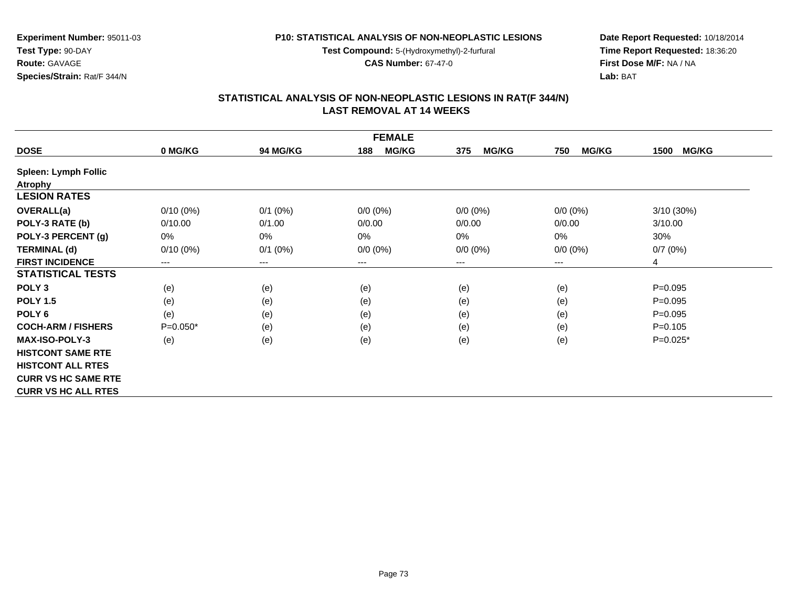**Test Compound:** 5-(Hydroxymethyl)-2-furfural

**CAS Number:** 67-47-0

**Date Report Requested:** 10/18/2014 **Time Report Requested:** 18:36:20**First Dose M/F:** NA / NA**Lab:** BAT

# **STATISTICAL ANALYSIS OF NON-NEOPLASTIC LESIONS IN RAT(F 344/N) LAST REMOVAL AT 14 WEEKS**

| <b>FEMALE</b>               |             |                 |                     |                     |                     |                      |
|-----------------------------|-------------|-----------------|---------------------|---------------------|---------------------|----------------------|
| <b>DOSE</b>                 | 0 MG/KG     | <b>94 MG/KG</b> | <b>MG/KG</b><br>188 | <b>MG/KG</b><br>375 | <b>MG/KG</b><br>750 | <b>MG/KG</b><br>1500 |
| <b>Spleen: Lymph Follic</b> |             |                 |                     |                     |                     |                      |
| <b>Atrophy</b>              |             |                 |                     |                     |                     |                      |
| <b>LESION RATES</b>         |             |                 |                     |                     |                     |                      |
| <b>OVERALL(a)</b>           | $0/10(0\%)$ | $0/1$ (0%)      | $0/0 (0\%)$         | $0/0 (0\%)$         | $0/0 (0\%)$         | 3/10 (30%)           |
| POLY-3 RATE (b)             | 0/10.00     | 0/1.00          | 0/0.00              | 0/0.00              | 0/0.00              | 3/10.00              |
| POLY-3 PERCENT (g)          | 0%          | $0\%$           | 0%                  | 0%                  | 0%                  | 30%                  |
| <b>TERMINAL (d)</b>         | $0/10(0\%)$ | $0/1$ (0%)      | $0/0 (0\%)$         | $0/0 (0\%)$         | $0/0 (0\%)$         | 0/7(0%)              |
| <b>FIRST INCIDENCE</b>      | $---$       | $--$            | ---                 | ---                 | ---                 | 4                    |
| <b>STATISTICAL TESTS</b>    |             |                 |                     |                     |                     |                      |
| POLY <sub>3</sub>           | (e)         | (e)             | (e)                 | (e)                 | (e)                 | $P = 0.095$          |
| <b>POLY 1.5</b>             | (e)         | (e)             | (e)                 | (e)                 | (e)                 | $P=0.095$            |
| POLY <sub>6</sub>           | (e)         | (e)             | (e)                 | (e)                 | (e)                 | $P=0.095$            |
| <b>COCH-ARM / FISHERS</b>   | $P=0.050*$  | (e)             | (e)                 | (e)                 | (e)                 | $P = 0.105$          |
| <b>MAX-ISO-POLY-3</b>       | (e)         | (e)             | (e)                 | (e)                 | (e)                 | $P=0.025*$           |
| <b>HISTCONT SAME RTE</b>    |             |                 |                     |                     |                     |                      |
| <b>HISTCONT ALL RTES</b>    |             |                 |                     |                     |                     |                      |
| <b>CURR VS HC SAME RTE</b>  |             |                 |                     |                     |                     |                      |
| <b>CURR VS HC ALL RTES</b>  |             |                 |                     |                     |                     |                      |

**Experiment Number:** 95011-03**Test Type:** 90-DAY**Route:** GAVAGE**Species/Strain:** Rat/F 344/N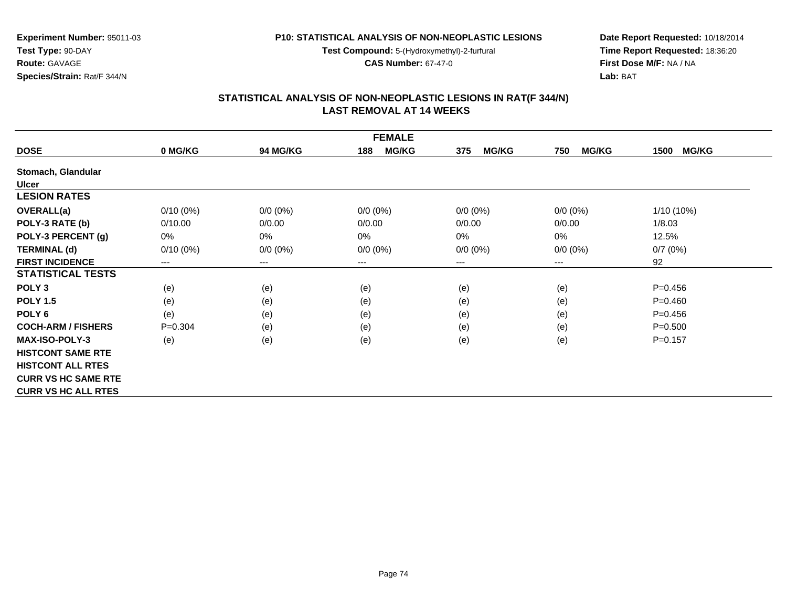**Test Compound:** 5-(Hydroxymethyl)-2-furfural

**CAS Number:** 67-47-0

**Date Report Requested:** 10/18/2014 **Time Report Requested:** 18:36:20**First Dose M/F:** NA / NA**Lab:** BAT

# **STATISTICAL ANALYSIS OF NON-NEOPLASTIC LESIONS IN RAT(F 344/N) LAST REMOVAL AT 14 WEEKS**

| <b>FEMALE</b>              |             |                 |                     |                     |                     |                      |
|----------------------------|-------------|-----------------|---------------------|---------------------|---------------------|----------------------|
| <b>DOSE</b>                | 0 MG/KG     | <b>94 MG/KG</b> | <b>MG/KG</b><br>188 | 375<br><b>MG/KG</b> | <b>MG/KG</b><br>750 | <b>MG/KG</b><br>1500 |
| Stomach, Glandular         |             |                 |                     |                     |                     |                      |
| <b>Ulcer</b>               |             |                 |                     |                     |                     |                      |
| <b>LESION RATES</b>        |             |                 |                     |                     |                     |                      |
| <b>OVERALL(a)</b>          | $0/10(0\%)$ | $0/0 (0\%)$     | $0/0 (0\%)$         | $0/0 (0\%)$         | $0/0 (0\%)$         | $1/10(10\%)$         |
| POLY-3 RATE (b)            | 0/10.00     | 0/0.00          | 0/0.00              | 0/0.00              | 0/0.00              | 1/8.03               |
| POLY-3 PERCENT (g)         | 0%          | 0%              | $0\%$               | $0\%$               | 0%                  | 12.5%                |
| <b>TERMINAL (d)</b>        | $0/10(0\%)$ | $0/0 (0\%)$     | $0/0 (0\%)$         | $0/0 (0\%)$         | $0/0 (0\%)$         | 0/7(0%)              |
| <b>FIRST INCIDENCE</b>     | $---$       | $\cdots$        | $---$               | ---                 | ---                 | 92                   |
| <b>STATISTICAL TESTS</b>   |             |                 |                     |                     |                     |                      |
| POLY <sub>3</sub>          | (e)         | (e)             | (e)                 | (e)                 | (e)                 | $P = 0.456$          |
| <b>POLY 1.5</b>            | (e)         | (e)             | (e)                 | (e)                 | (e)                 | $P=0.460$            |
| POLY <sub>6</sub>          | (e)         | (e)             | (e)                 | (e)                 | (e)                 | $P=0.456$            |
| <b>COCH-ARM / FISHERS</b>  | $P = 0.304$ | (e)             | (e)                 | (e)                 | (e)                 | $P = 0.500$          |
| <b>MAX-ISO-POLY-3</b>      | (e)         | (e)             | (e)                 | (e)                 | (e)                 | $P=0.157$            |
| <b>HISTCONT SAME RTE</b>   |             |                 |                     |                     |                     |                      |
| <b>HISTCONT ALL RTES</b>   |             |                 |                     |                     |                     |                      |
| <b>CURR VS HC SAME RTE</b> |             |                 |                     |                     |                     |                      |
| <b>CURR VS HC ALL RTES</b> |             |                 |                     |                     |                     |                      |

# **Experiment Number:** 95011-03**Test Type:** 90-DAY**Route:** GAVAGE**Species/Strain:** Rat/F 344/N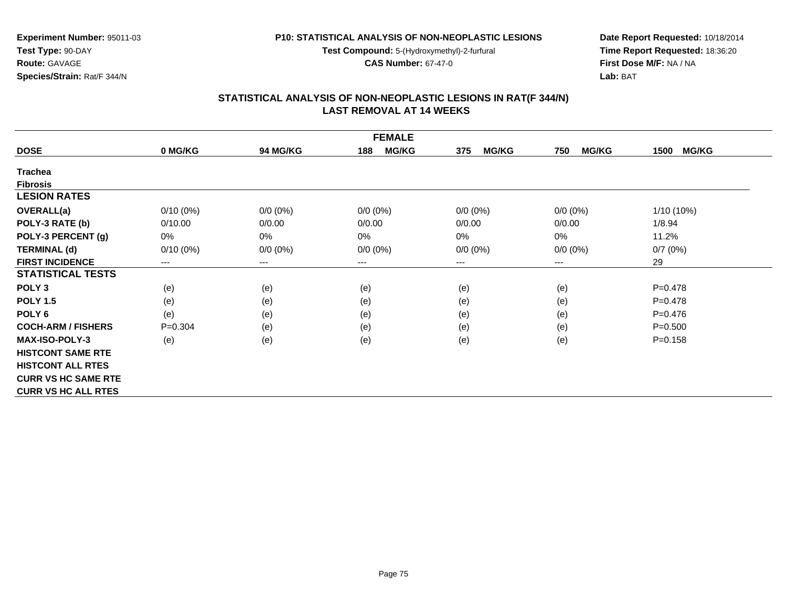**Test Compound:** 5-(Hydroxymethyl)-2-furfural

**CAS Number:** 67-47-0

**Date Report Requested:** 10/18/2014 **Time Report Requested:** 18:36:20**First Dose M/F:** NA / NA**Lab:** BAT

# **STATISTICAL ANALYSIS OF NON-NEOPLASTIC LESIONS IN RAT(F 344/N) LAST REMOVAL AT 14 WEEKS**

| <b>FEMALE</b>              |             |                            |                     |                     |                     |                      |
|----------------------------|-------------|----------------------------|---------------------|---------------------|---------------------|----------------------|
| <b>DOSE</b>                | 0 MG/KG     | <b>94 MG/KG</b>            | <b>MG/KG</b><br>188 | <b>MG/KG</b><br>375 | <b>MG/KG</b><br>750 | <b>MG/KG</b><br>1500 |
| <b>Trachea</b>             |             |                            |                     |                     |                     |                      |
| <b>Fibrosis</b>            |             |                            |                     |                     |                     |                      |
| <b>LESION RATES</b>        |             |                            |                     |                     |                     |                      |
| <b>OVERALL(a)</b>          | $0/10(0\%)$ | $0/0 (0\%)$                | $0/0 (0\%)$         | $0/0 (0\%)$         | $0/0 (0\%)$         | 1/10 (10%)           |
| POLY-3 RATE (b)            | 0/10.00     | 0/0.00                     | 0/0.00              | 0/0.00              | 0/0.00              | 1/8.94               |
| POLY-3 PERCENT (g)         | 0%          | 0%                         | 0%                  | 0%                  | 0%                  | 11.2%                |
| <b>TERMINAL (d)</b>        | $0/10(0\%)$ | $0/0 (0\%)$                | $0/0 (0\%)$         | $0/0 (0\%)$         | $0/0 (0\%)$         | 0/7(0%)              |
| <b>FIRST INCIDENCE</b>     | ---         | $\qquad \qquad - \qquad -$ | $---$               | ---                 | $---$               | 29                   |
| <b>STATISTICAL TESTS</b>   |             |                            |                     |                     |                     |                      |
| POLY <sub>3</sub>          | (e)         | (e)                        | (e)                 | (e)                 | (e)                 | $P=0.478$            |
| <b>POLY 1.5</b>            | (e)         | (e)                        | (e)                 | (e)                 | (e)                 | $P=0.478$            |
| POLY <sub>6</sub>          | (e)         | (e)                        | (e)                 | (e)                 | (e)                 | $P=0.476$            |
| <b>COCH-ARM / FISHERS</b>  | $P = 0.304$ | (e)                        | (e)                 | (e)                 | (e)                 | $P = 0.500$          |
| <b>MAX-ISO-POLY-3</b>      | (e)         | (e)                        | (e)                 | (e)                 | (e)                 | $P = 0.158$          |
| <b>HISTCONT SAME RTE</b>   |             |                            |                     |                     |                     |                      |
| <b>HISTCONT ALL RTES</b>   |             |                            |                     |                     |                     |                      |
| <b>CURR VS HC SAME RTE</b> |             |                            |                     |                     |                     |                      |
| <b>CURR VS HC ALL RTES</b> |             |                            |                     |                     |                     |                      |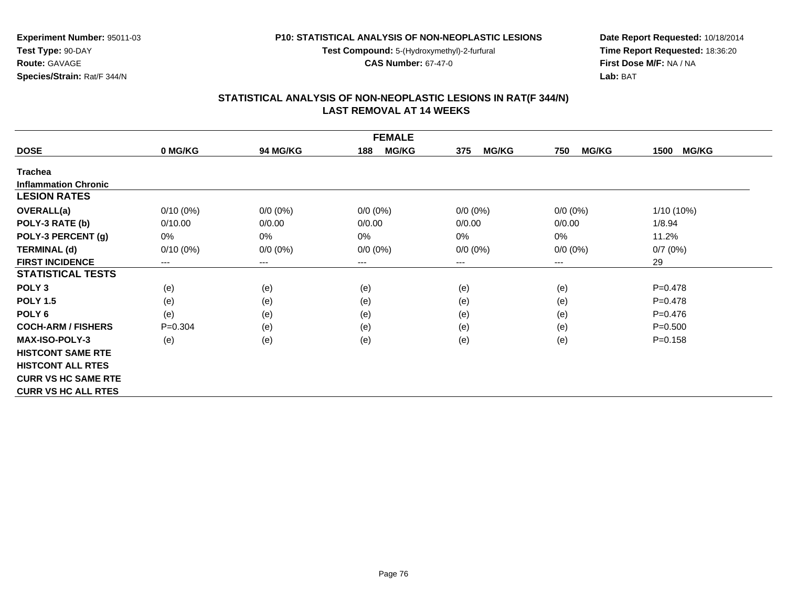**Test Compound:** 5-(Hydroxymethyl)-2-furfural

**CAS Number:** 67-47-0

**Date Report Requested:** 10/18/2014 **Time Report Requested:** 18:36:20**First Dose M/F:** NA / NA**Lab:** BAT

# **STATISTICAL ANALYSIS OF NON-NEOPLASTIC LESIONS IN RAT(F 344/N) LAST REMOVAL AT 14 WEEKS**

| <b>FEMALE</b>               |             |             |                     |                     |                     |                      |
|-----------------------------|-------------|-------------|---------------------|---------------------|---------------------|----------------------|
| <b>DOSE</b>                 | 0 MG/KG     | 94 MG/KG    | <b>MG/KG</b><br>188 | <b>MG/KG</b><br>375 | <b>MG/KG</b><br>750 | <b>MG/KG</b><br>1500 |
| <b>Trachea</b>              |             |             |                     |                     |                     |                      |
| <b>Inflammation Chronic</b> |             |             |                     |                     |                     |                      |
| <b>LESION RATES</b>         |             |             |                     |                     |                     |                      |
| <b>OVERALL(a)</b>           | $0/10(0\%)$ | $0/0 (0\%)$ | $0/0$ $(0%)$        | $0/0 (0\%)$         | $0/0 (0\%)$         | $1/10(10\%)$         |
| POLY-3 RATE (b)             | 0/10.00     | 0/0.00      | 0/0.00              | 0/0.00              | 0/0.00              | 1/8.94               |
| POLY-3 PERCENT (g)          | 0%          | 0%          | $0\%$               | 0%                  | $0\%$               | 11.2%                |
| <b>TERMINAL (d)</b>         | $0/10(0\%)$ | $0/0 (0\%)$ | $0/0 (0\%)$         | $0/0 (0\%)$         | $0/0 (0\%)$         | 0/7(0%)              |
| <b>FIRST INCIDENCE</b>      | $---$       | $---$       | ---                 | $---$               | ---                 | 29                   |
| <b>STATISTICAL TESTS</b>    |             |             |                     |                     |                     |                      |
| POLY <sub>3</sub>           | (e)         | (e)         | (e)                 | (e)                 | (e)                 | $P = 0.478$          |
| <b>POLY 1.5</b>             | (e)         | (e)         | (e)                 | (e)                 | (e)                 | $P = 0.478$          |
| POLY <sub>6</sub>           | (e)         | (e)         | (e)                 | (e)                 | (e)                 | $P=0.476$            |
| <b>COCH-ARM / FISHERS</b>   | $P=0.304$   | (e)         | (e)                 | (e)                 | (e)                 | $P = 0.500$          |
| <b>MAX-ISO-POLY-3</b>       | (e)         | (e)         | (e)                 | (e)                 | (e)                 | $P = 0.158$          |
| <b>HISTCONT SAME RTE</b>    |             |             |                     |                     |                     |                      |
| <b>HISTCONT ALL RTES</b>    |             |             |                     |                     |                     |                      |
| <b>CURR VS HC SAME RTE</b>  |             |             |                     |                     |                     |                      |
| <b>CURR VS HC ALL RTES</b>  |             |             |                     |                     |                     |                      |